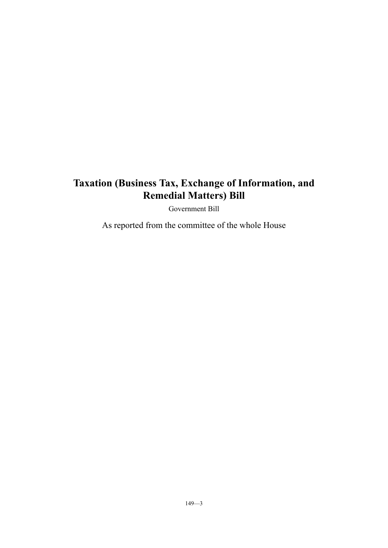# **Taxation (Business Tax, Exchange of Information, and Remedial Matters) Bill**

Government Bill

As reported from the committee of the whole House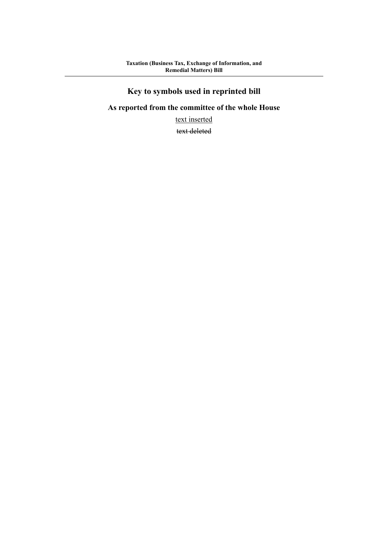# **Key to symbols used in reprinted bill**

# **As reported from the committee of the whole House**

text inserted

text deleted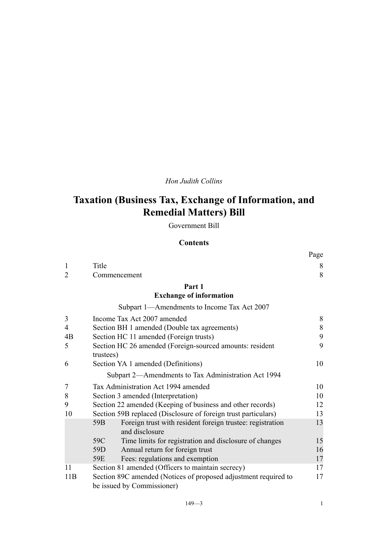# *Hon Judith Collins*

# **Taxation (Business Tax, Exchange of Information, and Remedial Matters) Bill**

Government Bill

# **Contents**

|                |                                                                              | Page |
|----------------|------------------------------------------------------------------------------|------|
| 1              | Title                                                                        | 8    |
| 2              | Commencement                                                                 | 8    |
|                | Part 1                                                                       |      |
|                | <b>Exchange of information</b>                                               |      |
|                | Subpart 1—Amendments to Income Tax Act 2007                                  |      |
| 3              | Income Tax Act 2007 amended                                                  | 8    |
| $\overline{4}$ | Section BH 1 amended (Double tax agreements)                                 | 8    |
| 4B             | Section HC 11 amended (Foreign trusts)                                       | 9    |
| 5              | Section HC 26 amended (Foreign-sourced amounts: resident                     | 9    |
|                | trustees)                                                                    |      |
| 6              | Section YA 1 amended (Definitions)                                           | 10   |
|                | Subpart 2-Amendments to Tax Administration Act 1994                          |      |
| 7              | Tax Administration Act 1994 amended                                          | 10   |
| 8              | Section 3 amended (Interpretation)                                           | 10   |
| 9              | Section 22 amended (Keeping of business and other records)                   | 12   |
| 10             | Section 59B replaced (Disclosure of foreign trust particulars)               | 13   |
|                | Foreign trust with resident foreign trustee: registration<br>59 <sub>B</sub> | 13   |
|                | and disclosure                                                               |      |
|                | 59C<br>Time limits for registration and disclosure of changes                | 15   |
|                | Annual return for foreign trust<br>59D                                       | 16   |
|                | Fees: regulations and exemption<br>59E                                       | 17   |
| 11             | Section 81 amended (Officers to maintain secrecy)                            | 17   |
| 11B            | Section 89C amended (Notices of proposed adjustment required to              | 17   |
|                | be issued by Commissioner)                                                   |      |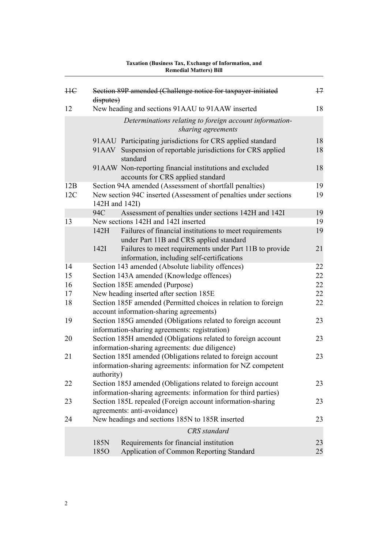| <b>HE</b> | disputes)      | Section 89P amended (Challenge notice for taxpayer-initiated                                                                   | $+7$ |
|-----------|----------------|--------------------------------------------------------------------------------------------------------------------------------|------|
| 12        |                | New heading and sections 91AAU to 91AAW inserted                                                                               | 18   |
|           |                | Determinations relating to foreign account information-<br>sharing agreements                                                  |      |
|           |                | 91AAU Participating jurisdictions for CRS applied standard                                                                     | 18   |
|           |                | 91AAV Suspension of reportable jurisdictions for CRS applied<br>standard                                                       | 18   |
|           |                | 91AAW Non-reporting financial institutions and excluded<br>accounts for CRS applied standard                                   | 18   |
| 12B       |                | Section 94A amended (Assessment of shortfall penalties)                                                                        | 19   |
| 12C       | 142H and 142I) | New section 94C inserted (Assessment of penalties under sections                                                               | 19   |
|           | 94C            | Assessment of penalties under sections 142H and 142I                                                                           | 19   |
| 13        |                | New sections 142H and 142I inserted                                                                                            | 19   |
|           | 142H           | Failures of financial institutions to meet requirements<br>under Part 11B and CRS applied standard                             | 19   |
|           | 142I           | Failures to meet requirements under Part 11B to provide<br>information, including self-certifications                          | 21   |
| 14        |                | Section 143 amended (Absolute liability offences)                                                                              | 22   |
| 15        |                | Section 143A amended (Knowledge offences)                                                                                      | 22   |
| 16        |                | Section 185E amended (Purpose)                                                                                                 | 22   |
| 17        |                | New heading inserted after section 185E                                                                                        | 22   |
| 18        |                | Section 185F amended (Permitted choices in relation to foreign<br>account information-sharing agreements)                      | 22   |
| 19        |                | Section 185G amended (Obligations related to foreign account<br>information-sharing agreements: registration)                  | 23   |
| 20        |                | Section 185H amended (Obligations related to foreign account<br>information-sharing agreements: due diligence)                 | 23   |
| 21        | authority)     | Section 185I amended (Obligations related to foreign account<br>information-sharing agreements: information for NZ competent   | 23   |
| 22        |                | Section 185J amended (Obligations related to foreign account<br>information-sharing agreements: information for third parties) | 23   |
| 23        |                | Section 185L repealed (Foreign account information-sharing<br>agreements: anti-avoidance)                                      | 23   |
| 24        |                | New headings and sections 185N to 185R inserted                                                                                | 23   |
|           |                | <b>CRS</b> standard                                                                                                            |      |
|           | 185N           | Requirements for financial institution                                                                                         | 23   |
|           | 185O           | Application of Common Reporting Standard                                                                                       | 25   |
|           |                |                                                                                                                                |      |

# **Taxation (Business Tax, Exchange of Information, and Remedial Matters) Bill**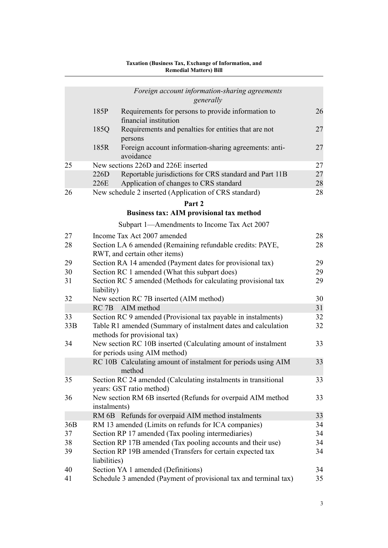|     |                                               | Foreign account information-sharing agreements<br>generally                                      |          |  |
|-----|-----------------------------------------------|--------------------------------------------------------------------------------------------------|----------|--|
|     | 185P                                          | Requirements for persons to provide information to<br>financial institution                      | 26       |  |
|     | 185Q                                          | Requirements and penalties for entities that are not<br>persons                                  | 27       |  |
|     | 185R                                          | Foreign account information-sharing agreements: anti-<br>avoidance                               | 27       |  |
| 25  |                                               | New sections 226D and 226E inserted                                                              | 27       |  |
|     | 226D<br>226E                                  | Reportable jurisdictions for CRS standard and Part 11B<br>Application of changes to CRS standard | 27<br>28 |  |
| 26  |                                               | New schedule 2 inserted (Application of CRS standard)                                            | 28       |  |
|     |                                               | Part 2                                                                                           |          |  |
|     |                                               | <b>Business tax: AIM provisional tax method</b>                                                  |          |  |
|     |                                               | Subpart 1-Amendments to Income Tax Act 2007                                                      |          |  |
| 27  |                                               | Income Tax Act 2007 amended                                                                      | 28       |  |
| 28  |                                               | Section LA 6 amended (Remaining refundable credits: PAYE,<br>RWT, and certain other items)       | 28       |  |
| 29  |                                               | Section RA 14 amended (Payment dates for provisional tax)                                        | 29<br>29 |  |
| 30  | Section RC 1 amended (What this subpart does) |                                                                                                  |          |  |
| 31  | liability)                                    | Section RC 5 amended (Methods for calculating provisional tax                                    | 29       |  |
| 32  |                                               | New section RC 7B inserted (AIM method)                                                          | 30       |  |
|     | RC <sub>7B</sub>                              | AIM method                                                                                       | 31       |  |
| 33  |                                               | Section RC 9 amended (Provisional tax payable in instalments)                                    | 32       |  |
| 33B |                                               | Table R1 amended (Summary of instalment dates and calculation<br>methods for provisional tax)    | 32       |  |
| 34  |                                               | New section RC 10B inserted (Calculating amount of instalment<br>for periods using AIM method)   | 33       |  |
|     |                                               | RC 10B Calculating amount of instalment for periods using AIM<br>method                          | 33       |  |
| 35  |                                               | Section RC 24 amended (Calculating instalments in transitional<br>years: GST ratio method)       | 33       |  |
| 36  | instalments)                                  | New section RM 6B inserted (Refunds for overpaid AIM method                                      | 33       |  |
|     |                                               | RM 6B Refunds for overpaid AIM method instalments                                                | 33       |  |
| 36B |                                               | RM 13 amended (Limits on refunds for ICA companies)                                              | 34       |  |
| 37  |                                               | Section RP 17 amended (Tax pooling intermediaries)                                               | 34       |  |
| 38  |                                               | Section RP 17B amended (Tax pooling accounts and their use)                                      | 34       |  |
| 39  | liabilities)                                  | Section RP 19B amended (Transfers for certain expected tax                                       | 34       |  |
| 40  |                                               | Section YA 1 amended (Definitions)                                                               | 34       |  |
| 41  |                                               | Schedule 3 amended (Payment of provisional tax and terminal tax)                                 | 35       |  |

#### **Taxation (Business Tax, Exchange of Information, and Remedial Matters) Bill**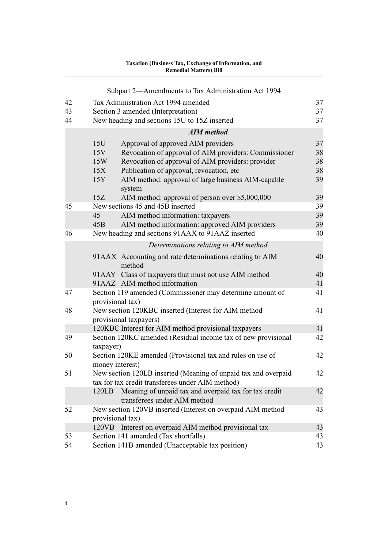|    | Taxation (Business Tax, Exchange of Information, and<br><b>Remedial Matters) Bill</b>          |          |  |  |  |  |
|----|------------------------------------------------------------------------------------------------|----------|--|--|--|--|
|    | Subpart 2—Amendments to Tax Administration Act 1994                                            |          |  |  |  |  |
| 42 | Tax Administration Act 1994 amended                                                            | 37       |  |  |  |  |
| 43 | Section 3 amended (Interpretation)                                                             |          |  |  |  |  |
| 44 | New heading and sections 15U to 15Z inserted                                                   | 37       |  |  |  |  |
|    | <b>AIM</b> method                                                                              |          |  |  |  |  |
|    | 15U<br>Approval of approved AIM providers                                                      | 37       |  |  |  |  |
|    | Revocation of approval of AIM providers: Commissioner<br>15V                                   | 38       |  |  |  |  |
|    | Revocation of approval of AIM providers: provider<br>15W                                       | 38       |  |  |  |  |
|    | Publication of approval, revocation, etc<br>15X                                                | 38       |  |  |  |  |
|    | AIM method: approval of large business AIM-capable<br>15Y                                      | 39       |  |  |  |  |
|    | system                                                                                         |          |  |  |  |  |
|    | 15Z<br>AIM method: approval of person over \$5,000,000                                         | 39       |  |  |  |  |
| 45 | New sections 45 and 45B inserted                                                               | 39       |  |  |  |  |
|    | 45<br>AIM method information: taxpayers                                                        | 39       |  |  |  |  |
|    | AIM method information: approved AIM providers<br>45B                                          | 39       |  |  |  |  |
| 46 | New heading and sections 91AAX to 91AAZ inserted                                               | 40       |  |  |  |  |
|    | Determinations relating to AIM method                                                          |          |  |  |  |  |
|    | 91AAX Accounting and rate determinations relating to AIM                                       | 40       |  |  |  |  |
|    | method                                                                                         |          |  |  |  |  |
|    | 91AAY Class of taxpayers that must not use AIM method                                          | 40       |  |  |  |  |
|    | 91AAZ AIM method information                                                                   | 41       |  |  |  |  |
| 47 | Section 119 amended (Commissioner may determine amount of<br>provisional tax)                  | 41       |  |  |  |  |
| 48 | New section 120KBC inserted (Interest for AIM method<br>provisional taxpayers)                 | 41       |  |  |  |  |
|    | 120KBC Interest for AIM method provisional taxpayers                                           | 41       |  |  |  |  |
| 49 | Section 120KC amended (Residual income tax of new provisional                                  | 42       |  |  |  |  |
|    | taxpayer)                                                                                      |          |  |  |  |  |
| 50 | Section 120KE amended (Provisional tax and rules on use of                                     | 42       |  |  |  |  |
|    | money interest)                                                                                |          |  |  |  |  |
| 51 | New section 120LB inserted (Meaning of unpaid tax and overpaid                                 | 42       |  |  |  |  |
|    | tax for tax credit transferees under AIM method)                                               |          |  |  |  |  |
|    | Meaning of unpaid tax and overpaid tax for tax credit<br>120LB<br>transferees under AIM method | 42       |  |  |  |  |
| 52 | New section 120VB inserted (Interest on overpaid AIM method                                    | 43       |  |  |  |  |
|    | provisional tax)                                                                               |          |  |  |  |  |
|    | Interest on overpaid AIM method provisional tax<br>120VB                                       | 43       |  |  |  |  |
| 53 | Section 141 amended (Tax shortfalls)                                                           | 43<br>43 |  |  |  |  |
| 54 | Section 141B amended (Unacceptable tax position)                                               |          |  |  |  |  |

# **Taxation (Business Tax, Exchange of Information, and**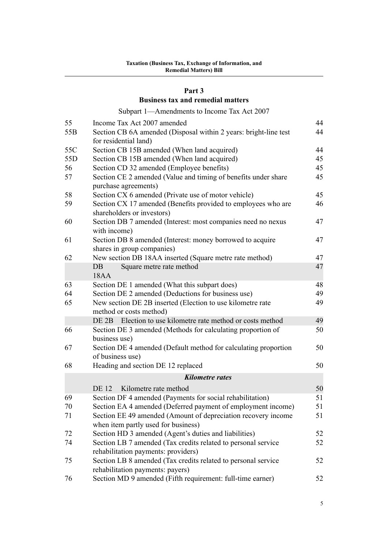#### **[Part 3](#page-47-0)**

# **[Business tax and remedial matters](#page-47-0)**

[Subpart 1—Amendments to Income Tax Act 2007](#page-47-0)

| 55              | Income Tax Act 2007 amended                                                           | 44 |
|-----------------|---------------------------------------------------------------------------------------|----|
| 55 <sub>B</sub> | Section CB 6A amended (Disposal within 2 years: bright-line test                      | 44 |
|                 | for residential land)                                                                 |    |
| 55C             | Section CB 15B amended (When land acquired)                                           | 44 |
| 55D             | Section CB 15B amended (When land acquired)                                           | 45 |
| 56              | Section CD 32 amended (Employee benefits)                                             | 45 |
| 57              | Section CE 2 amended (Value and timing of benefits under share                        | 45 |
|                 | purchase agreements)                                                                  |    |
| 58              | Section CX 6 amended (Private use of motor vehicle)                                   | 45 |
| 59              | Section CX 17 amended (Benefits provided to employees who are                         | 46 |
|                 | shareholders or investors)                                                            |    |
| 60              | Section DB 7 amended (Interest: most companies need no nexus                          | 47 |
|                 | with income)                                                                          |    |
| 61              | Section DB 8 amended (Interest: money borrowed to acquire                             | 47 |
|                 | shares in group companies)                                                            |    |
| 62              | New section DB 18AA inserted (Square metre rate method)                               | 47 |
|                 | Square metre rate method<br>$DB$                                                      | 47 |
|                 | <b>18AA</b>                                                                           |    |
| 63              | Section DE 1 amended (What this subpart does)                                         | 48 |
| 64              | Section DE 2 amended (Deductions for business use)                                    | 49 |
| 65              | New section DE 2B inserted (Election to use kilometre rate<br>method or costs method) | 49 |
|                 | Election to use kilometre rate method or costs method<br>DE 2B                        | 49 |
| 66              | Section DE 3 amended (Methods for calculating proportion of                           | 50 |
|                 | business use)                                                                         |    |
| 67              | Section DE 4 amended (Default method for calculating proportion                       | 50 |
|                 | of business use)                                                                      |    |
| 68              | Heading and section DE 12 replaced                                                    | 50 |
|                 | <b>Kilometre</b> rates                                                                |    |
|                 | Kilometre rate method<br><b>DE</b> 12                                                 | 50 |
| 69              | Section DF 4 amended (Payments for social rehabilitation)                             | 51 |
| 70              | Section EA 4 amended (Deferred payment of employment income)                          | 51 |
| 71              | Section EE 49 amended (Amount of depreciation recovery income                         | 51 |
|                 | when item partly used for business)                                                   |    |
| 72              | Section HD 3 amended (Agent's duties and liabilities)                                 | 52 |
| 74              | Section LB 7 amended (Tax credits related to personal service                         | 52 |
|                 | rehabilitation payments: providers)                                                   |    |
| 75              | Section LB 8 amended (Tax credits related to personal service                         | 52 |
|                 | rehabilitation payments: payers)                                                      |    |
| 76              | Section MD 9 amended (Fifth requirement: full-time earner)                            | 52 |
|                 |                                                                                       |    |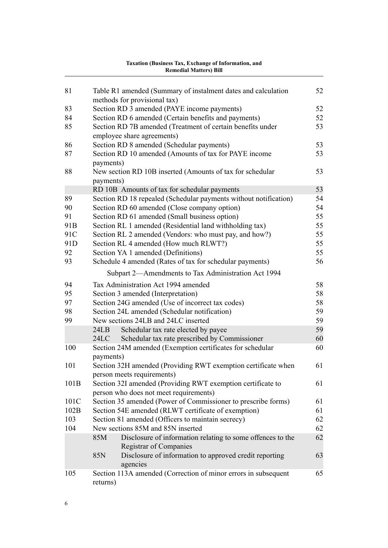|                 | <b>Remedial Matters</b> ) Bill                                                                        |    |
|-----------------|-------------------------------------------------------------------------------------------------------|----|
| 81              |                                                                                                       | 52 |
|                 | Table R1 amended (Summary of instalment dates and calculation<br>methods for provisional tax)         |    |
| 83              | Section RD 3 amended (PAYE income payments)                                                           | 52 |
| 84              | Section RD 6 amended (Certain benefits and payments)                                                  | 52 |
| 85              | Section RD 7B amended (Treatment of certain benefits under                                            | 53 |
|                 | employee share agreements)                                                                            |    |
| 86              | Section RD 8 amended (Schedular payments)                                                             | 53 |
| 87              | Section RD 10 amended (Amounts of tax for PAYE income<br>payments)                                    | 53 |
| 88              | New section RD 10B inserted (Amounts of tax for schedular<br>payments)                                | 53 |
|                 | RD 10B Amounts of tax for schedular payments                                                          | 53 |
| 89              | Section RD 18 repealed (Schedular payments without notification)                                      | 54 |
| 90              | Section RD 60 amended (Close company option)                                                          | 54 |
| 91              | Section RD 61 amended (Small business option)                                                         | 55 |
| 91 <sub>B</sub> | Section RL 1 amended (Residential land withholding tax)                                               | 55 |
| 91C             | Section RL 2 amended (Vendors: who must pay, and how?)                                                | 55 |
| 91 <sub>D</sub> | Section RL 4 amended (How much RLWT?)                                                                 | 55 |
| 92              | Section YA 1 amended (Definitions)                                                                    | 55 |
| 93              | Schedule 4 amended (Rates of tax for schedular payments)                                              | 56 |
|                 | Subpart 2-Amendments to Tax Administration Act 1994                                                   |    |
| 94              | Tax Administration Act 1994 amended                                                                   | 58 |
| 95              | Section 3 amended (Interpretation)                                                                    | 58 |
| 97              | Section 24G amended (Use of incorrect tax codes)                                                      | 58 |
| 98              | Section 24L amended (Schedular notification)                                                          | 59 |
| 99              | New sections 24LB and 24LC inserted                                                                   | 59 |
|                 | 24LB<br>Schedular tax rate elected by payee                                                           | 59 |
|                 | Schedular tax rate prescribed by Commissioner<br>24LC                                                 | 60 |
| 100             | Section 24M amended (Exemption certificates for schedular                                             | 60 |
|                 | payments)                                                                                             |    |
| 101             | Section 32H amended (Providing RWT exemption certificate when<br>person meets requirements)           | 61 |
| 101B            | Section 32I amended (Providing RWT exemption certificate to<br>person who does not meet requirements) | 61 |
| 101C            | Section 35 amended (Power of Commissioner to prescribe forms)                                         | 61 |
| 102B            | Section 54E amended (RLWT certificate of exemption)                                                   | 61 |
| 103             | Section 81 amended (Officers to maintain secrecy)                                                     | 62 |
| 104             | New sections 85M and 85N inserted                                                                     | 62 |
|                 | Disclosure of information relating to some offences to the<br>85M<br><b>Registrar of Companies</b>    | 62 |
|                 | Disclosure of information to approved credit reporting<br>85N<br>agencies                             | 63 |
| 105             | Section 113A amended (Correction of minor errors in subsequent<br>returns)                            | 65 |

#### **Taxation (Business Tax, Exchange of Information, and Remedial Matters) Bill**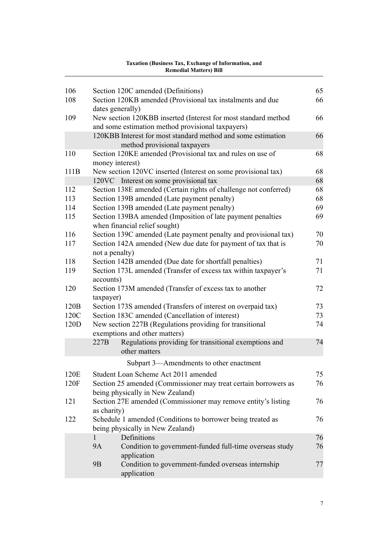#### [106](#page-68-0) [Section 120C amended \(Definitions\)](#page-68-0) [65](#page-68-0) [108](#page-69-0) [Section 120KB amended \(Provisional tax instalments and due](#page-69-0) [dates generally\)](#page-69-0) [66](#page-69-0) [109](#page-69-0) [New section 120KBB inserted \(Interest for most standard method](#page-69-0) [and some estimation method provisional taxpayers\)](#page-69-0) [66](#page-69-0) [120KBB](#page-69-0) [Interest for most standard method and some estimation](#page-69-0) [method provisional taxpayers](#page-69-0) [66](#page-69-0) [110](#page-71-0) [Section 120KE amended \(Provisional tax and rules on use of](#page-71-0) [money interest\)](#page-71-0) [68](#page-71-0) [111B](#page-71-0) [New section 120VC inserted \(Interest on some provisional tax\)](#page-71-0) [68](#page-71-0) [120VC](#page-71-0) [Interest on some provisional tax](#page-71-0) [68](#page-71-0) [112](#page-71-0) [Section 138E amended \(Certain rights of challenge not conferred\)](#page-71-0) [68](#page-71-0) [113](#page-71-0) [Section 139B amended \(Late payment penalty\)](#page-71-0) [68](#page-71-0) [114](#page-72-0) [Section 139B amended \(Late payment penalty\)](#page-72-0) [69](#page-72-0) [115](#page-72-0) [Section 139BA amended \(Imposition of late payment penalties](#page-72-0) [when financial relief sought\)](#page-72-0) [69](#page-72-0) [116](#page-73-0) [Section 139C amended \(Late payment penalty and provisional tax\)](#page-73-0)  $\frac{70}{2}$  $\frac{70}{2}$  $\frac{70}{2}$ [117](#page-73-0) [Section 142A amended \(New due date for payment of tax that is](#page-73-0) [not a penalty\)](#page-73-0) [70](#page-73-0) [118](#page-74-0) [Section 142B amended \(Due date for shortfall penalties\)](#page-74-0) [71](#page-74-0) [119](#page-74-0) [Section 173L amended \(Transfer of excess tax within taxpayer's](#page-74-0) [accounts\)](#page-74-0) [71](#page-74-0) [120](#page-75-0) [Section 173M amended \(Transfer of excess tax to another](#page-75-0) [taxpayer\)](#page-75-0) [72](#page-75-0) [120B](#page-76-0) [Section 173S amended \(Transfers of interest on overpaid tax\)](#page-76-0) [73](#page-76-0) [120C](#page-76-0) [Section 183C amended \(Cancellation of interest\)](#page-76-0) [73](#page-76-0) [120D](#page-77-0) [New section 227B \(Regulations providing for transitional](#page-77-0) [exemptions and other matters\)](#page-77-0) [74](#page-77-0) [227B](#page-77-0) [Regulations providing for transitional exemptions and](#page-77-0) [other matters](#page-77-0) [74](#page-77-0) [Subpart 3—Amendments to other enactment](#page-78-0) [120E](#page-78-0) [Student Loan Scheme Act 2011 amended](#page-78-0) [75](#page-78-0) [120F](#page-79-0) [Section 25 amended \(Commissioner may treat certain borrowers as](#page-79-0) [being physically in New Zealand\)](#page-79-0) [76](#page-79-0) [121](#page-79-0) [Section 27E amended \(Commissioner may remove entity's listing](#page-79-0) [as charity\)](#page-79-0) [76](#page-79-0) [122](#page-79-0) [Schedule 1 amended \(Conditions to borrower being treated as](#page-79-0) [being physically in New Zealand\)](#page-79-0) [76](#page-79-0) [1](#page-79-0) [Definitions](#page-79-0) [76](#page-79-0) [9A](#page-79-0) [Condition to government-funded full-time overseas study](#page-79-0) [application](#page-79-0) [76](#page-79-0) [9B](#page-80-0) [Condition to government-funded overseas internship](#page-80-0) [application](#page-80-0) [77](#page-80-0)

# **Taxation (Business Tax, Exchange of Information, and Remedial Matters) Bill**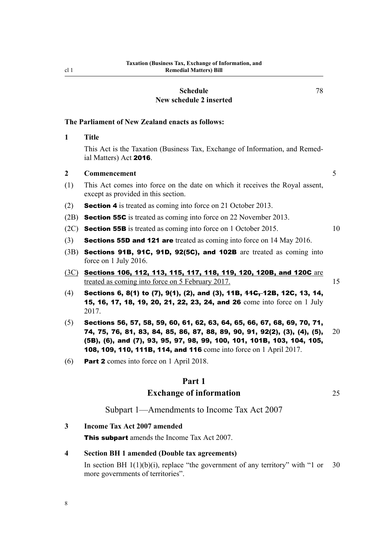#### **[Schedule](#page-81-0) [New schedule 2 inserted](#page-81-0)**

# <span id="page-11-0"></span>**The Parliament of New Zealand enacts as follows:**

# **1 Title**

This Act is the Taxation (Business Tax, Exchange of Information, and Remedial Matters) Act 2016.

# **2 Commencement** 5

- (1) This Act comes into force on the date on which it receives the Royal assent, except as provided in this section.
- (2) Section 4 is treated as coming into force on 21 October 2013.
- (2B) **Section 55C** is treated as coming into force on 22 November 2013.
- (2C) **Section 55B** is treated as coming into force on 1 October 2015. 10
- (3) **Sections 55D and 121 are** treated as coming into force on 14 May 2016.
- (3B) Sections 91B, 91C, 91D, 92(5C), and 102B are treated as coming into force on 1 July 2016.
- (3C) Sections 106, 112, 113, 115, 117, 118, 119, 120, 120B, and 120C are treated as coming into force on 5 February 2017.
- $(4)$  Sections 6, 8(1) to (7), 9(1), (2), and (3), 11B,  $1.4G<sub>r</sub>$  12B, 12C, 13, 14, 15, 16, 17, 18, 19, 20, 21, 22, 23, 24, and 26 come into force on 1 July 2017.
- (5) Sections 56, 57, 58, 59, 60, 61, 62, 63, 64, 65, 66, 67, 68, 69, 70, 71, 74, 75, 76, 81, 83, 84, 85, 86, 87, 88, 89, 90, 91, 92(2), (3), (4), (5),  $20$ (5B), (6), and (7), 93, 95, 97, 98, 99, 100, 101, 101B, 103, 104, 105, 108, 109, 110, 111B, 114, and 116 come into force on 1 April 2017.
- (6) Part 2 comes into force on 1 April 2018.

# **Part 1**

# **Exchange of information** 25

Subpart 1—Amendments to Income Tax Act 2007

**3 Income Tax Act 2007 amended**

8

This subpart amends the Income Tax Act 2007.

#### **4 Section BH 1 amended (Double tax agreements)**

In section BH  $1(1)(b)(i)$ , replace "the government of any territory" with "1 or 30 more governments of territories".

[78](#page-81-0)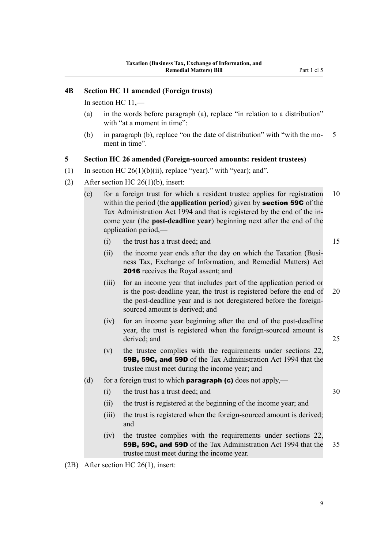# <span id="page-12-0"></span>**4B Section HC 11 amended (Foreign trusts)**

In section HC 11,—

- (a) in the words before paragraph (a), replace "in relation to a distribution" with "at a moment in time":
- (b) in paragraph (b), replace "on the date of distribution" with "with the mo- 5 ment in time".

#### **5 Section HC 26 amended (Foreign-sourced amounts: resident trustees)**

- (1) In section HC 26(1)(b)(ii), replace "year)." with "year); and".
- (2) After section HC  $26(1)(b)$ , insert:
	- (c) for a foreign trust for which a resident trustee applies for registration 10 within the period (the **application period**) given by section 59C of the Tax Administration Act 1994 and that is registered by the end of the income year (the **post-deadline year**) beginning next after the end of the application period,—

(i) the trust has a trust deed; and 15

- (ii) the income year ends after the day on which the Taxation (Business Tax, Exchange of Information, and Remedial Matters) Act 2016 receives the Royal assent; and
- (iii) for an income year that includes part of the application period or is the post-deadline year, the trust is registered before the end of 20 the post-deadline year and is not deregistered before the foreignsourced amount is derived; and
- (iv) for an income year beginning after the end of the post-deadline year, the trust is registered when the foreign-sourced amount is derived: and 25
- (v) the trustee complies with the requirements under sections 22, 59B, 59C, and 59D of the Tax Administration Act 1994 that the trustee must meet during the income year; and
- (d) for a foreign trust to which **paragraph (c)** does not apply,—
	- (i) the trust has a trust deed; and 30
	- (ii) the trust is registered at the beginning of the income year; and
	- (iii) the trust is registered when the foreign-sourced amount is derived; and
	- (iv) the trustee complies with the requirements under sections 22, 59B, 59C, and 59D of the Tax Administration Act 1994 that the 35 trustee must meet during the income year.
- (2B) After section HC 26(1), insert: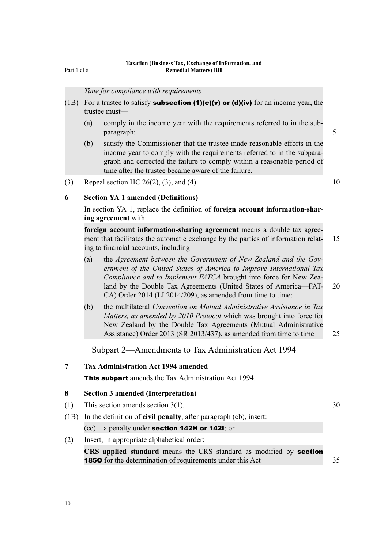# *Time for compliance with requirements*

- <span id="page-13-0"></span>(1B) For a trustee to satisfy **subsection (1)(c)(v) or (d)(iv)** for an income year, the trustee must—
	- (a) comply in the income year with the requirements referred to in the subparagraph: 5
	- (b) satisfy the Commissioner that the trustee made reasonable efforts in the income year to comply with the requirements referred to in the subparagraph and corrected the failure to comply within a reasonable period of time after the trustee became aware of the failure.
- (3) Repeal section HC 26(2), (3), and (4). 10

# **6 Section YA 1 amended (Definitions)**

In section YA 1, replace the definition of **foreign account information-sharing agreement** with:

**foreign account information-sharing agreement** means a double tax agreement that facilitates the automatic exchange by the parties of information relat- 15 ing to financial accounts, including—

- (a) the *Agreement between the Government of New Zealand and the Government of the United States of America to Improve International Tax Compliance and to Implement FATCA* brought into force for New Zealand by the Double Tax Agreements (United States of America—FAT- 20 CA) Order 2014 (LI 2014/209), as amended from time to time:
- (b) the multilateral *Convention on Mutual Administrative Assistance in Tax Matters, as amended by 2010 Protocol* which was brought into force for New Zealand by the Double Tax Agreements (Mutual Administrative Assistance) Order 2013 (SR 2013/437), as amended from time to time 25

Subpart 2—Amendments to Tax Administration Act 1994

# **7 Tax Administration Act 1994 amended**

**This subpart** amends the Tax Administration Act 1994.

## **8 Section 3 amended (Interpretation)**

- (1) This section amends section  $3(1)$ .  $30$
- (1B) In the definition of **civil penalty**, after paragraph (cb), insert: (cc) a penalty under section 142H or 142I; or

# (2) Insert, in appropriate alphabetical order:

**CRS applied standard** means the CRS standard as modified by section 1850 for the determination of requirements under this Act 35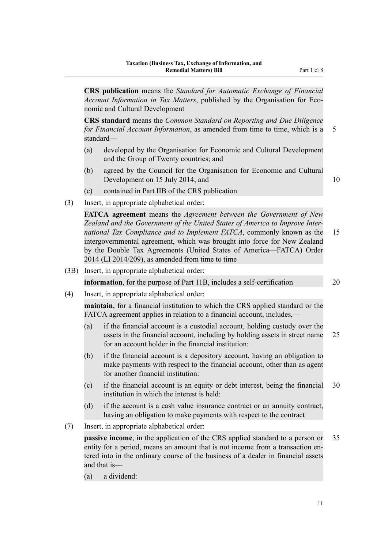**CRS publication** means the *Standard for Automatic Exchange of Financial Account Information in Tax Matters*, published by the Organisation for Economic and Cultural Development

**CRS standard** means the *Common Standard on Reporting and Due Diligence for Financial Account Information*, as amended from time to time, which is a 5 standard—

- (a) developed by the Organisation for Economic and Cultural Development and the Group of Twenty countries; and
- (b) agreed by the Council for the Organisation for Economic and Cultural Development on 15 July 2014; and 10

- (c) contained in Part IIB of the CRS publication
- (3) Insert, in appropriate alphabetical order:

**FATCA agreement** means the *Agreement between the Government of New Zealand and the Government of the United States of America to Improve International Tax Compliance and to Implement FATCA*, commonly known as the 15 intergovernmental agreement, which was brought into force for New Zealand by the Double Tax Agreements (United States of America—FATCA) Order 2014 (LI 2014/209), as amended from time to time

(3B) Insert, in appropriate alphabetical order:

**information**, for the purpose of Part 11B, includes a self-certification 20

(4) Insert, in appropriate alphabetical order:

**maintain**, for a financial institution to which the CRS applied standard or the FATCA agreement applies in relation to a financial account, includes,—

- (a) if the financial account is a custodial account, holding custody over the assets in the financial account, including by holding assets in street name 25 for an account holder in the financial institution:
- (b) if the financial account is a depository account, having an obligation to make payments with respect to the financial account, other than as agent for another financial institution:
- (c) if the financial account is an equity or debt interest, being the financial 30 institution in which the interest is held:
- (d) if the account is a cash value insurance contract or an annuity contract, having an obligation to make payments with respect to the contract
- (7) Insert, in appropriate alphabetical order:

**passive income**, in the application of the CRS applied standard to a person or 35 entity for a period, means an amount that is not income from a transaction entered into in the ordinary course of the business of a dealer in financial assets and that is—

(a) a dividend:

11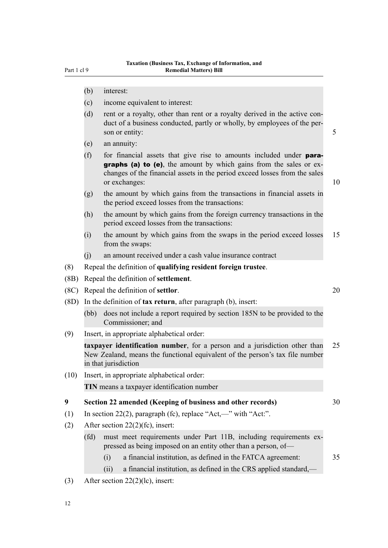- <span id="page-15-0"></span>(b) interest:
- (c) income equivalent to interest:
- (d) rent or a royalty, other than rent or a royalty derived in the active conduct of a business conducted, partly or wholly, by employees of the person or entity:  $\frac{5}{5}$
- (e) an annuity:
- (f) for financial assets that give rise to amounts included under  $para$ graphs (a) to (e), the amount by which gains from the sales or exchanges of the financial assets in the period exceed losses from the sales or exchanges: 10
- (g) the amount by which gains from the transactions in financial assets in the period exceed losses from the transactions:
- (h) the amount by which gains from the foreign currency transactions in the period exceed losses from the transactions:
- (i) the amount by which gains from the swaps in the period exceed losses 15 from the swaps:
- (j) an amount received under a cash value insurance contract
- (8) Repeal the definition of **qualifying resident foreign trustee**.
- (8B) Repeal the definition of **settlement**.
- (8C) Repeal the definition of **settlor**. 20
- (8D) In the definition of **tax return**, after paragraph (b), insert:
	- (bb) does not include a report required by section 185N to be provided to the Commissioner; and
- (9) Insert, in appropriate alphabetical order:

**taxpayer identification number**, for a person and a jurisdiction other than 25 New Zealand, means the functional equivalent of the person's tax file number in that jurisdiction

(10) Insert, in appropriate alphabetical order: **TIN** means a taxpayer identification number

#### **9 Section 22 amended (Keeping of business and other records)** 30

- (1) In section 22(2), paragraph (fc), replace "Act,—" with "Act:".
- (2) After section 22(2)(fc), insert:
	- (fd) must meet requirements under Part 11B, including requirements expressed as being imposed on an entity other than a person, of—
		- (i) a financial institution, as defined in the FATCA agreement: 35
		- (ii) a financial institution, as defined in the CRS applied standard,—
- (3) After section 22(2)(lc), insert: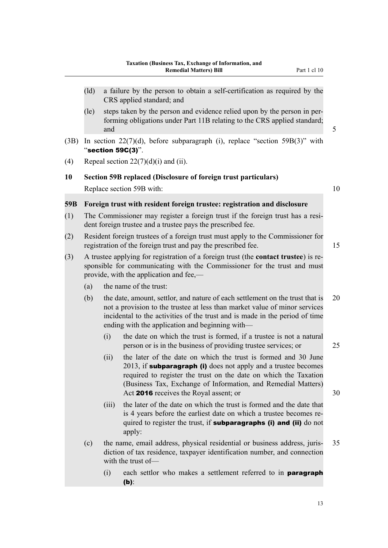- <span id="page-16-0"></span>(ld) a failure by the person to obtain a self-certification as required by the CRS applied standard; and
- (le) steps taken by the person and evidence relied upon by the person in performing obligations under Part 11B relating to the CRS applied standard; and  $5$
- (3B) In section 22(7)(d), before subparagraph (i), replace "section 59B(3)" with "section 59C(3)".
- (4) Repeal section  $22(7)(d)(i)$  and (ii).
- **10 Section 59B replaced (Disclosure of foreign trust particulars)** Replace section 59B with: 10

# **59B Foreign trust with resident foreign trustee: registration and disclosure**

- (1) The Commissioner may register a foreign trust if the foreign trust has a resident foreign trustee and a trustee pays the prescribed fee.
- (2) Resident foreign trustees of a foreign trust must apply to the Commissioner for registration of the foreign trust and pay the prescribed fee. 15
- (3) A trustee applying for registration of a foreign trust (the **contact trustee**) is responsible for communicating with the Commissioner for the trust and must provide, with the application and fee,—
	- (a) the name of the trust:
	- (b) the date, amount, settlor, and nature of each settlement on the trust that is 20 not a provision to the trustee at less than market value of minor services incidental to the activities of the trust and is made in the period of time ending with the application and beginning with—
		- (i) the date on which the trust is formed, if a trustee is not a natural person or is in the business of providing trustee services; or 25
		- (ii) the later of the date on which the trust is formed and 30 June  $2013$ , if **subparagraph (i)** does not apply and a trustee becomes required to register the trust on the date on which the Taxation (Business Tax, Exchange of Information, and Remedial Matters) Act **2016** receives the Royal assent; or 30
		- (iii) the later of the date on which the trust is formed and the date that is 4 years before the earliest date on which a trustee becomes required to register the trust, if **subparagraphs (i) and (ii)** do not apply:
	- (c) the name, email address, physical residential or business address, juris- 35 diction of tax residence, taxpayer identification number, and connection with the trust of-
		- (i) each settlor who makes a settlement referred to in paragraph (b):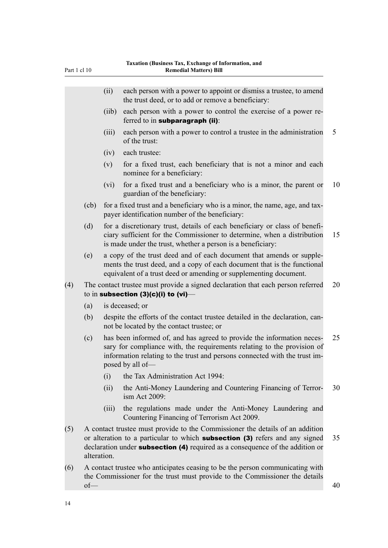| Part 1 cl 10 |                   |       | Taxation (Business Tax, Exchange of Information, and<br><b>Remedial Matters) Bill</b>                                                                                                                                                               |    |
|--------------|-------------------|-------|-----------------------------------------------------------------------------------------------------------------------------------------------------------------------------------------------------------------------------------------------------|----|
|              |                   | (ii)  | each person with a power to appoint or dismiss a trustee, to amend<br>the trust deed, or to add or remove a beneficiary:                                                                                                                            |    |
|              |                   | (iib) | each person with a power to control the exercise of a power re-<br>ferred to in subparagraph $(ii)$ :                                                                                                                                               |    |
|              |                   | (iii) | each person with a power to control a trustee in the administration<br>of the trust:                                                                                                                                                                | 5  |
|              |                   | (iv)  | each trustee:                                                                                                                                                                                                                                       |    |
|              |                   | (v)   | for a fixed trust, each beneficiary that is not a minor and each<br>nominee for a beneficiary:                                                                                                                                                      |    |
|              |                   | (vi)  | for a fixed trust and a beneficiary who is a minor, the parent or<br>guardian of the beneficiary:                                                                                                                                                   | 10 |
|              | $\overline{(cb)}$ |       | for a fixed trust and a beneficiary who is a minor, the name, age, and tax-<br>payer identification number of the beneficiary:                                                                                                                      |    |
|              | (d)               |       | for a discretionary trust, details of each beneficiary or class of benefi-<br>ciary sufficient for the Commissioner to determine, when a distribution<br>is made under the trust, whether a person is a beneficiary:                                | 15 |
|              | (e)               |       | a copy of the trust deed and of each document that amends or supple-<br>ments the trust deed, and a copy of each document that is the functional<br>equivalent of a trust deed or amending or supplementing document.                               |    |
| (4)          |                   |       | The contact trustee must provide a signed declaration that each person referred<br>to in subsection $(3)(c)(i)$ to $(vi)$ —                                                                                                                         | 20 |
|              | (a)               |       | is deceased; or                                                                                                                                                                                                                                     |    |
|              | (b)               |       | despite the efforts of the contact trustee detailed in the declaration, can-<br>not be located by the contact trustee; or                                                                                                                           |    |
|              | (c)               |       | has been informed of, and has agreed to provide the information neces-<br>sary for compliance with, the requirements relating to the provision of<br>information relating to the trust and persons connected with the trust im-<br>posed by all of- | 25 |
|              |                   | (i)   | the Tax Administration Act 1994:                                                                                                                                                                                                                    |    |
|              |                   | (ii)  | the Anti-Money Laundering and Countering Financing of Terror-<br>ism Act 2009:                                                                                                                                                                      | 30 |
|              |                   | (iii) | the regulations made under the Anti-Money Laundering and<br>Countering Financing of Terrorism Act 2009.                                                                                                                                             |    |

- (5) A contact trustee must provide to the Commissioner the details of an addition or alteration to a particular to which **subsection (3)** refers and any signed 35 declaration under **subsection** (4) required as a consequence of the addition or alteration.
- (6) A contact trustee who anticipates ceasing to be the person communicating with the Commissioner for the trust must provide to the Commissioner the details  $\sigma$ of  $\rightarrow$  40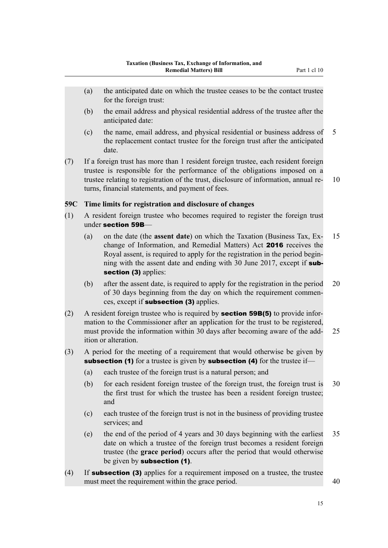- <span id="page-18-0"></span>(a) the anticipated date on which the trustee ceases to be the contact trustee for the foreign trust:
- (b) the email address and physical residential address of the trustee after the anticipated date:
- (c) the name, email address, and physical residential or business address of 5 the replacement contact trustee for the foreign trust after the anticipated date.
- (7) If a foreign trust has more than 1 resident foreign trustee, each resident foreign trustee is responsible for the performance of the obligations imposed on a trustee relating to registration of the trust, disclosure of information, annual re- 10 turns, financial statements, and payment of fees.

# **59C Time limits for registration and disclosure of changes**

- (1) A resident foreign trustee who becomes required to register the foreign trust under section 59B—
	- (a) on the date (the **assent date**) on which the Taxation (Business Tax, Ex- 15 change of Information, and Remedial Matters) Act 2016 receives the Royal assent, is required to apply for the registration in the period beginning with the assent date and ending with 30 June 2017, except if subsection (3) applies:
	- (b) after the assent date, is required to apply for the registration in the period 20 of 30 days beginning from the day on which the requirement commences, except if subsection (3) applies.
- (2) A resident foreign trustee who is required by **section 59B(5)** to provide information to the Commissioner after an application for the trust to be registered, must provide the information within 30 days after becoming aware of the add- 25 ition or alteration.
- (3) A period for the meeting of a requirement that would otherwise be given by subsection (1) for a trustee is given by subsection (4) for the trustee if—
	- (a) each trustee of the foreign trust is a natural person; and
	- (b) for each resident foreign trustee of the foreign trust, the foreign trust is 30 the first trust for which the trustee has been a resident foreign trustee; and
	- (c) each trustee of the foreign trust is not in the business of providing trustee services; and
	- (e) the end of the period of 4 years and 30 days beginning with the earliest 35 date on which a trustee of the foreign trust becomes a resident foreign trustee (the **grace period**) occurs after the period that would otherwise be given by subsection (1).
- (4) If subsection (3) applies for a requirement imposed on a trustee, the trustee must meet the requirement within the grace period. 40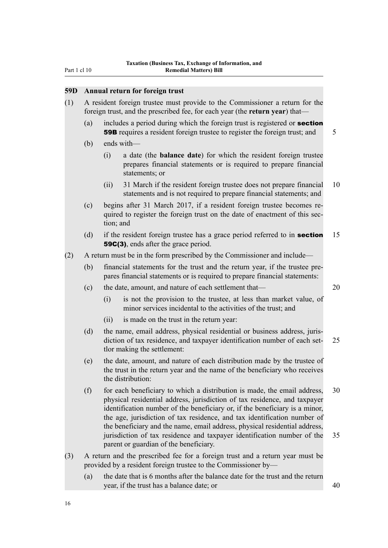# <span id="page-19-0"></span>**59D Annual return for foreign trust**

| (1) | A resident foreign trustee must provide to the Commissioner a return for the         |
|-----|--------------------------------------------------------------------------------------|
|     | foreign trust, and the prescribed fee, for each year (the <b>return year</b> ) that— |

- (a) includes a period during which the foreign trust is registered or section **59B** requires a resident foreign trustee to register the foreign trust; and 5
- (b) ends with—
	- (i) a date (the **balance date**) for which the resident foreign trustee prepares financial statements or is required to prepare financial statements; or
	- (ii) 31 March if the resident foreign trustee does not prepare financial 10 statements and is not required to prepare financial statements; and
- (c) begins after 31 March 2017, if a resident foreign trustee becomes required to register the foreign trust on the date of enactment of this section; and
- (d) if the resident foreign trustee has a grace period referred to in **section** 15 59C(3), ends after the grace period.
- (2) A return must be in the form prescribed by the Commissioner and include—
	- (b) financial statements for the trust and the return year, if the trustee prepares financial statements or is required to prepare financial statements:
	- (c) the date, amount, and nature of each settlement that— 20
		- (i) is not the provision to the trustee, at less than market value, of minor services incidental to the activities of the trust; and
		- (ii) is made on the trust in the return year:
	- (d) the name, email address, physical residential or business address, jurisdiction of tax residence, and taxpayer identification number of each set- 25 tlor making the settlement:
	- (e) the date, amount, and nature of each distribution made by the trustee of the trust in the return year and the name of the beneficiary who receives the distribution:
	- (f) for each beneficiary to which a distribution is made, the email address, 30 physical residential address, jurisdiction of tax residence, and taxpayer identification number of the beneficiary or, if the beneficiary is a minor, the age, jurisdiction of tax residence, and tax identification number of the beneficiary and the name, email address, physical residential address, jurisdiction of tax residence and taxpayer identification number of the 35 parent or guardian of the beneficiary.
- (3) A return and the prescribed fee for a foreign trust and a return year must be provided by a resident foreign trustee to the Commissioner by—
	- (a) the date that is 6 months after the balance date for the trust and the return year, if the trust has a balance date; or 40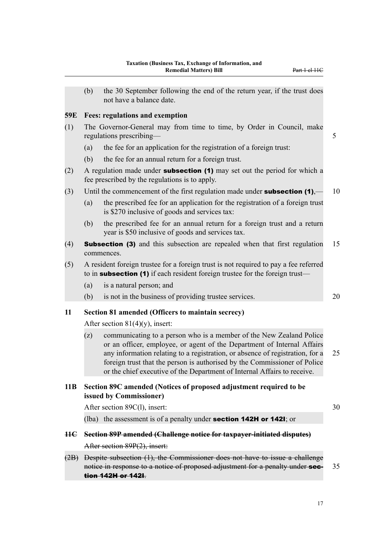<span id="page-20-0"></span>(b) the 30 September following the end of the return year, if the trust does not have a balance date.

# **59E Fees: regulations and exemption**

- (1) The Governor-General may from time to time, by Order in Council, make regulations prescribing— 5
	- (a) the fee for an application for the registration of a foreign trust:
	- (b) the fee for an annual return for a foreign trust.
- (2) A regulation made under **subsection (1)** may set out the period for which a fee prescribed by the regulations is to apply.
- (3) Until the commencement of the first regulation made under **subsection (1)**,  $-$  10
	- (a) the prescribed fee for an application for the registration of a foreign trust is \$270 inclusive of goods and services tax:
	- (b) the prescribed fee for an annual return for a foreign trust and a return year is \$50 inclusive of goods and services tax.
- (4) Subsection (3) and this subsection are repealed when that first regulation 15 commences.
- (5) A resident foreign trustee for a foreign trust is not required to pay a fee referred to in **subsection** (1) if each resident foreign trustee for the foreign trust—
	- (a) is a natural person; and
	- (b) is not in the business of providing trustee services. 20

**11 Section 81 amended (Officers to maintain secrecy)**

After section  $81(4)(y)$ , insert:

(z) communicating to a person who is a member of the New Zealand Police or an officer, employee, or agent of the Department of Internal Affairs any information relating to a registration, or absence of registration, for a 25 foreign trust that the person is authorised by the Commissioner of Police or the chief executive of the Department of Internal Affairs to receive.

# **11B Section 89C amended (Notices of proposed adjustment required to be issued by Commissioner)**

After section 89C(l), insert: 30

(Iba) the assessment is of a penalty under **section 142H or 142I**; or

- 
- **11C Section 89P amended (Challenge notice for taxpayer-initiated disputes)**

After section 89P(2), insert:

(2B) Despite subsection (1), the Commissioner does not have to issue a challenge notice in response to a notice of proposed adjustment for a penalty under **sec-** 35 tion 142H or 142I.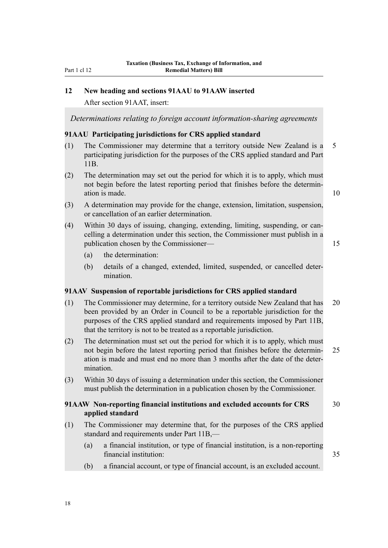# **12 New heading and sections 91AAU to 91AAW inserted**

After section 91AAT, insert:

*Determinations relating to foreign account information-sharing agreements*

#### **91AAU Participating jurisdictions for CRS applied standard**

- (1) The Commissioner may determine that a territory outside New Zealand is a 5 participating jurisdiction for the purposes of the CRS applied standard and Part 11B.
- (2) The determination may set out the period for which it is to apply, which must not begin before the latest reporting period that finishes before the determination is made. 10

- (3) A determination may provide for the change, extension, limitation, suspension, or cancellation of an earlier determination.
- (4) Within 30 days of issuing, changing, extending, limiting, suspending, or cancelling a determination under this section, the Commissioner must publish in a publication chosen by the Commissioner— 15
	- (a) the determination:
	- (b) details of a changed, extended, limited, suspended, or cancelled determination.

# **91AAV Suspension of reportable jurisdictions for CRS applied standard**

- (1) The Commissioner may determine, for a territory outside New Zealand that has 20 been provided by an Order in Council to be a reportable jurisdiction for the purposes of the CRS applied standard and requirements imposed by Part 11B, that the territory is not to be treated as a reportable jurisdiction.
- (2) The determination must set out the period for which it is to apply, which must not begin before the latest reporting period that finishes before the determin- 25 ation is made and must end no more than 3 months after the date of the determination.
- (3) Within 30 days of issuing a determination under this section, the Commissioner must publish the determination in a publication chosen by the Commissioner.

# **91AAW Non-reporting financial institutions and excluded accounts for CRS** 30 **applied standard**

- (1) The Commissioner may determine that, for the purposes of the CRS applied standard and requirements under Part 11B,—
	- (a) a financial institution, or type of financial institution, is a non-reporting financial institution: 35
	- (b) a financial account, or type of financial account, is an excluded account.

<span id="page-21-0"></span>Part 1 cl 12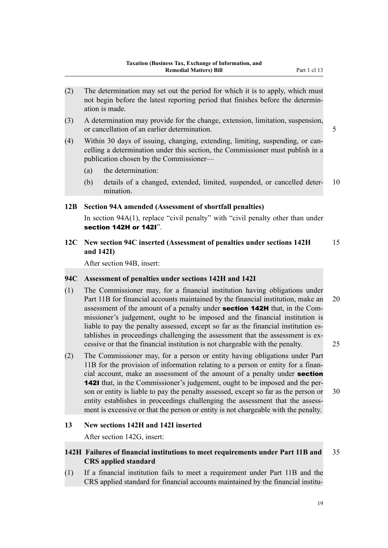- <span id="page-22-0"></span>(2) The determination may set out the period for which it is to apply, which must not begin before the latest reporting period that finishes before the determination is made.
- (3) A determination may provide for the change, extension, limitation, suspension, or cancellation of an earlier determination. 5
- (4) Within 30 days of issuing, changing, extending, limiting, suspending, or cancelling a determination under this section, the Commissioner must publish in a publication chosen by the Commissioner—
	- (a) the determination:
	- (b) details of a changed, extended, limited, suspended, or cancelled deter- 10 mination.

#### **12B Section 94A amended (Assessment of shortfall penalties)**

In section 94A(1), replace "civil penalty" with "civil penalty other than under section 142H or 142I".

**12C New section 94C inserted (Assessment of penalties under sections 142H** 15 **and 142I)**

After section 94B, insert:

#### **94C Assessment of penalties under sections 142H and 142I**

- (1) The Commissioner may, for a financial institution having obligations under Part 11B for financial accounts maintained by the financial institution, make an 20 assessment of the amount of a penalty under **section 142H** that, in the Commissioner's judgement, ought to be imposed and the financial institution is liable to pay the penalty assessed, except so far as the financial institution establishes in proceedings challenging the assessment that the assessment is excessive or that the financial institution is not chargeable with the penalty. 25
- (2) The Commissioner may, for a person or entity having obligations under Part 11B for the provision of information relating to a person or entity for a financial account, make an assessment of the amount of a penalty under section 142I that, in the Commissioner's judgement, ought to be imposed and the person or entity is liable to pay the penalty assessed, except so far as the person or 30 entity establishes in proceedings challenging the assessment that the assessment is excessive or that the person or entity is not chargeable with the penalty.

#### **13 New sections 142H and 142I inserted**

After section 142G, insert:

# **142H Failures of financial institutions to meet requirements under Part 11B and** 35 **CRS applied standard**

(1) If a financial institution fails to meet a requirement under Part 11B and the CRS applied standard for financial accounts maintained by the financial institu-

19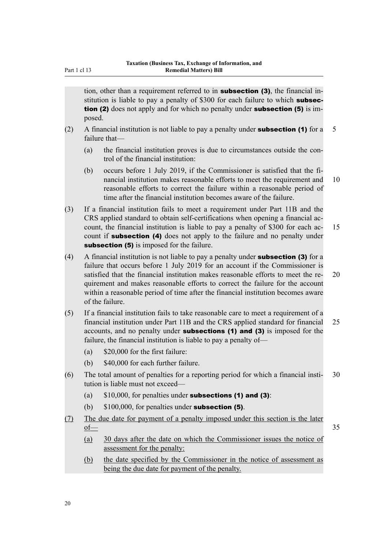tion, other than a requirement referred to in **subsection (3)**, the financial institution is liable to pay a penalty of \$300 for each failure to which **subsec**tion (2) does not apply and for which no penalty under **subsection (5)** is imposed.

- (2) A financial institution is not liable to pay a penalty under **subsection (1)** for a 5 failure that—
	- (a) the financial institution proves is due to circumstances outside the control of the financial institution:
	- (b) occurs before 1 July 2019, if the Commissioner is satisfied that the financial institution makes reasonable efforts to meet the requirement and 10 reasonable efforts to correct the failure within a reasonable period of time after the financial institution becomes aware of the failure.
- (3) If a financial institution fails to meet a requirement under Part 11B and the CRS applied standard to obtain self-certifications when opening a financial account, the financial institution is liable to pay a penalty of \$300 for each ac- 15 count if **subsection** (4) does not apply to the failure and no penalty under subsection (5) is imposed for the failure.
- (4) A financial institution is not liable to pay a penalty under **subsection (3)** for a failure that occurs before 1 July 2019 for an account if the Commissioner is satisfied that the financial institution makes reasonable efforts to meet the re- 20 quirement and makes reasonable efforts to correct the failure for the account within a reasonable period of time after the financial institution becomes aware of the failure.
- (5) If a financial institution fails to take reasonable care to meet a requirement of a financial institution under Part 11B and the CRS applied standard for financial 25 accounts, and no penalty under subsections (1) and (3) is imposed for the failure, the financial institution is liable to pay a penalty of—
	- (a) \$20,000 for the first failure:
	- (b) \$40,000 for each further failure.
- (6) The total amount of penalties for a reporting period for which a financial insti- 30 tution is liable must not exceed—
	- (a)  $$10,000$ , for penalties under subsections (1) and (3):
	- (b)  $$100,000$ , for penalties under **subsection (5)**.
- (7) The due date for payment of a penalty imposed under this section is the later  $\underline{\text{of}}$  35
	- (a) 30 days after the date on which the Commissioner issues the notice of assessment for the penalty:
	- (b) the date specified by the Commissioner in the notice of assessment as being the due date for payment of the penalty.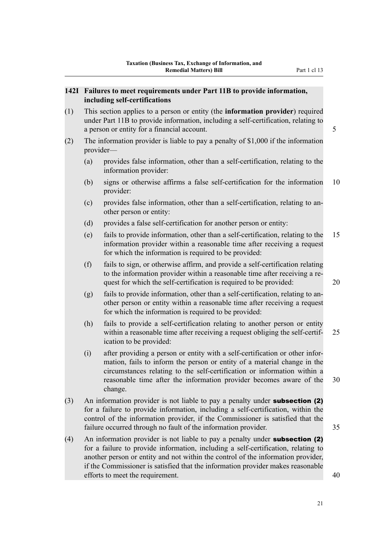# <span id="page-24-0"></span>**142I Failures to meet requirements under Part 11B to provide information, including self-certifications**

(1) This section applies to a person or entity (the **information provider**) required under Part 11B to provide information, including a self-certification, relating to a person or entity for a financial account.  $\frac{5}{5}$ 

- (2) The information provider is liable to pay a penalty of \$1,000 if the information provider—
	- (a) provides false information, other than a self-certification, relating to the information provider:
	- (b) signs or otherwise affirms a false self-certification for the information 10 provider:
	- (c) provides false information, other than a self-certification, relating to another person or entity:
	- (d) provides a false self-certification for another person or entity:
	- (e) fails to provide information, other than a self-certification, relating to the 15 information provider within a reasonable time after receiving a request for which the information is required to be provided:
	- (f) fails to sign, or otherwise affirm, and provide a self-certification relating to the information provider within a reasonable time after receiving a request for which the self-certification is required to be provided: 20
	- (g) fails to provide information, other than a self-certification, relating to another person or entity within a reasonable time after receiving a request for which the information is required to be provided:
	- (h) fails to provide a self-certification relating to another person or entity within a reasonable time after receiving a request obliging the self-certif- 25 ication to be provided:
	- (i) after providing a person or entity with a self-certification or other information, fails to inform the person or entity of a material change in the circumstances relating to the self-certification or information within a reasonable time after the information provider becomes aware of the 30 change.
- (3) An information provider is not liable to pay a penalty under subsection (2) for a failure to provide information, including a self-certification, within the control of the information provider, if the Commissioner is satisfied that the failure occurred through no fault of the information provider. 35
- (4) An information provider is not liable to pay a penalty under subsection (2) for a failure to provide information, including a self-certification, relating to another person or entity and not within the control of the information provider, if the Commissioner is satisfied that the information provider makes reasonable efforts to meet the requirement. 40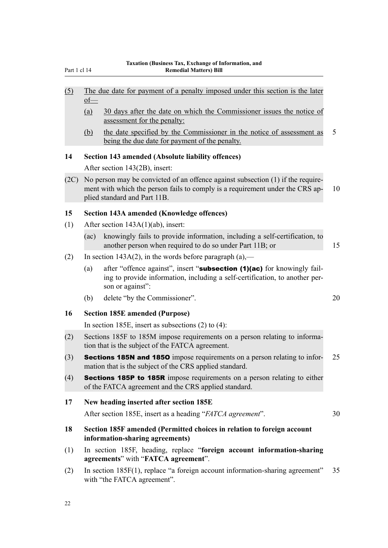- <span id="page-25-0"></span>(5) The due date for payment of a penalty imposed under this section is the later of—
	- (a) 30 days after the date on which the Commissioner issues the notice of assessment for the penalty:
	- (b) the date specified by the Commissioner in the notice of assessment as 5 being the due date for payment of the penalty.

# **14 Section 143 amended (Absolute liability offences)**

After section 143(2B), insert:

(2C) No person may be convicted of an offence against subsection (1) if the requirement with which the person fails to comply is a requirement under the CRS ap- 10 plied standard and Part 11B.

# **15 Section 143A amended (Knowledge offences)**

- (1) After section 143A(1)(ab), insert:
	- (ac) knowingly fails to provide information, including a self-certification, to another person when required to do so under Part 11B; or 15
- (2) In section 143A(2), in the words before paragraph (a),—
	- (a) after "offence against", insert "**subsection (1)(ac)** for knowingly failing to provide information, including a self-certification, to another person or against":
	- (b) delete "by the Commissioner". 20

# **16 Section 185E amended (Purpose)**

In section 185E, insert as subsections (2) to (4):

- (2) Sections 185F to 185M impose requirements on a person relating to information that is the subject of the FATCA agreement.
- (3) Sections 185N and 185O impose requirements on a person relating to infor- 25 mation that is the subject of the CRS applied standard.
- (4) Sections 185P to 185R impose requirements on a person relating to either of the FATCA agreement and the CRS applied standard.

# **17 New heading inserted after section 185E**

After section 185E, insert as a heading "*FATCA agreement*". 30

- 
- **18 Section 185F amended (Permitted choices in relation to foreign account information-sharing agreements)**
- (1) In section 185F, heading, replace "**foreign account information-sharing agreements**" with "**FATCA agreement**".
- (2) In section 185F(1), replace "a foreign account information-sharing agreement" 35 with "the FATCA agreement".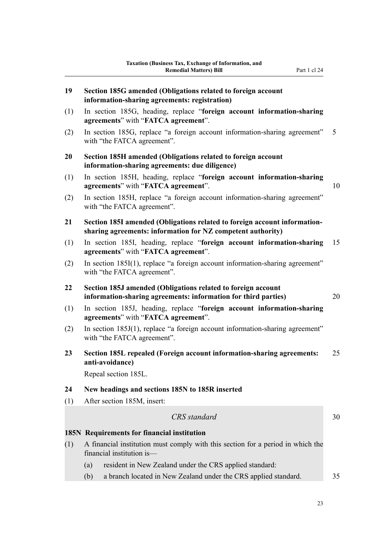<span id="page-26-0"></span>**19 Section 185G amended (Obligations related to foreign account**

|     | information-sharing agreements: registration)                                                                                            |    |
|-----|------------------------------------------------------------------------------------------------------------------------------------------|----|
| (1) | In section 185G, heading, replace "foreign account information-sharing<br>agreements" with "FATCA agreement".                            |    |
| (2) | In section 185G, replace "a foreign account information-sharing agreement"<br>with "the FATCA agreement".                                | 5  |
| 20  | Section 185H amended (Obligations related to foreign account<br>information-sharing agreements: due diligence)                           |    |
| (1) | In section 185H, heading, replace "foreign account information-sharing<br>agreements" with "FATCA agreement".                            | 10 |
| (2) | In section 185H, replace "a foreign account information-sharing agreement"<br>with "the FATCA agreement".                                |    |
| 21  | Section 185I amended (Obligations related to foreign account information-<br>sharing agreements: information for NZ competent authority) |    |
| (1) | In section 185I, heading, replace "foreign account information-sharing<br>agreements" with "FATCA agreement".                            | 15 |
| (2) | In section 185I(1), replace "a foreign account information-sharing agreement"<br>with "the FATCA agreement".                             |    |
| 22  | Section 185J amended (Obligations related to foreign account<br>information-sharing agreements: information for third parties)           | 20 |
| (1) | In section 185J, heading, replace "foreign account information-sharing<br>agreements" with "FATCA agreement".                            |    |
| (2) | In section 185J(1), replace "a foreign account information-sharing agreement"<br>with "the FATCA agreement".                             |    |
| 23  | Section 185L repealed (Foreign account information-sharing agreements:<br>anti-avoidance)<br>Repeal section 185L.                        | 25 |
| 24  | New headings and sections 185N to 185R inserted                                                                                          |    |
| (1) | After section 185M, insert:                                                                                                              |    |
|     | CRS standard                                                                                                                             | 30 |
|     | 185N Requirements for financial institution                                                                                              |    |
| (1) | A financial institution must comply with this section for a period in which the<br>financial institution is-                             |    |
|     | resident in New Zealand under the CRS applied standard:<br>(a)                                                                           |    |
|     | a branch located in New Zealand under the CRS applied standard.<br>(b)                                                                   | 35 |

23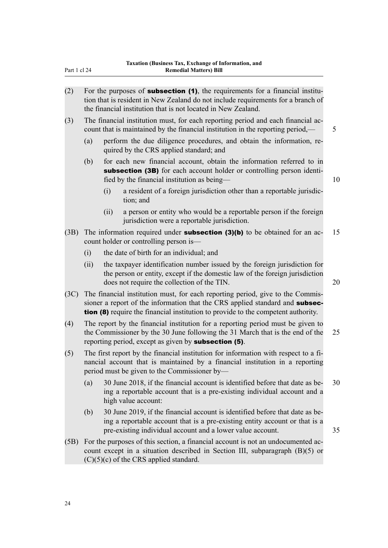| Part 1 cl 24 | <b>Remedial Matters) Bill</b>                                                                                                                                                                                                                              |    |
|--------------|------------------------------------------------------------------------------------------------------------------------------------------------------------------------------------------------------------------------------------------------------------|----|
| (2)          | For the purposes of <b>subsection (1)</b> , the requirements for a financial institu-<br>tion that is resident in New Zealand do not include requirements for a branch of<br>the financial institution that is not located in New Zealand.                 |    |
| (3)          | The financial institution must, for each reporting period and each financial ac-<br>count that is maintained by the financial institution in the reporting period,—                                                                                        | 5  |
|              | (a)<br>perform the due diligence procedures, and obtain the information, re-<br>quired by the CRS applied standard; and                                                                                                                                    |    |
|              | for each new financial account, obtain the information referred to in<br>(b)<br>subsection (3B) for each account holder or controlling person identi-<br>fied by the financial institution as being—                                                       | 10 |
|              | a resident of a foreign jurisdiction other than a reportable jurisdic-<br>(i)<br>tion; and                                                                                                                                                                 |    |
|              | a person or entity who would be a reportable person if the foreign<br>(ii)<br>jurisdiction were a reportable jurisdiction.                                                                                                                                 |    |
| (3B)         | The information required under <b>subsection <math>(3)(b)</math></b> to be obtained for an ac-<br>count holder or controlling person is—                                                                                                                   | 15 |
|              | the date of birth for an individual; and<br>(i)                                                                                                                                                                                                            |    |
|              | the taxpayer identification number issued by the foreign jurisdiction for<br>(ii)<br>the person or entity, except if the domestic law of the foreign jurisdiction<br>does not require the collection of the TIN.                                           | 20 |
| (3C)         | The financial institution must, for each reporting period, give to the Commis-<br>sioner a report of the information that the CRS applied standard and subsec-<br><b>tion (8)</b> require the financial institution to provide to the competent authority. |    |
| (4)          | The report by the financial institution for a reporting period must be given to<br>the Commissioner by the 30 June following the 31 March that is the end of the<br>reporting period, except as given by <b>subsection (5)</b> .                           | 25 |
| (5)          | The first report by the financial institution for information with respect to a fi-<br>nancial account that is maintained by a financial institution in a reporting<br>period must be given to the Commissioner by—                                        |    |
|              | 30 June 2018, if the financial account is identified before that date as be-<br>(a)<br>ing a reportable account that is a pre-existing individual account and a<br>high value account:                                                                     | 30 |
|              | 30 June 2019, if the financial account is identified before that date as be-<br>(b)<br>ing a reportable account that is a pre-existing entity account or that is a<br>pre-existing individual account and a lower value account.                           | 35 |
| (5B)         | For the purposes of this section, a financial account is not an undocumented ac-<br>count except in a situation described in Section III, subparagraph $(B)(5)$ or<br>$(C)(5)(c)$ of the CRS applied standard.                                             |    |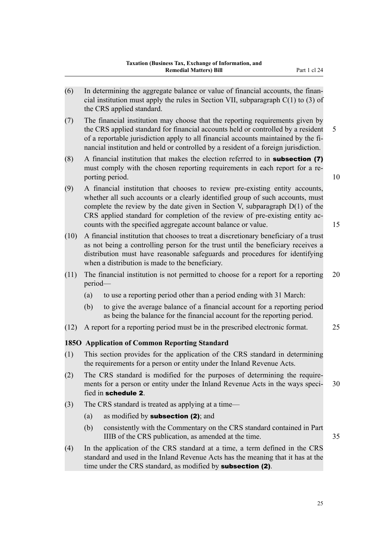- <span id="page-28-0"></span>(6) In determining the aggregate balance or value of financial accounts, the financial institution must apply the rules in Section VII, subparagraph  $C(1)$  to (3) of the CRS applied standard.
- (7) The financial institution may choose that the reporting requirements given by the CRS applied standard for financial accounts held or controlled by a resident 5 of a reportable jurisdiction apply to all financial accounts maintained by the financial institution and held or controlled by a resident of a foreign jurisdiction.
- (8) A financial institution that makes the election referred to in subsection (7) must comply with the chosen reporting requirements in each report for a reporting period. 10
- (9) A financial institution that chooses to review pre-existing entity accounts, whether all such accounts or a clearly identified group of such accounts, must complete the review by the date given in Section V, subparagraph D(1) of the CRS applied standard for completion of the review of pre-existing entity accounts with the specified aggregate account balance or value. 15
- (10) A financial institution that chooses to treat a discretionary beneficiary of a trust as not being a controlling person for the trust until the beneficiary receives a distribution must have reasonable safeguards and procedures for identifying when a distribution is made to the beneficiary.
- (11) The financial institution is not permitted to choose for a report for a reporting 20 period—
	- (a) to use a reporting period other than a period ending with 31 March:
	- (b) to give the average balance of a financial account for a reporting period as being the balance for the financial account for the reporting period.
- (12) A report for a reporting period must be in the prescribed electronic format. 25

# **185O Application of Common Reporting Standard**

- (1) This section provides for the application of the CRS standard in determining the requirements for a person or entity under the Inland Revenue Acts.
- (2) The CRS standard is modified for the purposes of determining the requirements for a person or entity under the Inland Revenue Acts in the ways speci- 30 fied in schedule 2.
- (3) The CRS standard is treated as applying at a time—
	- (a) as modified by **subsection (2)**; and
	- (b) consistently with the Commentary on the CRS standard contained in Part IIIB of the CRS publication, as amended at the time. 35
- (4) In the application of the CRS standard at a time, a term defined in the CRS standard and used in the Inland Revenue Acts has the meaning that it has at the time under the CRS standard, as modified by **subsection (2)**.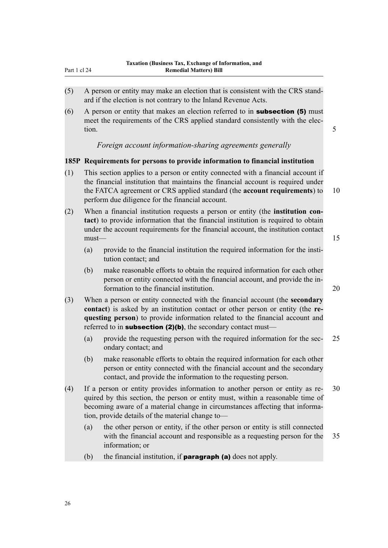- <span id="page-29-0"></span>(5) A person or entity may make an election that is consistent with the CRS standard if the election is not contrary to the Inland Revenue Acts.
- $(6)$  A person or entity that makes an election referred to in **subsection (5)** must meet the requirements of the CRS applied standard consistently with the election. 5

# *Foreign account information-sharing agreements generally*

# **185P Requirements for persons to provide information to financial institution**

- (1) This section applies to a person or entity connected with a financial account if the financial institution that maintains the financial account is required under the FATCA agreement or CRS applied standard (the **account requirements**) to 10 perform due diligence for the financial account.
- (2) When a financial institution requests a person or entity (the **institution contact**) to provide information that the financial institution is required to obtain under the account requirements for the financial account, the institution contact  ${\sf must}$  and  ${\sf must}$  and  ${\sf must}$  and  ${\sf must}$  and  ${\sf must}$  and  ${\sf must}$  are  ${\sf must}$  and  ${\sf must}$  and  ${\sf must}$  are  ${\sf must}$  and  ${\sf must}$  are  ${\sf must}$  and  ${\sf must}$  are  ${\sf must}$  and  ${\sf must}$  are  ${\sf must}$  and  ${\sf must}$  are  ${\sf must}$  and  ${\sf must}$  are  ${\sf must}$  and
	- (a) provide to the financial institution the required information for the institution contact; and
	- (b) make reasonable efforts to obtain the required information for each other person or entity connected with the financial account, and provide the information to the financial institution. 20
- (3) When a person or entity connected with the financial account (the **secondary contact**) is asked by an institution contact or other person or entity (the **requesting person**) to provide information related to the financial account and referred to in **subsection (2)(b)**, the secondary contact must—
	- (a) provide the requesting person with the required information for the sec- 25 ondary contact; and
	- (b) make reasonable efforts to obtain the required information for each other person or entity connected with the financial account and the secondary contact, and provide the information to the requesting person.
- (4) If a person or entity provides information to another person or entity as re- 30 quired by this section, the person or entity must, within a reasonable time of becoming aware of a material change in circumstances affecting that information, provide details of the material change to—
	- (a) the other person or entity, if the other person or entity is still connected with the financial account and responsible as a requesting person for the 35 information; or
	- (b) the financial institution, if **paragraph (a)** does not apply.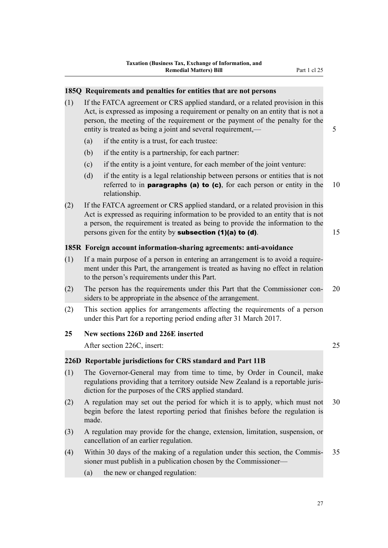#### <span id="page-30-0"></span>**185Q Requirements and penalties for entities that are not persons**

- (1) If the FATCA agreement or CRS applied standard, or a related provision in this Act, is expressed as imposing a requirement or penalty on an entity that is not a person, the meeting of the requirement or the payment of the penalty for the entity is treated as being a joint and several requirement,—
	- (a) if the entity is a trust, for each trustee:
	- (b) if the entity is a partnership, for each partner:
	- (c) if the entity is a joint venture, for each member of the joint venture:
	- (d) if the entity is a legal relationship between persons or entities that is not referred to in **paragraphs (a) to (c)**, for each person or entity in the  $10$ relationship.
- (2) If the FATCA agreement or CRS applied standard, or a related provision in this Act is expressed as requiring information to be provided to an entity that is not a person, the requirement is treated as being to provide the information to the persons given for the entity by **subsection (1)(a) to (d)**.  $15$

#### **185R Foreign account information-sharing agreements: anti-avoidance**

- (1) If a main purpose of a person in entering an arrangement is to avoid a requirement under this Part, the arrangement is treated as having no effect in relation to the person's requirements under this Part.
- (2) The person has the requirements under this Part that the Commissioner con- 20 siders to be appropriate in the absence of the arrangement.
- (2) This section applies for arrangements affecting the requirements of a person under this Part for a reporting period ending after 31 March 2017.

#### **25 New sections 226D and 226E inserted**

After section 226C, insert: 25

#### **226D Reportable jurisdictions for CRS standard and Part 11B**

- (1) The Governor-General may from time to time, by Order in Council, make regulations providing that a territory outside New Zealand is a reportable jurisdiction for the purposes of the CRS applied standard.
- (2) A regulation may set out the period for which it is to apply, which must not 30 begin before the latest reporting period that finishes before the regulation is made.
- (3) A regulation may provide for the change, extension, limitation, suspension, or cancellation of an earlier regulation.
- (4) Within 30 days of the making of a regulation under this section, the Commis- 35 sioner must publish in a publication chosen by the Commissioner—
	- (a) the new or changed regulation: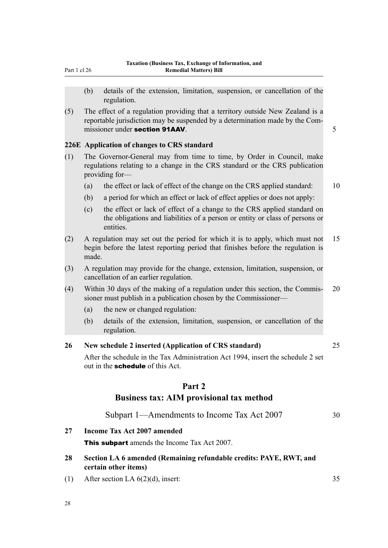- <span id="page-31-0"></span>(b) details of the extension, limitation, suspension, or cancellation of the regulation.
- (5) The effect of a regulation providing that a territory outside New Zealand is a reportable jurisdiction may be suspended by a determination made by the Commissioner under section 91AAV. **5** and 5 and 5 and 5 and 5 and 5 and 5 and 5 and 5 and 5 and 5 and 5 and 5 and 5 and 5 and 5 and 5 and 5 and 5 and 5 and 5 and 5 and 5 and 5 and 5 and 5 and 5 and 5 and 5 and 5 and 5 and 5 a

#### **226E Application of changes to CRS standard**

- (1) The Governor-General may from time to time, by Order in Council, make regulations relating to a change in the CRS standard or the CRS publication providing for—
	- (a) the effect or lack of effect of the change on the CRS applied standard: 10
	- (b) a period for which an effect or lack of effect applies or does not apply:
	- (c) the effect or lack of effect of a change to the CRS applied standard on the obligations and liabilities of a person or entity or class of persons or entities.
- (2) A regulation may set out the period for which it is to apply, which must not 15 begin before the latest reporting period that finishes before the regulation is made.
- (3) A regulation may provide for the change, extension, limitation, suspension, or cancellation of an earlier regulation.
- (4) Within 30 days of the making of a regulation under this section, the Commis- 20 sioner must publish in a publication chosen by the Commissioner—
	- (a) the new or changed regulation:
	- (b) details of the extension, limitation, suspension, or cancellation of the regulation.

# **26 New schedule 2 inserted (Application of CRS standard)** 25

After the schedule in the Tax Administration Act 1994, insert the schedule 2 set out in the **schedule** of this Act.

#### **Part 2**

#### **Business tax: AIM provisional tax method**

Subpart 1—Amendments to Income Tax Act 2007 30

# **27 Income Tax Act 2007 amended**

**This subpart** amends the Income Tax Act 2007.

- **28 Section LA 6 amended (Remaining refundable credits: PAYE, RWT, and certain other items)**
- (1) After section LA  $6(2)(d)$ , insert: 35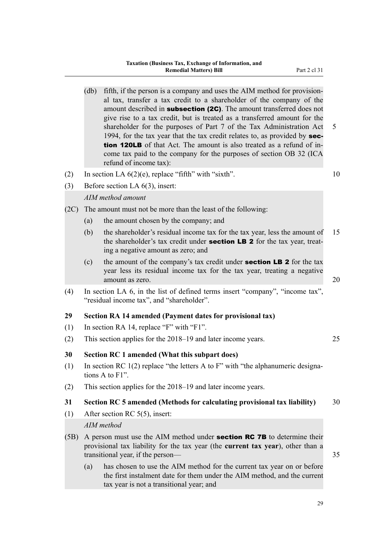- <span id="page-32-0"></span>(db) fifth, if the person is a company and uses the AIM method for provisional tax, transfer a tax credit to a shareholder of the company of the amount described in **subsection (2C)**. The amount transferred does not give rise to a tax credit, but is treated as a transferred amount for the shareholder for the purposes of Part 7 of the Tax Administration Act 5 1994, for the tax year that the tax credit relates to, as provided by section 120LB of that Act. The amount is also treated as a refund of income tax paid to the company for the purposes of section OB 32 (ICA refund of income tax):
- (2) In section LA  $6(2)(e)$ , replace "fifth" with "sixth". 10

(3) Before section LA 6(3), insert:

# *AIM method amount*

(2C) The amount must not be more than the least of the following:

- (a) the amount chosen by the company; and
- (b) the shareholder's residual income tax for the tax year, less the amount of 15 the shareholder's tax credit under **section LB 2** for the tax year, treating a negative amount as zero; and
- (c) the amount of the company's tax credit under **section LB 2** for the tax year less its residual income tax for the tax year, treating a negative amount as zero. 20
- (4) In section LA 6, in the list of defined terms insert "company", "income tax", "residual income tax", and "shareholder".

# **29 Section RA 14 amended (Payment dates for provisional tax)**

- (1) In section RA 14, replace "F" with "F1".
- (2) This section applies for the 2018–19 and later income years. 25

# **30 Section RC 1 amended (What this subpart does)**

- (1) In section RC 1(2) replace "the letters A to F" with "the alphanumeric designations A to F1".
- (2) This section applies for the 2018–19 and later income years.

# **31 Section RC 5 amended (Methods for calculating provisional tax liability)** 30

(1) After section RC 5(5), insert:

# *AIM method*

- (5B) A person must use the AIM method under **section RC 7B** to determine their provisional tax liability for the tax year (the **current tax year**), other than a transitional year, if the person— 35
	- (a) has chosen to use the AIM method for the current tax year on or before the first instalment date for them under the AIM method, and the current tax year is not a transitional year; and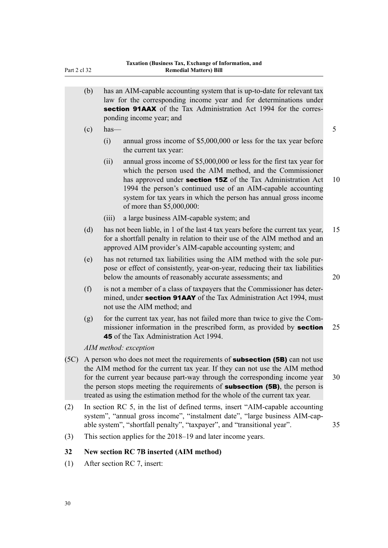<span id="page-33-0"></span>

| Part 2 cl 32 |                                                                                                                                                                                                                                                                                                                                                                                                                         | <b>Remedial Matters) Bill</b>                                                                                                                                                                                                                                                                                                                                                |    |  |  |  |
|--------------|-------------------------------------------------------------------------------------------------------------------------------------------------------------------------------------------------------------------------------------------------------------------------------------------------------------------------------------------------------------------------------------------------------------------------|------------------------------------------------------------------------------------------------------------------------------------------------------------------------------------------------------------------------------------------------------------------------------------------------------------------------------------------------------------------------------|----|--|--|--|
|              | (b)                                                                                                                                                                                                                                                                                                                                                                                                                     | has an AIM-capable accounting system that is up-to-date for relevant tax<br>law for the corresponding income year and for determinations under<br>section 91AAX of the Tax Administration Act 1994 for the corres-<br>ponding income year; and                                                                                                                               |    |  |  |  |
|              | (c)                                                                                                                                                                                                                                                                                                                                                                                                                     | $has-$                                                                                                                                                                                                                                                                                                                                                                       | 5  |  |  |  |
|              |                                                                                                                                                                                                                                                                                                                                                                                                                         | annual gross income of \$5,000,000 or less for the tax year before<br>(i)<br>the current tax year:                                                                                                                                                                                                                                                                           |    |  |  |  |
|              |                                                                                                                                                                                                                                                                                                                                                                                                                         | annual gross income of \$5,000,000 or less for the first tax year for<br>(ii)<br>which the person used the AIM method, and the Commissioner<br>has approved under section 15Z of the Tax Administration Act<br>1994 the person's continued use of an AIM-capable accounting<br>system for tax years in which the person has annual gross income<br>of more than \$5,000,000: | 10 |  |  |  |
|              |                                                                                                                                                                                                                                                                                                                                                                                                                         | a large business AIM-capable system; and<br>(iii)                                                                                                                                                                                                                                                                                                                            |    |  |  |  |
|              | (d)                                                                                                                                                                                                                                                                                                                                                                                                                     | has not been liable, in 1 of the last 4 tax years before the current tax year,<br>for a shortfall penalty in relation to their use of the AIM method and an<br>approved AIM provider's AIM-capable accounting system; and                                                                                                                                                    | 15 |  |  |  |
|              | (e)                                                                                                                                                                                                                                                                                                                                                                                                                     | has not returned tax liabilities using the AIM method with the sole pur-<br>pose or effect of consistently, year-on-year, reducing their tax liabilities<br>below the amounts of reasonably accurate assessments; and                                                                                                                                                        | 20 |  |  |  |
|              | (f)                                                                                                                                                                                                                                                                                                                                                                                                                     | is not a member of a class of taxpayers that the Commissioner has deter-<br>mined, under section 91AAY of the Tax Administration Act 1994, must<br>not use the AIM method; and                                                                                                                                                                                               |    |  |  |  |
|              | (g)                                                                                                                                                                                                                                                                                                                                                                                                                     | for the current tax year, has not failed more than twice to give the Com-<br>missioner information in the prescribed form, as provided by section<br><b>45</b> of the Tax Administration Act 1994.                                                                                                                                                                           | 25 |  |  |  |
|              |                                                                                                                                                                                                                                                                                                                                                                                                                         | AIM method: exception                                                                                                                                                                                                                                                                                                                                                        |    |  |  |  |
| (5C)         | A person who does not meet the requirements of <b>subsection (5B)</b> can not use<br>the AIM method for the current tax year. If they can not use the AIM method<br>for the current year because part-way through the corresponding income year<br>the person stops meeting the requirements of <b>subsection (5B)</b> , the person is<br>treated as using the estimation method for the whole of the current tax year. |                                                                                                                                                                                                                                                                                                                                                                              |    |  |  |  |
| (2)          |                                                                                                                                                                                                                                                                                                                                                                                                                         | In section RC 5, in the list of defined terms, insert "AIM-capable accounting<br>system", "annual gross income", "instalment date", "large business AIM-cap-<br>able system", "shortfall penalty", "taxpayer", and "transitional year".                                                                                                                                      | 35 |  |  |  |
| (3)          |                                                                                                                                                                                                                                                                                                                                                                                                                         | This section applies for the 2018–19 and later income years.                                                                                                                                                                                                                                                                                                                 |    |  |  |  |
| 32           |                                                                                                                                                                                                                                                                                                                                                                                                                         | <b>New section RC 7B inserted (AIM method)</b>                                                                                                                                                                                                                                                                                                                               |    |  |  |  |

(1) After section RC 7, insert: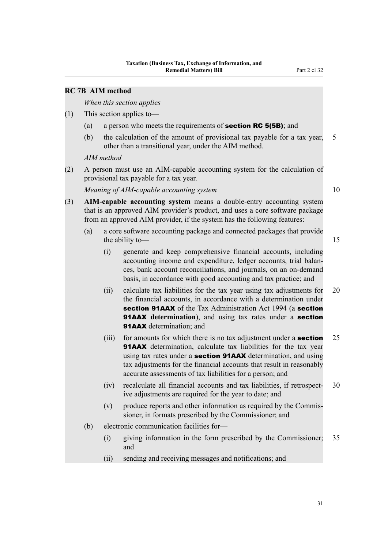# <span id="page-34-0"></span>**RC 7B AIM method**

*When this section applies*

- (1) This section applies to—
	- (a) a person who meets the requirements of **section RC 5(5B)**; and
	- (b) the calculation of the amount of provisional tax payable for a tax year, 5 other than a transitional year, under the AIM method.

*AIM method*

(2) A person must use an AIM-capable accounting system for the calculation of provisional tax payable for a tax year.

*Meaning of AIM-capable accounting system* 10

- (3) **AIM-capable accounting system** means a double-entry accounting system that is an approved AIM provider's product, and uses a core software package from an approved AIM provider, if the system has the following features:
	- (a) a core software accounting package and connected packages that provide the ability to — 15
		- (i) generate and keep comprehensive financial accounts, including accounting income and expenditure, ledger accounts, trial balances, bank account reconciliations, and journals, on an on-demand basis, in accordance with good accounting and tax practice; and
		- (ii) calculate tax liabilities for the tax year using tax adjustments for 20 the financial accounts, in accordance with a determination under section 91AAX of the Tax Administration Act 1994 (a section **91AAX** determination), and using tax rates under a **section** 91AAX determination; and
		- (iii) for amounts for which there is no tax adjustment under a **section**  $25$ 91AAX determination, calculate tax liabilities for the tax year using tax rates under a **section 91AAX** determination, and using tax adjustments for the financial accounts that result in reasonably accurate assessments of tax liabilities for a person; and
		- (iv) recalculate all financial accounts and tax liabilities, if retrospect- 30 ive adjustments are required for the year to date; and
		- (v) produce reports and other information as required by the Commissioner, in formats prescribed by the Commissioner; and
	- (b) electronic communication facilities for—
		- (i) giving information in the form prescribed by the Commissioner; 35 and
		- (ii) sending and receiving messages and notifications; and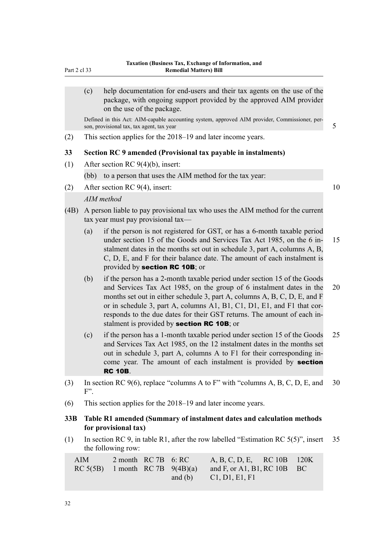<span id="page-35-0"></span>(c) help documentation for end-users and their tax agents on the use of the package, with ongoing support provided by the approved AIM provider on the use of the package.

Defined in this Act: AIM-capable accounting system, approved AIM provider, Commissioner, person, provisional tax, tax agent, tax year  $\frac{1}{5}$ 

(2) This section applies for the 2018–19 and later income years.

#### **33 Section RC 9 amended (Provisional tax payable in instalments)**

(1) After section RC 9(4)(b), insert:

(bb) to a person that uses the AIM method for the tax year:

(2) After section RC  $9(4)$ , insert: 10

#### *AIM method*

- (4B) A person liable to pay provisional tax who uses the AIM method for the current tax year must pay provisional tax—
	- (a) if the person is not registered for GST, or has a 6-month taxable period under section 15 of the Goods and Services Tax Act 1985, on the 6 in- 15 stalment dates in the months set out in schedule 3, part A, columns A, B, C, D, E, and F for their balance date. The amount of each instalment is provided by section RC 10B; or
	- (b) if the person has a 2-month taxable period under section 15 of the Goods and Services Tax Act 1985, on the group of 6 instalment dates in the 20 months set out in either schedule 3, part A, columns A, B, C, D, E, and F or in schedule 3, part A, columns A1, B1, C1, D1, E1, and F1 that corresponds to the due dates for their GST returns. The amount of each instalment is provided by **section RC 10B**; or
	- (c) if the person has a 1-month taxable period under section 15 of the Goods 25 and Services Tax Act 1985, on the 12 instalment dates in the months set out in schedule 3, part A, columns A to F1 for their corresponding income year. The amount of each instalment is provided by **section** RC 10B.
- (3) In section RC 9(6), replace "columns A to F" with "columns A, B, C, D, E, and 30  $F$ ".
- (6) This section applies for the 2018–19 and later income years.

# **33B Table R1 amended (Summary of instalment dates and calculation methods for provisional tax)**

(1) In section RC 9, in table R1, after the row labelled "Estimation RC 5(5)", insert 35 the following row:

| <b>AIM</b> | $2$ month RC 7B 6: RC |  | A, B, C, D, E, RC 10B 120K                                    |  |
|------------|-----------------------|--|---------------------------------------------------------------|--|
|            |                       |  | RC 5(5B) 1 month RC 7B $9(4B)(a)$ and F, or A1, B1, RC 10B BC |  |
|            |                       |  | and (b) $Cl, D1, E1, F1$                                      |  |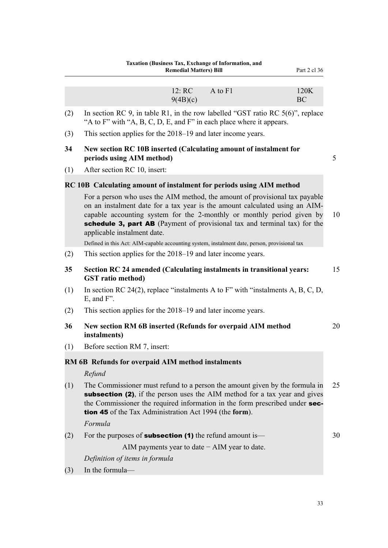|           | Taxation (Business Tax, Exchange of Information, and<br><b>Remedial Matters) Bill</b><br>Part 2 cl 36                                                                                                                                                                                                                                                                                                                                            |    |
|-----------|--------------------------------------------------------------------------------------------------------------------------------------------------------------------------------------------------------------------------------------------------------------------------------------------------------------------------------------------------------------------------------------------------------------------------------------------------|----|
|           | 12: RC<br>A to F1<br>120K<br>9(4B)(c)<br>BC                                                                                                                                                                                                                                                                                                                                                                                                      |    |
| (2)       | In section RC 9, in table R1, in the row labelled "GST ratio RC $5(6)$ ", replace<br>"A to F" with "A, B, C, D, E, and F" in each place where it appears.                                                                                                                                                                                                                                                                                        |    |
| (3)       | This section applies for the 2018–19 and later income years.                                                                                                                                                                                                                                                                                                                                                                                     |    |
| 34<br>(1) | New section RC 10B inserted (Calculating amount of instalment for<br>periods using AIM method)<br>After section RC 10, insert:                                                                                                                                                                                                                                                                                                                   | 5  |
|           | RC 10B Calculating amount of instalment for periods using AIM method                                                                                                                                                                                                                                                                                                                                                                             |    |
|           | For a person who uses the AIM method, the amount of provisional tax payable<br>on an instalment date for a tax year is the amount calculated using an AIM-<br>capable accounting system for the 2-monthly or monthly period given by<br>schedule 3, part AB (Payment of provisional tax and terminal tax) for the<br>applicable instalment date.<br>Defined in this Act: AIM-capable accounting system, instalment date, person, provisional tax | 10 |
| (2)       | This section applies for the 2018–19 and later income years.                                                                                                                                                                                                                                                                                                                                                                                     |    |
| 35        | Section RC 24 amended (Calculating instalments in transitional years:<br><b>GST</b> ratio method)                                                                                                                                                                                                                                                                                                                                                | 15 |
| (1)       | In section RC 24(2), replace "instalments A to F" with "instalments A, B, C, D,<br>$E$ , and $F$ ".                                                                                                                                                                                                                                                                                                                                              |    |
| (2)       | This section applies for the 2018–19 and later income years.                                                                                                                                                                                                                                                                                                                                                                                     |    |
| 36        | New section RM 6B inserted (Refunds for overpaid AIM method<br>instalments)                                                                                                                                                                                                                                                                                                                                                                      | 20 |
| (1)       | Before section RM 7, insert:                                                                                                                                                                                                                                                                                                                                                                                                                     |    |
|           | RM 6B Refunds for overpaid AIM method instalments                                                                                                                                                                                                                                                                                                                                                                                                |    |
|           | Refund                                                                                                                                                                                                                                                                                                                                                                                                                                           |    |
| (1)       | The Commissioner must refund to a person the amount given by the formula in<br>subsection (2), if the person uses the AIM method for a tax year and gives<br>the Commissioner the required information in the form prescribed under sec-<br><b>tion 45</b> of the Tax Administration Act 1994 (the form).                                                                                                                                        | 25 |
|           | Formula                                                                                                                                                                                                                                                                                                                                                                                                                                          |    |
| (2)       | For the purposes of <b>subsection (1)</b> the refund amount is—                                                                                                                                                                                                                                                                                                                                                                                  | 30 |
|           | AIM payments year to date $-$ AIM year to date.                                                                                                                                                                                                                                                                                                                                                                                                  |    |
|           | Definition of items in formula                                                                                                                                                                                                                                                                                                                                                                                                                   |    |
| (3)       | In the formula-                                                                                                                                                                                                                                                                                                                                                                                                                                  |    |

- 
- 
-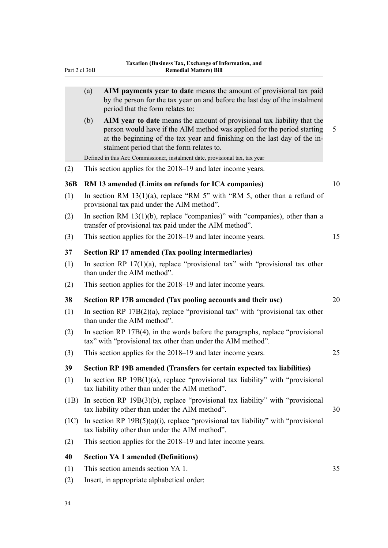| 1 an t∠ ∪i J∪D |     | ілешешаі імацегу) бін                                                                                                                                                                                                                                                        |    |
|----------------|-----|------------------------------------------------------------------------------------------------------------------------------------------------------------------------------------------------------------------------------------------------------------------------------|----|
|                |     |                                                                                                                                                                                                                                                                              |    |
|                | (a) | AIM payments year to date means the amount of provisional tax paid<br>by the person for the tax year on and before the last day of the instalment<br>period that the form relates to:                                                                                        |    |
|                | (b) | AIM year to date means the amount of provisional tax liability that the<br>person would have if the AIM method was applied for the period starting<br>at the beginning of the tax year and finishing on the last day of the in-<br>stalment period that the form relates to. | 5  |
| (2)            |     | Defined in this Act: Commissioner, instalment date, provisional tax, tax year<br>This section applies for the 2018–19 and later income years.                                                                                                                                |    |
|                |     |                                                                                                                                                                                                                                                                              |    |
| 36B            |     | RM 13 amended (Limits on refunds for ICA companies)                                                                                                                                                                                                                          | 10 |
| (1)            |     | In section RM $13(1)(a)$ , replace "RM 5" with "RM 5, other than a refund of<br>provisional tax paid under the AIM method".                                                                                                                                                  |    |
| (2)            |     | In section RM $13(1)(b)$ , replace "companies)" with "companies), other than a<br>transfer of provisional tax paid under the AIM method".                                                                                                                                    |    |
| (3)            |     | This section applies for the 2018–19 and later income years.                                                                                                                                                                                                                 | 15 |
| 37             |     | <b>Section RP 17 amended (Tax pooling intermediaries)</b>                                                                                                                                                                                                                    |    |
| (1)            |     | In section RP $17(1)(a)$ , replace "provisional tax" with "provisional tax other<br>than under the AIM method".                                                                                                                                                              |    |
| (2)            |     | This section applies for the 2018–19 and later income years.                                                                                                                                                                                                                 |    |
| 38             |     | Section RP 17B amended (Tax pooling accounts and their use)                                                                                                                                                                                                                  | 20 |
| (1)            |     | In section RP $17B(2)(a)$ , replace "provisional tax" with "provisional tax other<br>than under the AIM method".                                                                                                                                                             |    |
| (2)            |     | In section RP 17B(4), in the words before the paragraphs, replace "provisional"<br>tax" with "provisional tax other than under the AIM method".                                                                                                                              |    |
| (3)            |     | This section applies for the 2018–19 and later income years.                                                                                                                                                                                                                 | 25 |
| 39             |     | Section RP 19B amended (Transfers for certain expected tax liabilities)                                                                                                                                                                                                      |    |
| (1)            |     | In section RP $19B(1)(a)$ , replace "provisional tax liability" with "provisional<br>tax liability other than under the AIM method".                                                                                                                                         |    |
| (1B)           |     | In section RP $19B(3)(b)$ , replace "provisional tax liability" with "provisional<br>tax liability other than under the AIM method".                                                                                                                                         | 30 |
| (1C)           |     | In section RP $19B(5)(a)(i)$ , replace "provisional tax liability" with "provisional<br>tax liability other than under the AIM method".                                                                                                                                      |    |
| (2)            |     | This section applies for the 2018–19 and later income years.                                                                                                                                                                                                                 |    |
| 40             |     | <b>Section YA 1 amended (Definitions)</b>                                                                                                                                                                                                                                    |    |
| (1)            |     | This section amends section YA 1.                                                                                                                                                                                                                                            | 35 |

(2) Insert, in appropriate alphabetical order: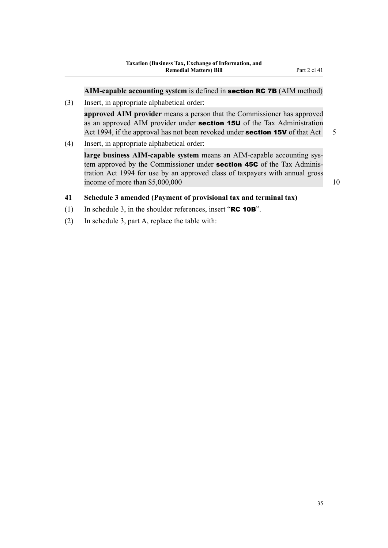**AIM-capable accounting system** is defined in section RC 7B (AIM method)

(3) Insert, in appropriate alphabetical order:

**approved AIM provider** means a person that the Commissioner has approved as an approved AIM provider under **section 15U** of the Tax Administration Act 1994, if the approval has not been revoked under **section 15V** of that Act  $\overline{5}$ 

(4) Insert, in appropriate alphabetical order:

**large business AIM-capable system** means an AIM-capable accounting system approved by the Commissioner under **section 45C** of the Tax Administration Act 1994 for use by an approved class of taxpayers with annual gross income of more than  $$5,000,000$  10

# **41 Schedule 3 amended (Payment of provisional tax and terminal tax)**

- (1) In schedule 3, in the shoulder references, insert "RC 10B".
- (2) In schedule 3, part A, replace the table with: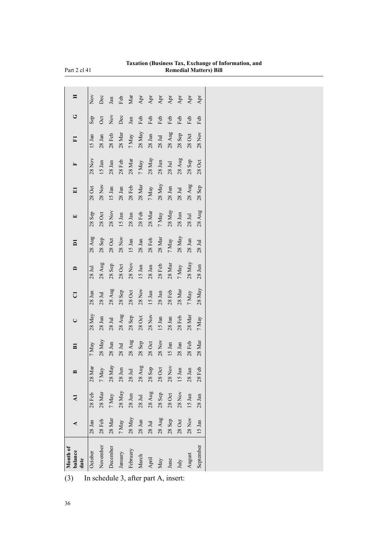| Month of<br>balance<br>date | ⋖                                      |                              |                    | $\overline{\mathbf{B}}$ | $\cup$            | ರ                            |                    | $\overline{\mathsf{a}}$ |                    | $\mathbf{H}$         |                              | $\Xi$         | ن                | œ   |
|-----------------------------|----------------------------------------|------------------------------|--------------------|-------------------------|-------------------|------------------------------|--------------------|-------------------------|--------------------|----------------------|------------------------------|---------------|------------------|-----|
| October                     | $28$ Jan                               | $28$ Feb                     | 28 Mar             | 7 May                   | 28 May            | 28 Jun                       | 28 Jul             | 28 Aug                  | 28 Sep             | 28 Oct               | 28 Nov                       | $15$ Jan      | Sep              | Nον |
| November                    | $28$ Feb                               | $28\ \mathrm{Mar}$           | $7\,\mbox{May}$    | 28 May                  | $28$ Jun          | 28 Jul                       | 28 Aug             | 28 Sep                  | $28$ Oct           | 28 Nov               | $15$ Jan                     | 28 Jan        | <b>Oct</b>       | Dec |
| December                    | $28\,{\rm Mar}$                        | $7\,\mathrm{May}$            | $28\ \mathrm{May}$ | $28 \text{ Jun}$        | $28$ Jul          | 28 Aug                       | 28 Sep             | $28$ Oct                | <b>28 Nov</b>      | 15 Jan               | 28 Jan                       | $28$ Feb      | $\sum_{i=1}^{n}$ | Jan |
| January                     | 7 May                                  | $28\ \mathrm{May}$           | $28\ \mathrm{Jun}$ | 28 Jul                  | $28 \mathrm{Aug}$ | 28 Sep                       | $28$ Oct           | <b>28 Nov</b>           | $15$ Jan           | 28 Jan               | $28$ Feb                     | 28 Mar        | Dec              | Feb |
| February                    | $28\ \mathrm{May}$                     | $28\ \mathrm{J} \mathrm{un}$ | $28\ \mathrm{Jul}$ | 28 Aug                  | 28 Sep            | $28$ Oct                     | <b>28 Nov</b>      | $15$ Jan                | $28$ Jan           | $28$ Feb             | $28$ Mar $\,$                | 7 May         | Jan              | Mar |
| March                       | $28\ \mathrm{J} \mathrm{u} \mathrm{n}$ | $28\ \mathrm{Jul}$           | $28\ \mathrm{Aug}$ | 28Sep                   | $28$ Oct          | $28$ Nov                     | 15 Jan             | $28\ \mathrm{Jan}$      | $28$ Feb           | $28$ Mar $\,$        | $7\,{\rm May}$               | $28$ May      | Feb              | Apr |
| April                       | $28\ \mathrm{Jul}$                     | $28$ Aug                     | $28$ Sep           | $28$ Oct                | $28$ Nov          | $15~\mathrm{Jan}$            | 28 Jan             | $28$ Feb                | $28\ \mathrm{Mar}$ | $7\,{\rm May}$       | $28$ May                     | $28$ Jun      | Feb              | Apr |
| May                         | $28 \mathrm{Aug}$                      | 28Sep                        | $28$ Oct           | $28$ Nov                | 15 Jan            | $28\ \mathrm{J} \mathrm{an}$ | $28$ Feb           | $28\ \mathrm{Mar}$      | $7\,{\rm May}$     | $28$ May             | $28\ \mathrm{J} \mathrm{un}$ | $28$ Jul      | Feb              | Арт |
| June                        | $28$ Sep                               | $28$ Oct                     | $28$ Nov           | $15$ Jan                | 28 Jan            | $28$ Feb                     | $28$ Mar $\,$      | $7\,\mathrm{May}$       | $28$ May           | $28 \; \mathrm{Jun}$ | 28 Jul                       | $28$ Aug      | Feb              | Арт |
| July                        | $28$ Oct                               | $28$ Nov                     | $15$ Jan           | $28\ \mathrm{Jan}$      | $28$ Feb          | $28\ \mathrm{Mar}$           | $7\,\mbox{May}$    | $28\ \mathrm{May}$      | $28\ \mathrm{Jun}$ | 28 Jul               | $28 \mathrm{Aug}$            | 28 Sep        | Feb              | Арт |
| August                      | $28$ Nov                               | $15$ Jan                     | $28\ \mathrm{Jan}$ | $28$ Feb                | $28$ Mar          | 7 May                        | $28\ \mathrm{May}$ | $28$ Jun                | 28 Jul             | $28$ Aug             | 28 Sep                       | $28$ Oct      | Feb              | Apr |
| September                   | 15 Jan                                 | $28\ \mathrm{Jan}$           | $28$ Feb           | $28$ Mar                | 7 May             | 28 May                       | $28$ Jun           | 28 Jul                  | 28 Aug             | $28$ Sep             | 28Oct                        | <b>28 Nov</b> | Feb              | Apr |
|                             |                                        |                              |                    |                         |                   |                              |                    |                         |                    |                      |                              |               |                  |     |

**Taxation (Business Tax, Exchange of Information, and Remedial Matters) Bill**

(3) In schedule 3, after part A, insert:

Part 2 cl 41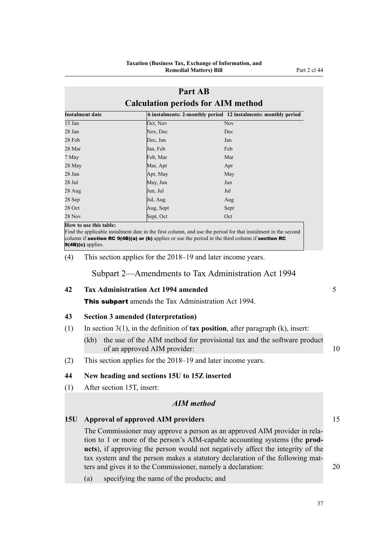# **Part AB Calculation periods for AIM method**

| <b>Instalment date</b> |           | 6 instalments: 2-monthly period 12 instalments: monthly period |
|------------------------|-----------|----------------------------------------------------------------|
| $15$ Jan               | Oct, Nov  | <b>Nov</b>                                                     |
| 28 Jan                 | Nov, Dec  | Dec                                                            |
| 28 Feb                 | Dec, Jan  | Jan                                                            |
| 28 Mar                 | Jan, Feb  | Feb                                                            |
| 7 May                  | Feb, Mar  | Mar                                                            |
| 28 May                 | Mar, Apr  | Apr                                                            |
| 28 Jun                 | Apr, May  | May                                                            |
| 28 Jul                 | May, Jun  | Jun                                                            |
| 28 Aug                 | Jun, Jul  | Jul                                                            |
| 28 Sep                 | Jul, Aug  | Aug                                                            |
| 28 Oct                 | Aug, Sept | Sept                                                           |
| 28 Nov                 | Sept, Oct | Oct                                                            |

**How to use this table:**

Find the applicable instalment date in the first column, and use the period for that instalment in the second column if section RC 9(4B)(a) or (b) applies or use the period in the third column if section RC 9(4B)(c) applies.

(4) This section applies for the 2018–19 and later income years.

Subpart 2—Amendments to Tax Administration Act 1994

# **42 Tax Administration Act 1994 amended** 5

**This subpart** amends the Tax Administration Act 1994.

# **43 Section 3 amended (Interpretation)**

- (1) In section 3(1), in the definition of **tax position**, after paragraph (k), insert:
	- (kb) the use of the AIM method for provisional tax and the software product of an approved AIM provider: 10
- (2) This section applies for the 2018–19 and later income years.

# **44 New heading and sections 15U to 15Z inserted**

(1) After section 15T, insert:

# *AIM method*

# **15U Approval of approved AIM providers** 15

The Commissioner may approve a person as an approved AIM provider in relation to 1 or more of the person's AIM-capable accounting systems (the **products**), if approving the person would not negatively affect the integrity of the tax system and the person makes a statutory declaration of the following matters and gives it to the Commissioner, namely a declaration: 20

(a) specifying the name of the products; and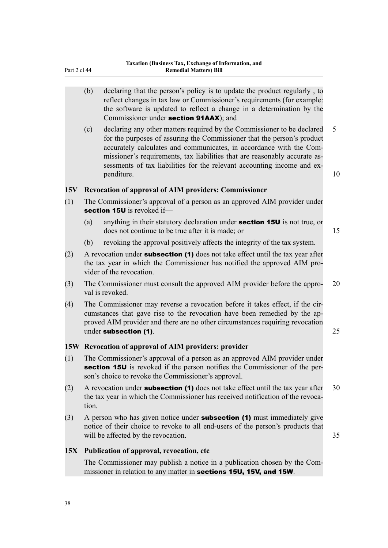- (b) declaring that the person's policy is to update the product regularly , to reflect changes in tax law or Commissioner's requirements (for example: the software is updated to reflect a change in a determination by the Commissioner under section 91AAX); and
- (c) declaring any other matters required by the Commissioner to be declared 5 for the purposes of assuring the Commissioner that the person's product accurately calculates and communicates, in accordance with the Commissioner's requirements, tax liabilities that are reasonably accurate assessments of tax liabilities for the relevant accounting income and expenditure. 10

#### **15V Revocation of approval of AIM providers: Commissioner**

- (1) The Commissioner's approval of a person as an approved AIM provider under section 15U is revoked if-
	- (a) anything in their statutory declaration under section 15U is not true, or does not continue to be true after it is made; or 15
	- (b) revoking the approval positively affects the integrity of the tax system.
- (2) A revocation under **subsection (1)** does not take effect until the tax year after the tax year in which the Commissioner has notified the approved AIM provider of the revocation.
- (3) The Commissioner must consult the approved AIM provider before the appro- 20 val is revoked.
- (4) The Commissioner may reverse a revocation before it takes effect, if the circumstances that gave rise to the revocation have been remedied by the approved AIM provider and there are no other circumstances requiring revocation under subsection (1). 25

### **15W Revocation of approval of AIM providers: provider**

- (1) The Commissioner's approval of a person as an approved AIM provider under section 15U is revoked if the person notifies the Commissioner of the person's choice to revoke the Commissioner's approval.
- (2) A revocation under **subsection (1)** does not take effect until the tax year after  $30$ the tax year in which the Commissioner has received notification of the revocation.
- $(3)$  A person who has given notice under **subsection (1)** must immediately give notice of their choice to revoke to all end-users of the person's products that will be affected by the revocation. 35

#### **15X Publication of approval, revocation, etc**

The Commissioner may publish a notice in a publication chosen by the Commissioner in relation to any matter in sections 15U, 15V, and 15W.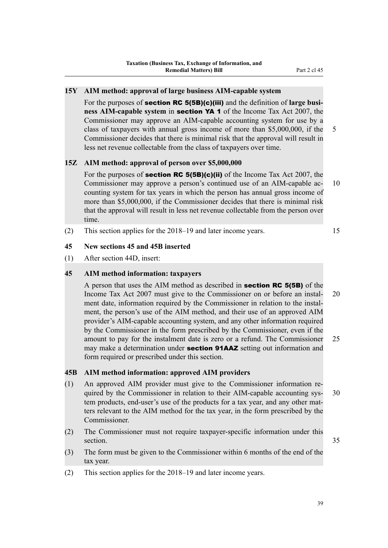# **15Y AIM method: approval of large business AIM-capable system**

For the purposes of section RC 5(5B)(c)(iii) and the definition of **large business AIM-capable system** in section YA 1 of the Income Tax Act 2007, the Commissioner may approve an AIM-capable accounting system for use by a class of taxpayers with annual gross income of more than \$5,000,000, if the 5 Commissioner decides that there is minimal risk that the approval will result in less net revenue collectable from the class of taxpayers over time.

# **15Z AIM method: approval of person over \$5,000,000**

For the purposes of **section RC 5(5B)(c)(ii)** of the Income Tax Act 2007, the Commissioner may approve a person's continued use of an AIM-capable ac- 10 counting system for tax years in which the person has annual gross income of more than \$5,000,000, if the Commissioner decides that there is minimal risk that the approval will result in less net revenue collectable from the person over time.

(2) This section applies for the 2018–19 and later income years. 15

### **45 New sections 45 and 45B inserted**

(1) After section 44D, insert:

# **45 AIM method information: taxpayers**

A person that uses the AIM method as described in section RC 5(5B) of the Income Tax Act 2007 must give to the Commissioner on or before an instal- 20 ment date, information required by the Commissioner in relation to the instalment, the person's use of the AIM method, and their use of an approved AIM provider's AIM-capable accounting system, and any other information required by the Commissioner in the form prescribed by the Commissioner, even if the amount to pay for the instalment date is zero or a refund. The Commissioner 25 may make a determination under **section 91AAZ** setting out information and form required or prescribed under this section.

#### **45B AIM method information: approved AIM providers**

- (1) An approved AIM provider must give to the Commissioner information required by the Commissioner in relation to their AIM-capable accounting sys- 30 tem products, end-user's use of the products for a tax year, and any other matters relevant to the AIM method for the tax year, in the form prescribed by the Commissioner.
- (2) The Commissioner must not require taxpayer-specific information under this section. 35
- (3) The form must be given to the Commissioner within 6 months of the end of the tax year.
- (2) This section applies for the 2018–19 and later income years.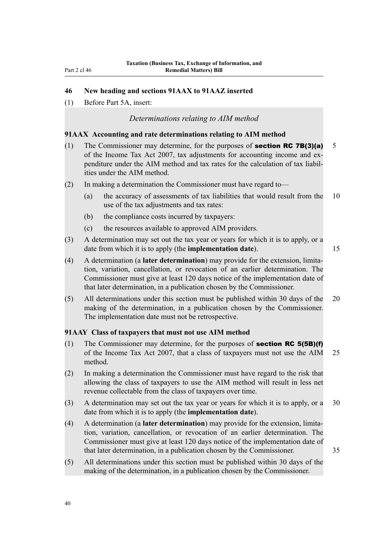# **46 New heading and sections 91AAX to 91AAZ inserted**

(1) Before Part 5A, insert:

# *Determinations relating to AIM method*

# **91AAX Accounting and rate determinations relating to AIM method**

- (1) The Commissioner may determine, for the purposes of **section RC 7B(3)(a)** 5 of the Income Tax Act 2007, tax adjustments for accounting income and expenditure under the AIM method and tax rates for the calculation of tax liabilities under the AIM method.
- (2) In making a determination the Commissioner must have regard to—
	- (a) the accuracy of assessments of tax liabilities that would result from the 10 use of the tax adjustments and tax rates:
	- (b) the compliance costs incurred by taxpayers:
	- (c) the resources available to approved AIM providers.
- (3) A determination may set out the tax year or years for which it is to apply, or a date from which it is to apply (the **implementation date**). 15

(4) A determination (a **later determination**) may provide for the extension, limitation, variation, cancellation, or revocation of an earlier determination. The Commissioner must give at least 120 days notice of the implementation date of that later determination, in a publication chosen by the Commissioner.

(5) All determinations under this section must be published within 30 days of the 20 making of the determination, in a publication chosen by the Commissioner. The implementation date must not be retrospective.

# **91AAY Class of taxpayers that must not use AIM method**

- (1) The Commissioner may determine, for the purposes of **section RC 5(5B)(f)** of the Income Tax Act 2007, that a class of taxpayers must not use the AIM 25 method.
- (2) In making a determination the Commissioner must have regard to the risk that allowing the class of taxpayers to use the AIM method will result in less net revenue collectable from the class of taxpayers over time.
- (3) A determination may set out the tax year or years for which it is to apply, or a 30 date from which it is to apply (the **implementation date**).
- (4) A determination (a **later determination**) may provide for the extension, limitation, variation, cancellation, or revocation of an earlier determination. The Commissioner must give at least 120 days notice of the implementation date of that later determination, in a publication chosen by the Commissioner. 35
- (5) All determinations under this section must be published within 30 days of the making of the determination, in a publication chosen by the Commissioner.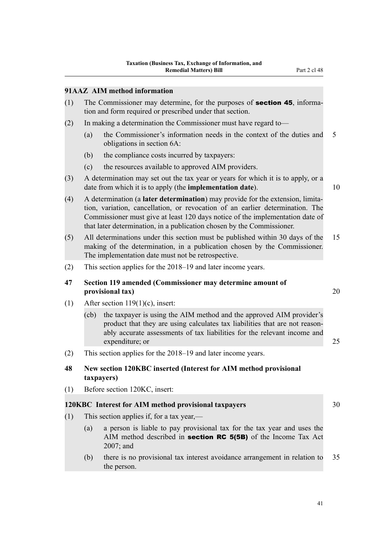# **91AAZ AIM method information**

- (1) The Commissioner may determine, for the purposes of section 45, information and form required or prescribed under that section.
- (2) In making a determination the Commissioner must have regard to—
	- (a) the Commissioner's information needs in the context of the duties and 5 obligations in section 6A:
	- (b) the compliance costs incurred by taxpayers:
	- (c) the resources available to approved AIM providers.
- (3) A determination may set out the tax year or years for which it is to apply, or a date from which it is to apply (the **implementation date**). 10

that later determination, in a publication chosen by the Commissioner.

- (4) A determination (a **later determination**) may provide for the extension, limitation, variation, cancellation, or revocation of an earlier determination. The Commissioner must give at least 120 days notice of the implementation date of
- (5) All determinations under this section must be published within 30 days of the 15 making of the determination, in a publication chosen by the Commissioner. The implementation date must not be retrospective.
- (2) This section applies for the 2018–19 and later income years.

### **47 Section 119 amended (Commissioner may determine amount of provisional tax**) 20

- (1) After section  $119(1)(c)$ , insert:
	- (cb) the taxpayer is using the AIM method and the approved AIM provider's product that they are using calculates tax liabilities that are not reasonably accurate assessments of tax liabilities for the relevant income and expenditure; or 25
- (2) This section applies for the 2018–19 and later income years.

## **48 New section 120KBC inserted (Interest for AIM method provisional taxpayers)**

(1) Before section 120KC, insert:

### **120KBC Interest for AIM method provisional taxpayers** 30

- (1) This section applies if, for a tax year,—
	- (a) a person is liable to pay provisional tax for the tax year and uses the AIM method described in **section RC 5(5B)** of the Income Tax Act 2007; and
	- (b) there is no provisional tax interest avoidance arrangement in relation to 35 the person.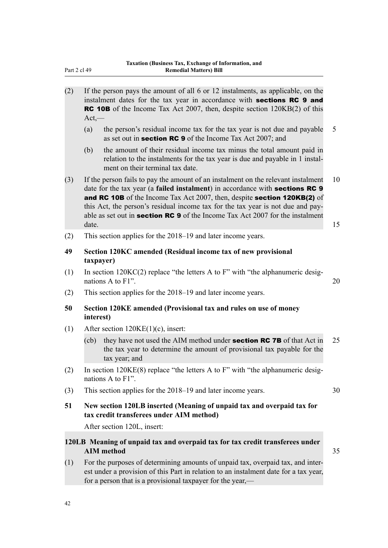| (2) | $Act, -$  | If the person pays the amount of all 6 or 12 instalments, as applicable, on the<br>instalment dates for the tax year in accordance with sections RC 9 and<br><b>RC 10B</b> of the Income Tax Act 2007, then, despite section 120KB(2) of this                                                                                                                                                                                   |          |
|-----|-----------|---------------------------------------------------------------------------------------------------------------------------------------------------------------------------------------------------------------------------------------------------------------------------------------------------------------------------------------------------------------------------------------------------------------------------------|----------|
|     | (a)       | the person's residual income tax for the tax year is not due and payable<br>as set out in <b>section RC 9</b> of the Income Tax Act 2007; and                                                                                                                                                                                                                                                                                   | 5        |
|     | (b)       | the amount of their residual income tax minus the total amount paid in<br>relation to the instalments for the tax year is due and payable in 1 instal-<br>ment on their terminal tax date.                                                                                                                                                                                                                                      |          |
| (3) | date.     | If the person fails to pay the amount of an instalment on the relevant instalment<br>date for the tax year (a failed instalment) in accordance with <b>sections RC 9</b><br>and RC 10B of the Income Tax Act 2007, then, despite section 120KB(2) of<br>this Act, the person's residual income tax for the tax year is not due and pay-<br>able as set out in <b>section RC 9</b> of the Income Tax Act 2007 for the instalment | 10<br>15 |
| (2) |           | This section applies for the 2018–19 and later income years.                                                                                                                                                                                                                                                                                                                                                                    |          |
| 49  | taxpayer) | Section 120KC amended (Residual income tax of new provisional                                                                                                                                                                                                                                                                                                                                                                   |          |
| (1) |           | In section $120KC(2)$ replace "the letters A to F" with "the alphanumeric desig-<br>nations A to F1".                                                                                                                                                                                                                                                                                                                           | 20       |
| (2) |           | This section applies for the 2018–19 and later income years.                                                                                                                                                                                                                                                                                                                                                                    |          |
| 50  | interest) | Section 120KE amended (Provisional tax and rules on use of money                                                                                                                                                                                                                                                                                                                                                                |          |
| (1) |           | After section $120KE(1)(c)$ , insert:                                                                                                                                                                                                                                                                                                                                                                                           |          |
|     | (cb)      | they have not used the AIM method under <b>section RC 7B</b> of that Act in<br>the tax year to determine the amount of provisional tax payable for the<br>tax year; and                                                                                                                                                                                                                                                         | 25       |
| (2) |           | In section $120KE(8)$ replace "the letters A to F" with "the alphanumeric desig-<br>nations A to F1".                                                                                                                                                                                                                                                                                                                           |          |
| (3) |           | This section applies for the 2018–19 and later income years.                                                                                                                                                                                                                                                                                                                                                                    | 30       |
| 51  |           | New section 120LB inserted (Meaning of unpaid tax and overpaid tax for<br>tax credit transferees under AIM method)                                                                                                                                                                                                                                                                                                              |          |
|     |           | After section 120L, insert:                                                                                                                                                                                                                                                                                                                                                                                                     |          |
|     |           | 120LB Meaning of unpaid tax and overpaid tax for tax credit transferees under<br><b>AIM</b> method                                                                                                                                                                                                                                                                                                                              | 35       |
| (1) |           | For the purposes of determining amounts of unpaid tax, overpaid tax, and inter-<br>est under a provision of this Part in relation to an instalment date for a tax year,<br>for a person that is a provisional taxpayer for the year,—                                                                                                                                                                                           |          |

Part 2 cl 49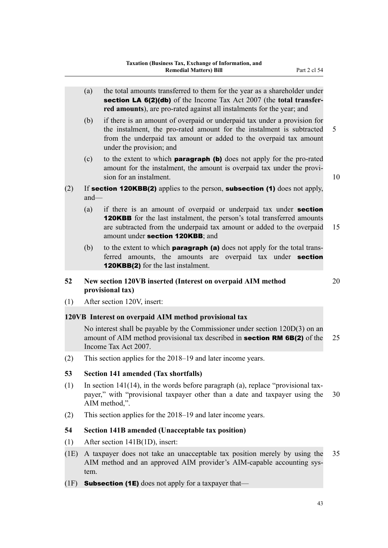(a) the total amounts transferred to them for the year as a shareholder under section LA 6(2)(db) of the Income Tax Act 2007 (the **total transferred amounts**), are pro-rated against all instalments for the year; and (b) if there is an amount of overpaid or underpaid tax under a provision for the instalment, the pro-rated amount for the instalment is subtracted 5 from the underpaid tax amount or added to the overpaid tax amount under the provision; and (c) to the extent to which paragraph (b) does not apply for the pro-rated amount for the instalment, the amount is overpaid tax under the provision for an instalment. The same state of the state of the state of the state of the state of the state of the state of the state of the state of the state of the state of the state of the state of the state of the state o (2) If **section 120KBB(2)** applies to the person, **subsection (1)** does not apply, and— (a) if there is an amount of overpaid or underpaid tax under section **120KBB** for the last instalment, the person's total transferred amounts are subtracted from the underpaid tax amount or added to the overpaid 15 amount under section 120KBB; and (b) to the extent to which **paragraph (a)** does not apply for the total transferred amounts, the amounts are overpaid tax under **section** 120KBB(2) for the last instalment. **52 New section 120VB inserted (Interest on overpaid AIM method** 20 **provisional tax)** (1) After section 120V, insert: **120VB Interest on overpaid AIM method provisional tax** No interest shall be payable by the Commissioner under section 120D(3) on an amount of AIM method provisional tax described in **section RM 6B(2)** of the 25

(2) This section applies for the 2018–19 and later income years.

### **53 Section 141 amended (Tax shortfalls)**

Income Tax Act 2007.

- (1) In section 141(14), in the words before paragraph (a), replace "provisional taxpayer," with "provisional taxpayer other than a date and taxpayer using the 30 AIM method,".
- (2) This section applies for the 2018–19 and later income years.

### **54 Section 141B amended (Unacceptable tax position)**

- (1) After section 141B(1D), insert:
- (1E) A taxpayer does not take an unacceptable tax position merely by using the 35 AIM method and an approved AIM provider's AIM-capable accounting system.
- (1F) **Subsection (1E)** does not apply for a taxpayer that—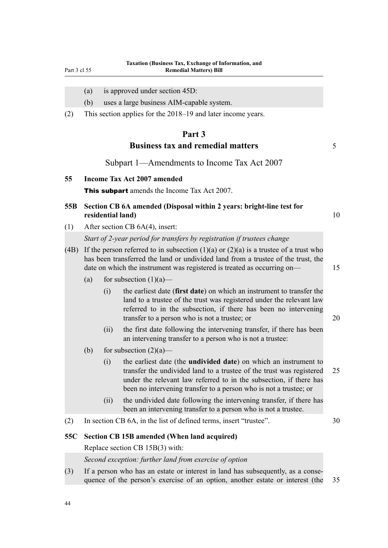Part 3 cl 55

- (a) is approved under section 45D:
- (b) uses a large business AIM-capable system.
- (2) This section applies for the 2018–19 and later income years.

# **Part 3 Business tax and remedial matters** 5

Subpart 1—Amendments to Income Tax Act 2007

### **55 Income Tax Act 2007 amended**

**This subpart** amends the Income Tax Act 2007.

## **55B Section CB 6A amended (Disposal within 2 years: bright-line test for residential land)** 10

(1) After section CB 6A(4), insert:

*Start of 2-year period for transfers by registration if trustees change*

- (4B) If the person referred to in subsection  $(1)(a)$  or  $(2)(a)$  is a trustee of a trust who has been transferred the land or undivided land from a trustee of the trust, the date on which the instrument was registered is treated as occurring on— 15
	- (a) for subsection  $(1)(a)$ 
		- (i) the earliest date (**first date**) on which an instrument to transfer the land to a trustee of the trust was registered under the relevant law referred to in the subsection, if there has been no intervening transfer to a person who is not a trustee; or 20
		- (ii) the first date following the intervening transfer, if there has been an intervening transfer to a person who is not a trustee:
	- (b) for subsection  $(2)(a)$ 
		- (i) the earliest date (the **undivided date**) on which an instrument to transfer the undivided land to a trustee of the trust was registered 25 under the relevant law referred to in the subsection, if there has been no intervening transfer to a person who is not a trustee; or
		- (ii) the undivided date following the intervening transfer, if there has been an intervening transfer to a person who is not a trustee.
- (2) In section CB 6A, in the list of defined terms, insert "trustee". 30

### **55C Section CB 15B amended (When land acquired)**

Replace section CB 15B(3) with:

### *Second exception: further land from exercise of option*

(3) If a person who has an estate or interest in land has subsequently, as a consequence of the person's exercise of an option, another estate or interest (the 35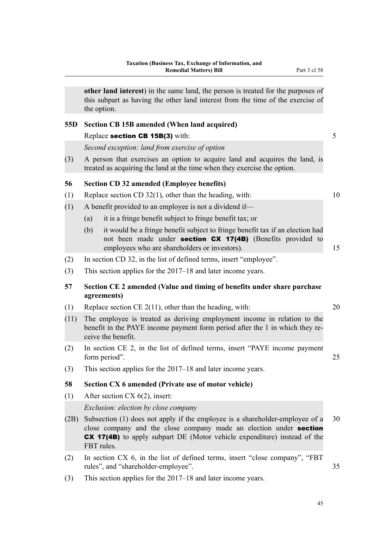|                 | other land interest) in the same land, the person is treated for the purposes of<br>this subpart as having the other land interest from the time of the exercise of<br>the option.                                                                  |    |
|-----------------|-----------------------------------------------------------------------------------------------------------------------------------------------------------------------------------------------------------------------------------------------------|----|
| 55 <sub>D</sub> | Section CB 15B amended (When land acquired)                                                                                                                                                                                                         |    |
|                 | Replace section CB 15B(3) with:                                                                                                                                                                                                                     | 5  |
|                 | Second exception: land from exercise of option                                                                                                                                                                                                      |    |
| (3)             | A person that exercises an option to acquire land and acquires the land, is<br>treated as acquiring the land at the time when they exercise the option.                                                                                             |    |
| 56              | <b>Section CD 32 amended (Employee benefits)</b>                                                                                                                                                                                                    |    |
| (1)             | Replace section CD $32(1)$ , other than the heading, with:                                                                                                                                                                                          | 10 |
| (1)             | A benefit provided to an employee is not a dividend if—                                                                                                                                                                                             |    |
|                 | it is a fringe benefit subject to fringe benefit tax; or<br>(a)                                                                                                                                                                                     |    |
|                 | it would be a fringe benefit subject to fringe benefit tax if an election had<br>(b)<br>not been made under <b>section CX 17(4B)</b> (Benefits provided to<br>employees who are shareholders or investors).                                         | 15 |
| (2)             | In section CD 32, in the list of defined terms, insert "employee".                                                                                                                                                                                  |    |
| (3)             | This section applies for the 2017–18 and later income years.                                                                                                                                                                                        |    |
| 57              | Section CE 2 amended (Value and timing of benefits under share purchase<br>agreements)                                                                                                                                                              |    |
| (1)             | Replace section CE $2(11)$ , other than the heading, with:                                                                                                                                                                                          | 20 |
| (11)            | The employee is treated as deriving employment income in relation to the<br>benefit in the PAYE income payment form period after the 1 in which they re-<br>ceive the benefit.                                                                      |    |
| (2)             | In section CE 2, in the list of defined terms, insert "PAYE income payment"<br>form period".                                                                                                                                                        | 25 |
| (3)             | This section applies for the 2017–18 and later income years.                                                                                                                                                                                        |    |
| 58              | Section CX 6 amended (Private use of motor vehicle)                                                                                                                                                                                                 |    |
| (1)             | After section CX $6(2)$ , insert:                                                                                                                                                                                                                   |    |
|                 | <i>Exclusion: election by close company</i>                                                                                                                                                                                                         |    |
| (2B)            | Subsection (1) does not apply if the employee is a shareholder-employee of a<br>close company and the close company made an election under section<br><b>CX 17(4B)</b> to apply subpart DE (Motor vehicle expenditure) instead of the<br>FBT rules. | 30 |
| (2)             | In section CX 6, in the list of defined terms, insert "close company", "FBT<br>rules", and "shareholder-employee".                                                                                                                                  | 35 |
| (3)             | This section applies for the 2017–18 and later income years.                                                                                                                                                                                        |    |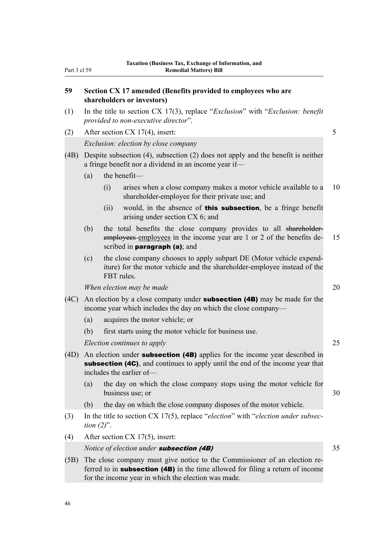# **59 Section CX 17 amended (Benefits provided to employees who are shareholders or investors)**

- (1) In the title to section CX 17(3), replace "*Exclusion*" with "*Exclusion: benefit provided to non-executive director*".
- (2) After section CX 17(4), insert: 5 *Exclusion: election by close company*
- (4B) Despite subsection (4), subsection (2) does not apply and the benefit is neither a fringe benefit nor a dividend in an income year if—
	- (a) the benefit—
		- (i) arises when a close company makes a motor vehicle available to a 10 shareholder-employee for their private use; and
		- (ii) would, in the absence of **this subsection**, be a fringe benefit arising under section CX 6; and
	- (b) the total benefits the close company provides to all shareholderemployees employees in the income year are 1 or 2 of the benefits de- 15 scribed in **paragraph** (a); and
	- (c) the close company chooses to apply subpart DE (Motor vehicle expenditure) for the motor vehicle and the shareholder-employee instead of the FBT rules.

*Mhen election may be made* 20

- (4C) An election by a close company under **subsection (4B)** may be made for the income year which includes the day on which the close company—
	- (a) acquires the motor vehicle; or
	- (b) first starts using the motor vehicle for business use.

*Election continues to apply* 25

- (4D) An election under **subsection (4B)** applies for the income year described in subsection (4C), and continues to apply until the end of the income year that includes the earlier of—
	- (a) the day on which the close company stops using the motor vehicle for business use; or 30
	- (b) the day on which the close company disposes of the motor vehicle.
- (3) In the title to section CX 17(5), replace "*election*" with "*election under subsection (2)*".
- (4) After section CX 17(5), insert:

*Notice of election under* **subsection (4B)** 35

(5B) The close company must give notice to the Commissioner of an election referred to in subsection (4B) in the time allowed for filing a return of income for the income year in which the election was made.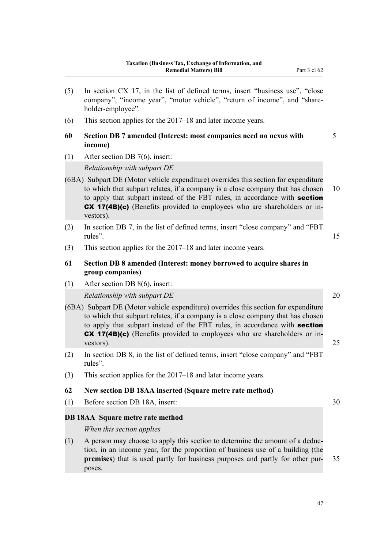- (5) In section CX 17, in the list of defined terms, insert "business use", "close company", "income year", "motor vehicle", "return of income", and "shareholder-employee". (6) This section applies for the 2017–18 and later income years. **60 Section DB 7 amended (Interest: most companies need no nexus with** 5 **income)** (1) After section DB 7(6), insert: *Relationship with subpart DE* (6BA) Subpart DE (Motor vehicle expenditure) overrides this section for expenditure to which that subpart relates, if a company is a close company that has chosen 10 to apply that subpart instead of the FBT rules, in accordance with **section** CX 17(4B)(c) (Benefits provided to employees who are shareholders or investors). (2) In section DB 7, in the list of defined terms, insert "close company" and "FBT rules". 15 (3) This section applies for the 2017–18 and later income years. **61 Section DB 8 amended (Interest: money borrowed to acquire shares in group companies)** (1) After section DB 8(6), insert: *Relationship with subpart DE* 20 (6BA) Subpart DE (Motor vehicle expenditure) overrides this section for expenditure
- to which that subpart relates, if a company is a close company that has chosen to apply that subpart instead of the FBT rules, in accordance with **section** CX 17(4B)(c) (Benefits provided to employees who are shareholders or investors). 25
- (2) In section DB 8, in the list of defined terms, insert "close company" and "FBT rules".
- (3) This section applies for the 2017–18 and later income years.

# **62 New section DB 18AA inserted (Square metre rate method)**

(1) Before section DB 18A, insert: 30

### **DB 18AA Square metre rate method**

*When this section applies*

(1) A person may choose to apply this section to determine the amount of a deduction, in an income year, for the proportion of business use of a building (the **premises**) that is used partly for business purposes and partly for other pur- 35 poses.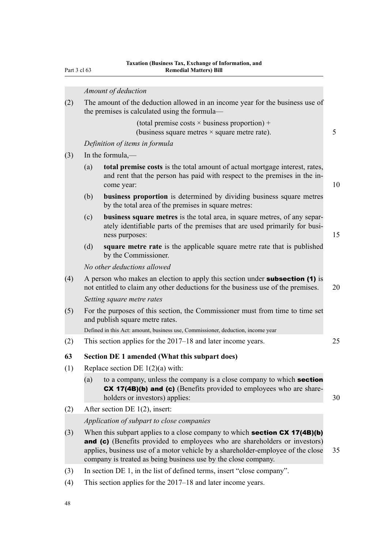Part 3 cl 63

|     |                             | Amount of deduction                                                                                                                                                                                                                                                                                                  |    |  |  |  |
|-----|-----------------------------|----------------------------------------------------------------------------------------------------------------------------------------------------------------------------------------------------------------------------------------------------------------------------------------------------------------------|----|--|--|--|
| (2) |                             | The amount of the deduction allowed in an income year for the business use of<br>the premises is calculated using the formula—                                                                                                                                                                                       |    |  |  |  |
|     |                             | (total premise costs $\times$ business proportion) +<br>(business square metres $\times$ square metre rate).                                                                                                                                                                                                         | 5  |  |  |  |
|     |                             | Definition of items in formula                                                                                                                                                                                                                                                                                       |    |  |  |  |
| (3) |                             | In the formula,—                                                                                                                                                                                                                                                                                                     |    |  |  |  |
|     | (a)                         | total premise costs is the total amount of actual mortgage interest, rates,<br>and rent that the person has paid with respect to the premises in the in-<br>come year:                                                                                                                                               | 10 |  |  |  |
|     | (b)                         | <b>business proportion</b> is determined by dividing business square metres<br>by the total area of the premises in square metres:                                                                                                                                                                                   |    |  |  |  |
|     | (c)                         | <b>business square metres</b> is the total area, in square metres, of any separ-<br>ately identifiable parts of the premises that are used primarily for busi-<br>ness purposes:                                                                                                                                     | 15 |  |  |  |
|     | (d)                         | square metre rate is the applicable square metre rate that is published<br>by the Commissioner.                                                                                                                                                                                                                      |    |  |  |  |
|     | No other deductions allowed |                                                                                                                                                                                                                                                                                                                      |    |  |  |  |
| (4) |                             | A person who makes an election to apply this section under <b>subsection</b> (1) is<br>not entitled to claim any other deductions for the business use of the premises.                                                                                                                                              | 20 |  |  |  |
|     |                             | Setting square metre rates                                                                                                                                                                                                                                                                                           |    |  |  |  |
| (5) |                             | For the purposes of this section, the Commissioner must from time to time set<br>and publish square metre rates.                                                                                                                                                                                                     |    |  |  |  |
|     |                             | Defined in this Act: amount, business use, Commissioner, deduction, income year                                                                                                                                                                                                                                      |    |  |  |  |
| (2) |                             | This section applies for the 2017–18 and later income years.                                                                                                                                                                                                                                                         | 25 |  |  |  |
| 63  |                             | Section DE 1 amended (What this subpart does)                                                                                                                                                                                                                                                                        |    |  |  |  |
| (1) |                             | Replace section DE $1(2)(a)$ with:                                                                                                                                                                                                                                                                                   |    |  |  |  |
|     | (a)                         | to a company, unless the company is a close company to which <b>section</b><br><b>CX 17(4B)(b) and (c)</b> (Benefits provided to employees who are share-<br>holders or investors) applies:                                                                                                                          | 30 |  |  |  |
| (2) |                             | After section DE $1(2)$ , insert:                                                                                                                                                                                                                                                                                    |    |  |  |  |
|     |                             | Application of subpart to close companies                                                                                                                                                                                                                                                                            |    |  |  |  |
| (3) |                             | When this subpart applies to a close company to which <b>section CX 17(4B)(b)</b><br>and (c) (Benefits provided to employees who are shareholders or investors)<br>applies, business use of a motor vehicle by a shareholder-employee of the close<br>company is treated as being business use by the close company. | 35 |  |  |  |
| (3) |                             | In section DE 1, in the list of defined terms, insert "close company".                                                                                                                                                                                                                                               |    |  |  |  |

(4) This section applies for the 2017–18 and later income years.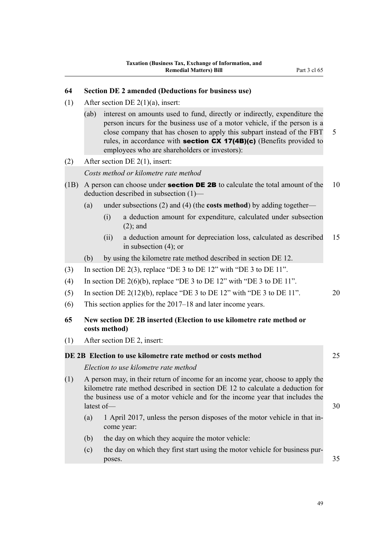# **64 Section DE 2 amended (Deductions for business use)**

- (1) After section DE  $2(1)(a)$ , insert:
	- (ab) interest on amounts used to fund, directly or indirectly, expenditure the person incurs for the business use of a motor vehicle, if the person is a close company that has chosen to apply this subpart instead of the FBT 5 rules, in accordance with **section CX 17(4B)(c)** (Benefits provided to employees who are shareholders or investors):
- (2) After section DE 2(1), insert:

*Costs method or kilometre rate method*

- (1B) A person can choose under **section DE 2B** to calculate the total amount of the 10 deduction described in subsection (1)—
	- (a) under subsections (2) and (4) (the **costs method**) by adding together—
		- (i) a deduction amount for expenditure, calculated under subsection (2); and
		- (ii) a deduction amount for depreciation loss, calculated as described 15 in subsection (4); or
	- (b) by using the kilometre rate method described in section DE 12.
- (3) In section DE 2(3), replace "DE 3 to DE 12" with "DE 3 to DE 11".
- (4) In section DE  $2(6)(b)$ , replace "DE 3 to DE 12" with "DE 3 to DE 11".
- (5) In section DE  $2(12)(b)$ , replace "DE 3 to DE 12" with "DE 3 to DE 11".  $20$
- (6) This section applies for the 2017–18 and later income years.
- **65 New section DE 2B inserted (Election to use kilometre rate method or costs method)**
- (1) After section DE 2, insert:

### **DE 2B Election to use kilometre rate method or costs method** 25

*Election to use kilometre rate method*

- (1) A person may, in their return of income for an income year, choose to apply the kilometre rate method described in section DE 12 to calculate a deduction for the business use of a motor vehicle and for the income year that includes the  $\lambda$  latest of  $\lambda$  30
	- (a) 1 April 2017, unless the person disposes of the motor vehicle in that income year:
	- (b) the day on which they acquire the motor vehicle:
	- (c) the day on which they first start using the motor vehicle for business purposes. 35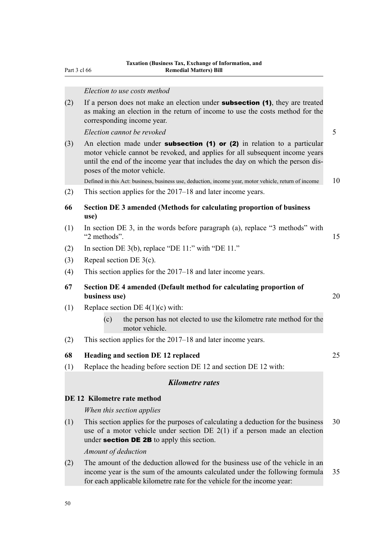Part 3 cl 66

#### *Election to use costs method*

(2) If a person does not make an election under **subsection (1)**, they are treated as making an election in the return of income to use the costs method for the corresponding income year.

*Election cannot be revoked* 5

(3) An election made under **subsection (1) or (2)** in relation to a particular motor vehicle cannot be revoked, and applies for all subsequent income years until the end of the income year that includes the day on which the person disposes of the motor vehicle.

Defined in this Act: business, business use, deduction, income year, motor vehicle, return of income 10

- (2) This section applies for the 2017–18 and later income years.
- **66 Section DE 3 amended (Methods for calculating proportion of business use)**
- (1) In section DE 3, in the words before paragraph (a), replace "3 methods" with "2 methods". 15
- (2) In section DE  $3(b)$ , replace "DE  $11$ :" with "DE  $11$ ."
- (3) Repeal section DE 3(c).
- (4) This section applies for the 2017–18 and later income years.
- **67 Section DE 4 amended (Default method for calculating proportion of business use)** 20
- (1) Replace section DE  $4(1)(c)$  with:
	- (c) the person has not elected to use the kilometre rate method for the motor vehicle.
- (2) This section applies for the 2017–18 and later income years.

### **68 Heading and section DE 12 replaced** 25

(1) Replace the heading before section DE 12 and section DE 12 with:

# *Kilometre rates*

#### **DE 12 Kilometre rate method**

#### *When this section applies*

(1) This section applies for the purposes of calculating a deduction for the business 30 use of a motor vehicle under section DE 2(1) if a person made an election under **section DE 2B** to apply this section.

*Amount of deduction*

(2) The amount of the deduction allowed for the business use of the vehicle in an income year is the sum of the amounts calculated under the following formula 35 for each applicable kilometre rate for the vehicle for the income year: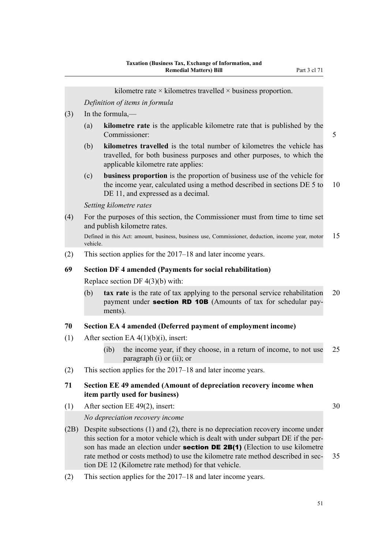kilometre rate  $\times$  kilometres travelled  $\times$  business proportion.

(3) In the formula,— (a) **kilometre rate** is the applicable kilometre rate that is published by the Commissioner: 5 (b) **kilometres travelled** is the total number of kilometres the vehicle has travelled, for both business purposes and other purposes, to which the applicable kilometre rate applies: (c) **business proportion** is the proportion of business use of the vehicle for the income year, calculated using a method described in sections DE 5 to 10 DE 11, and expressed as a decimal.

*Setting kilometre rates*

*Definition of items in formula*

(4) For the purposes of this section, the Commissioner must from time to time set and publish kilometre rates.

Defined in this Act: amount, business, business use, Commissioner, deduction, income year, motor 15 vehicle.

(2) This section applies for the 2017–18 and later income years.

# **69 Section DF 4 amended (Payments for social rehabilitation)**

Replace section DF 4(3)(b) with:

(b) **tax rate** is the rate of tax applying to the personal service rehabilitation 20 payment under **section RD 10B** (Amounts of tax for schedular payments).

#### **70 Section EA 4 amended (Deferred payment of employment income)**

- (1) After section EA  $4(1)(b)(i)$ , insert:
	- (ib) the income year, if they choose, in a return of income, to not use 25 paragraph (i) or (ii); or
- (2) This section applies for the 2017–18 and later income years.

# **71 Section EE 49 amended (Amount of depreciation recovery income when item partly used for business)**

(1) After section EE 49(2), insert:  $30$ 

#### *No depreciation recovery income*

- (2B) Despite subsections (1) and (2), there is no depreciation recovery income under this section for a motor vehicle which is dealt with under subpart DE if the person has made an election under **section DE 2B(1)** (Election to use kilometre rate method or costs method) to use the kilometre rate method described in sec- 35 tion DE 12 (Kilometre rate method) for that vehicle.
- (2) This section applies for the 2017–18 and later income years.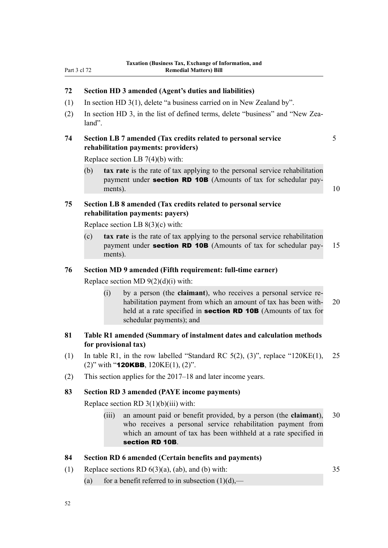# **72 Section HD 3 amended (Agent's duties and liabilities)**

- (1) In section HD 3(1), delete "a business carried on in New Zealand by".
- (2) In section HD 3, in the list of defined terms, delete "business" and "New Zealand".

# **74 Section LB 7 amended (Tax credits related to personal service** 5 **rehabilitation payments: providers)**

Replace section LB 7(4)(b) with:

(b) **tax rate** is the rate of tax applying to the personal service rehabilitation payment under **section RD 10B** (Amounts of tax for schedular payments).  $10$ 

# **75 Section LB 8 amended (Tax credits related to personal service rehabilitation payments: payers)**

Replace section LB 8(3)(c) with:

(c) **tax rate** is the rate of tax applying to the personal service rehabilitation payment under **section RD 10B** (Amounts of tax for schedular pay- 15 ments).

# **76 Section MD 9 amended (Fifth requirement: full-time earner)**

Replace section MD  $9(2)(d)(i)$  with:

(i) by a person (the **claimant**), who receives a personal service rehabilitation payment from which an amount of tax has been with- 20 held at a rate specified in **section RD 10B** (Amounts of tax for schedular payments); and

# **81 Table R1 amended (Summary of instalment dates and calculation methods for provisional tax)**

- (1) In table R1, in the row labelled "Standard RC  $5(2)$ ,  $(3)$ ", replace "120KE(1), 25 (2)" with "**120KBB**,  $120$ KE(1), (2)".
- (2) This section applies for the 2017–18 and later income years.

# **83 Section RD 3 amended (PAYE income payments)**

Replace section RD  $3(1)(b)(iii)$  with:

(iii) an amount paid or benefit provided, by a person (the **claimant**), 30 who receives a personal service rehabilitation payment from which an amount of tax has been withheld at a rate specified in section RD 10B.

### **84 Section RD 6 amended (Certain benefits and payments)**

- (1) Replace sections RD  $6(3)(a)$ ,  $(ab)$ , and  $(b)$  with: 35
	- (a) for a benefit referred to in subsection  $(1)(d)$ ,—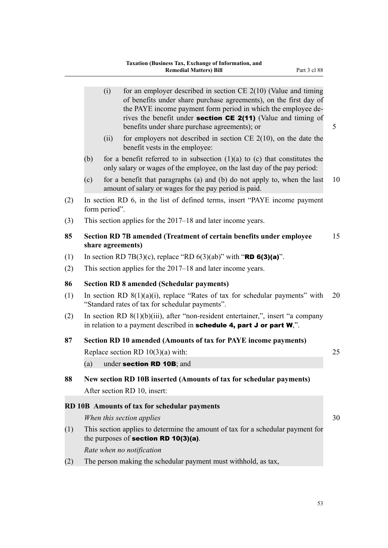|     |     | (i)           | for an employer described in section $CE$ 2(10) (Value and timing<br>of benefits under share purchase agreements), on the first day of<br>the PAYE income payment form period in which the employee de-<br>rives the benefit under <b>section CE 2(11)</b> (Value and timing of<br>benefits under share purchase agreements); or | 5  |
|-----|-----|---------------|----------------------------------------------------------------------------------------------------------------------------------------------------------------------------------------------------------------------------------------------------------------------------------------------------------------------------------|----|
|     |     | (ii)          | for employers not described in section $CE$ 2(10), on the date the<br>benefit vests in the employee:                                                                                                                                                                                                                             |    |
|     | (b) |               | for a benefit referred to in subsection $(1)(a)$ to $(c)$ that constitutes the<br>only salary or wages of the employee, on the last day of the pay period:                                                                                                                                                                       |    |
|     | (c) |               | for a benefit that paragraphs (a) and (b) do not apply to, when the last<br>amount of salary or wages for the pay period is paid.                                                                                                                                                                                                | 10 |
| (2) |     | form period". | In section RD 6, in the list of defined terms, insert "PAYE income payment"                                                                                                                                                                                                                                                      |    |
| (3) |     |               | This section applies for the 2017–18 and later income years.                                                                                                                                                                                                                                                                     |    |
| 85  |     |               | Section RD 7B amended (Treatment of certain benefits under employee<br>share agreements)                                                                                                                                                                                                                                         | 15 |
| (1) |     |               | In section RD 7B(3)(c), replace "RD 6(3)(ab)" with " <b>RD 6(3)(a)</b> ".                                                                                                                                                                                                                                                        |    |
| (2) |     |               | This section applies for the 2017–18 and later income years.                                                                                                                                                                                                                                                                     |    |
| 86  |     |               | <b>Section RD 8 amended (Schedular payments)</b>                                                                                                                                                                                                                                                                                 |    |
| (1) |     |               | In section RD $8(1)(a)(i)$ , replace "Rates of tax for schedular payments" with<br>"Standard rates of tax for schedular payments".                                                                                                                                                                                               | 20 |
| (2) |     |               | In section RD $8(1)(b)(iii)$ , after "non-resident entertainer,", insert "a company<br>in relation to a payment described in schedule 4, part $J$ or part $W$ ,".                                                                                                                                                                |    |
| 87  |     |               | Section RD 10 amended (Amounts of tax for PAYE income payments)                                                                                                                                                                                                                                                                  |    |
|     |     |               | Replace section RD $10(3)(a)$ with:                                                                                                                                                                                                                                                                                              | 25 |
|     | (a) |               | under section RD 10B; and                                                                                                                                                                                                                                                                                                        |    |
| 88  |     |               | New section RD 10B inserted (Amounts of tax for schedular payments)<br>After section RD 10, insert:                                                                                                                                                                                                                              |    |
|     |     |               | RD 10B Amounts of tax for schedular payments                                                                                                                                                                                                                                                                                     |    |
|     |     |               | When this section applies                                                                                                                                                                                                                                                                                                        | 30 |
| (1) |     |               | This section applies to determine the amount of tax for a schedular payment for<br>the purposes of section RD $10(3)(a)$ .                                                                                                                                                                                                       |    |
|     |     |               | Rate when no notification                                                                                                                                                                                                                                                                                                        |    |
| (2) |     |               | The person making the schedular payment must withhold, as tax,                                                                                                                                                                                                                                                                   |    |
|     |     |               |                                                                                                                                                                                                                                                                                                                                  |    |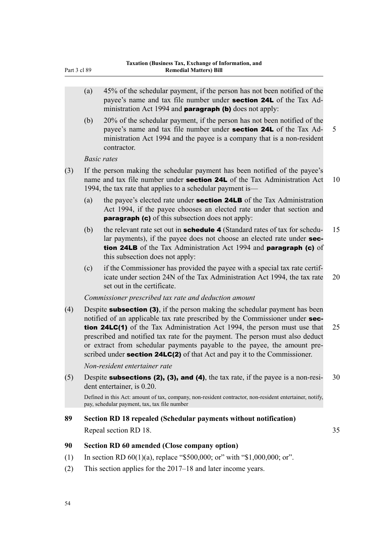- Part 3 cl 89
	- (a) 45% of the schedular payment, if the person has not been notified of the payee's name and tax file number under section 24L of the Tax Administration Act 1994 and **paragraph (b)** does not apply:
	- (b) 20% of the schedular payment, if the person has not been notified of the payee's name and tax file number under **section 24L** of the Tax Ad- 5 ministration Act 1994 and the payee is a company that is a non-resident contractor.

### *Basic rates*

- (3) If the person making the schedular payment has been notified of the payee's name and tax file number under **section 24L** of the Tax Administration Act 10 1994, the tax rate that applies to a schedular payment is—
	- (a) the payee's elected rate under section 24LB of the Tax Administration Act 1994, if the payee chooses an elected rate under that section and **paragraph (c)** of this subsection does not apply:
	- (b) the relevant rate set out in **schedule 4** (Standard rates of tax for schedu-  $15$ lar payments), if the payee does not choose an elected rate under **sec**tion 24LB of the Tax Administration Act 1994 and paragraph (c) of this subsection does not apply:
	- (c) if the Commissioner has provided the payee with a special tax rate certificate under section 24N of the Tax Administration Act 1994, the tax rate 20 set out in the certificate.

### *Commissioner prescribed tax rate and deduction amount*

(4) Despite subsection (3), if the person making the schedular payment has been notified of an applicable tax rate prescribed by the Commissioner under **sec**tion 24LC(1) of the Tax Administration Act 1994, the person must use that 25 prescribed and notified tax rate for the payment. The person must also deduct or extract from schedular payments payable to the payee, the amount prescribed under **section 24LC(2)** of that Act and pay it to the Commissioner.

*Non-resident entertainer rate*

(5) Despite **subsections (2), (3), and (4)**, the tax rate, if the payee is a non-resi- 30 dent entertainer, is 0.20.

Defined in this Act: amount of tax, company, non-resident contractor, non-resident entertainer, notify, pay, schedular payment, tax, tax file number

# **89 Section RD 18 repealed (Schedular payments without notification)**

Repeal section RD 18. 35

# **90 Section RD 60 amended (Close company option)**

- (1) In section RD  $60(1)(a)$ , replace "\$500,000; or" with "\$1,000,000; or".
- (2) This section applies for the 2017–18 and later income years.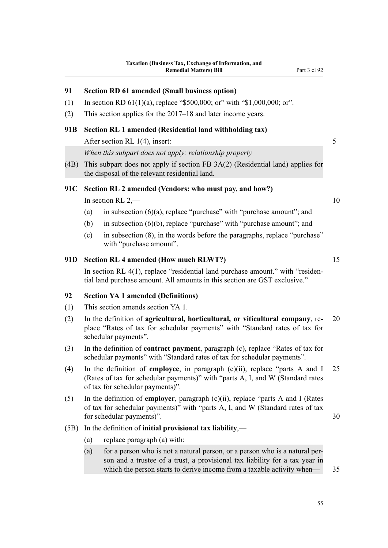# **91 Section RD 61 amended (Small business option)**

- (1) In section RD  $61(1)(a)$ , replace "\$500,000; or" with "\$1,000,000; or".
- (2) This section applies for the 2017–18 and later income years.

# **91B Section RL 1 amended (Residential land withholding tax)** After section RL 1(4), insert: 5

*When this subpart does not apply: relationship property*

(4B) This subpart does not apply if section FB 3A(2) (Residential land) applies for the disposal of the relevant residential land.

# **91C Section RL 2 amended (Vendors: who must pay, and how?)**

In section RL  $2$ ,  $-$  10

- (a) in subsection  $(6)(a)$ , replace "purchase" with "purchase amount"; and
- (b) in subsection (6)(b), replace "purchase" with "purchase amount"; and
- (c) in subsection (8), in the words before the paragraphs, replace "purchase" with "purchase amount".

### **91D Section RL 4 amended (How much RLWT?)** 15

In section RL 4(1), replace "residential land purchase amount." with "residential land purchase amount. All amounts in this section are GST exclusive."

# **92 Section YA 1 amended (Definitions)**

- (1) This section amends section YA 1.
- (2) In the definition of **agricultural, horticultural, or viticultural company**, re- 20 place "Rates of tax for schedular payments" with "Standard rates of tax for schedular payments".
- (3) In the definition of **contract payment**, paragraph (c), replace "Rates of tax for schedular payments" with "Standard rates of tax for schedular payments".
- (4) In the definition of **employee**, in paragraph (c)(ii), replace "parts A and I 25 (Rates of tax for schedular payments)" with "parts A, I, and W (Standard rates of tax for schedular payments)".
- (5) In the definition of **employer**, paragraph (c)(ii), replace "parts A and I (Rates of tax for schedular payments)" with "parts A, I, and W (Standard rates of tax for schedular payments)". 30
- (5B) In the definition of **initial provisional tax liability**,—
	- (a) replace paragraph (a) with:
	- (a) for a person who is not a natural person, or a person who is a natural person and a trustee of a trust, a provisional tax liability for a tax year in which the person starts to derive income from a taxable activity when— 35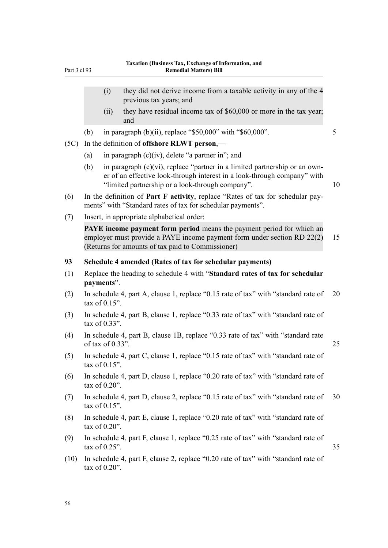|      | (i)                 | they did not derive income from a taxable activity in any of the 4                                                                                                                                            |    |
|------|---------------------|---------------------------------------------------------------------------------------------------------------------------------------------------------------------------------------------------------------|----|
|      | (ii)                | previous tax years; and<br>they have residual income tax of \$60,000 or more in the tax year;                                                                                                                 |    |
|      |                     | and                                                                                                                                                                                                           | 5  |
| (5C) | (b)                 | in paragraph (b)(ii), replace "\$50,000" with "\$60,000".<br>In the definition of offshore RLWT person,-                                                                                                      |    |
|      | (a)                 | in paragraph $(c)(iv)$ , delete "a partner in"; and                                                                                                                                                           |    |
|      | (b)                 | in paragraph $(c)(vi)$ , replace "partner in a limited partnership or an own-<br>er of an effective look-through interest in a look-through company" with<br>"limited partnership or a look-through company". | 10 |
| (6)  |                     | In the definition of <b>Part F activity</b> , replace "Rates of tax for schedular pay-<br>ments" with "Standard rates of tax for schedular payments".                                                         |    |
| (7)  |                     | Insert, in appropriate alphabetical order:                                                                                                                                                                    |    |
|      |                     | <b>PAYE</b> income payment form period means the payment period for which an<br>employer must provide a PAYE income payment form under section RD 22(2)<br>(Returns for amounts of tax paid to Commissioner)  | 15 |
| 93   |                     | Schedule 4 amended (Rates of tax for schedular payments)                                                                                                                                                      |    |
| (1)  | payments".          | Replace the heading to schedule 4 with "Standard rates of tax for schedular                                                                                                                                   |    |
| (2)  | tax of $0.15$ ".    | In schedule 4, part A, clause 1, replace "0.15 rate of tax" with "standard rate of                                                                                                                            | 20 |
| (3)  | tax of $0.33$ ".    | In schedule 4, part B, clause 1, replace "0.33 rate of tax" with "standard rate of                                                                                                                            |    |
| (4)  | of tax of $0.33$ ". | In schedule 4, part B, clause 1B, replace "0.33 rate of tax" with "standard rate                                                                                                                              | 25 |
| (5)  | tax of $0.15$ "     | In schedule 4, part C, clause 1, replace "0.15 rate of tax" with "standard rate of                                                                                                                            |    |
| (6)  | tax of $0.20$ ".    | In schedule 4, part D, clause 1, replace "0.20 rate of tax" with "standard rate of                                                                                                                            |    |
| (7)  | tax of $0.15$ ".    | In schedule 4, part D, clause 2, replace "0.15 rate of tax" with "standard rate of                                                                                                                            | 30 |
| (8)  | tax of $0.20$ ".    | In schedule 4, part E, clause 1, replace "0.20 rate of tax" with "standard rate of                                                                                                                            |    |
| (9)  | tax of $0.25$ ".    | In schedule 4, part F, clause 1, replace "0.25 rate of tax" with "standard rate of                                                                                                                            | 35 |

(10) In schedule 4, part F, clause 2, replace "0.20 rate of tax" with "standard rate of tax of 0.20".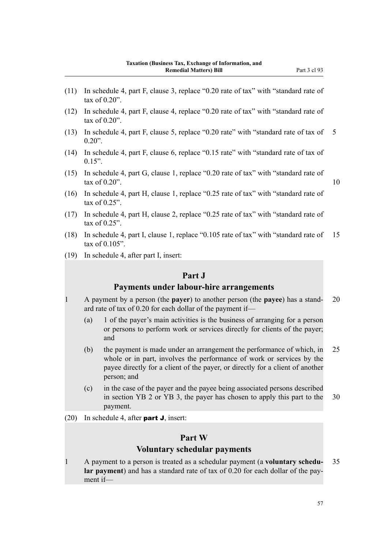- (11) In schedule 4, part F, clause 3, replace "0.20 rate of tax" with "standard rate of tax of 0.20".
- (12) In schedule 4, part F, clause 4, replace "0.20 rate of tax" with "standard rate of tax of 0.20".
- (13) In schedule 4, part F, clause 5, replace "0.20 rate" with "standard rate of tax of 5  $0.20$ ".
- (14) In schedule 4, part F, clause 6, replace "0.15 rate" with "standard rate of tax of  $0.15$ ".
- (15) In schedule 4, part G, clause 1, replace "0.20 rate of tax" with "standard rate of  $\text{tax of } 0.20"$ . 10

- (16) In schedule 4, part H, clause 1, replace "0.25 rate of tax" with "standard rate of tax of  $0.25$ "
- (17) In schedule 4, part H, clause 2, replace "0.25 rate of tax" with "standard rate of tax of 0.25".
- (18) In schedule 4, part I, clause 1, replace "0.105 rate of tax" with "standard rate of 15 tax of 0.105".
- (19) In schedule 4, after part I, insert:

# **Part J**

## **Payments under labour-hire arrangements**

1 A payment by a person (the **payer**) to another person (the **payee**) has a stand- 20 ard rate of tax of 0.20 for each dollar of the payment if—

- (a) 1 of the payer's main activities is the business of arranging for a person or persons to perform work or services directly for clients of the payer; and
- (b) the payment is made under an arrangement the performance of which, in 25 whole or in part, involves the performance of work or services by the payee directly for a client of the payer, or directly for a client of another person; and
- (c) in the case of the payer and the payee being associated persons described in section YB 2 or YB 3, the payer has chosen to apply this part to the 30 payment.
- (20) In schedule 4, after **part J**, insert:

# **Part W**

# **Voluntary schedular payments**

1 A payment to a person is treated as a schedular payment (a **voluntary schedu-** 35 **lar payment**) and has a standard rate of tax of 0.20 for each dollar of the payment if—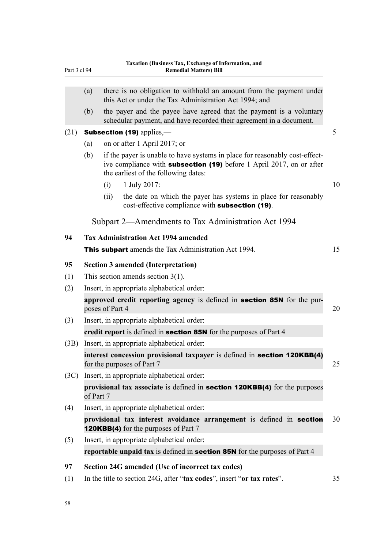| Part 3 cl 94                                     |                                                                                                         | Taxation (Business Tax, Exchange of Information, and<br><b>Remedial Matters) Bill</b>                                                                                                              |    |  |  |
|--------------------------------------------------|---------------------------------------------------------------------------------------------------------|----------------------------------------------------------------------------------------------------------------------------------------------------------------------------------------------------|----|--|--|
|                                                  | (a)                                                                                                     | there is no obligation to withhold an amount from the payment under<br>this Act or under the Tax Administration Act 1994; and                                                                      |    |  |  |
|                                                  | (b)                                                                                                     | the payer and the payee have agreed that the payment is a voluntary<br>schedular payment, and have recorded their agreement in a document.                                                         |    |  |  |
| (21)                                             |                                                                                                         | Subsection (19) applies,-                                                                                                                                                                          | 5  |  |  |
|                                                  | (a)                                                                                                     | on or after 1 April 2017; or                                                                                                                                                                       |    |  |  |
|                                                  | (b)                                                                                                     | if the payer is unable to have systems in place for reasonably cost-effect-<br>ive compliance with <b>subsection (19)</b> before 1 April 2017, on or after<br>the earliest of the following dates: |    |  |  |
|                                                  |                                                                                                         | 1 July 2017:<br>(i)                                                                                                                                                                                | 10 |  |  |
|                                                  |                                                                                                         | the date on which the payer has systems in place for reasonably<br>(ii)<br>cost-effective compliance with subsection (19).                                                                         |    |  |  |
|                                                  |                                                                                                         | Subpart 2—Amendments to Tax Administration Act 1994                                                                                                                                                |    |  |  |
| <b>Tax Administration Act 1994 amended</b><br>94 |                                                                                                         |                                                                                                                                                                                                    |    |  |  |
|                                                  |                                                                                                         | <b>This subpart</b> amends the Tax Administration Act 1994.                                                                                                                                        | 15 |  |  |
| 95                                               | <b>Section 3 amended (Interpretation)</b>                                                               |                                                                                                                                                                                                    |    |  |  |
| (1)                                              | This section amends section $3(1)$ .                                                                    |                                                                                                                                                                                                    |    |  |  |
| (2)                                              | Insert, in appropriate alphabetical order:                                                              |                                                                                                                                                                                                    |    |  |  |
|                                                  | approved credit reporting agency is defined in <b>section 85N</b> for the pur-<br>poses of Part 4<br>20 |                                                                                                                                                                                                    |    |  |  |
| (3)                                              | Insert, in appropriate alphabetical order:                                                              |                                                                                                                                                                                                    |    |  |  |
|                                                  | credit report is defined in <b>section 85N</b> for the purposes of Part 4                               |                                                                                                                                                                                                    |    |  |  |
| (3B)                                             |                                                                                                         | Insert, in appropriate alphabetical order:                                                                                                                                                         |    |  |  |
|                                                  |                                                                                                         | interest concession provisional taxpayer is defined in section 120KBB(4)<br>for the purposes of Part 7                                                                                             | 25 |  |  |
| (3C)                                             |                                                                                                         | Insert, in appropriate alphabetical order:                                                                                                                                                         |    |  |  |
|                                                  | provisional tax associate is defined in section 120KBB(4) for the purposes<br>of Part 7                 |                                                                                                                                                                                                    |    |  |  |
| (4)                                              |                                                                                                         | Insert, in appropriate alphabetical order:                                                                                                                                                         |    |  |  |
|                                                  |                                                                                                         | provisional tax interest avoidance arrangement is defined in section<br><b>120KBB(4)</b> for the purposes of Part 7                                                                                | 30 |  |  |
| (5)                                              |                                                                                                         | Insert, in appropriate alphabetical order:                                                                                                                                                         |    |  |  |
|                                                  |                                                                                                         | reportable unpaid tax is defined in <b>section 85N</b> for the purposes of Part 4                                                                                                                  |    |  |  |
| 97                                               |                                                                                                         | Section 24G amended (Use of incorrect tax codes)                                                                                                                                                   |    |  |  |
| (1)                                              |                                                                                                         | In the title to section 24G, after "tax codes", insert "or tax rates".                                                                                                                             | 35 |  |  |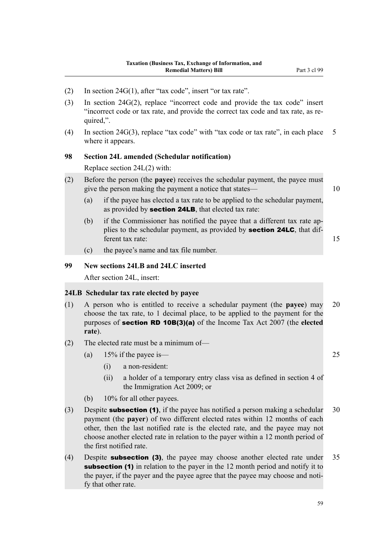- (2) In section 24G(1), after "tax code", insert "or tax rate".
- (3) In section 24G(2), replace "incorrect code and provide the tax code" insert "incorrect code or tax rate, and provide the correct tax code and tax rate, as required,".
- (4) In section 24G(3), replace "tax code" with "tax code or tax rate", in each place 5 where it appears.

# **98 Section 24L amended (Schedular notification)**

Replace section 24L(2) with:

- (2) Before the person (the **payee**) receives the schedular payment, the payee must give the person making the payment a notice that states— 10
	- (a) if the payee has elected a tax rate to be applied to the schedular payment, as provided by section 24LB, that elected tax rate:
	- (b) if the Commissioner has notified the payee that a different tax rate applies to the schedular payment, as provided by **section 24LC**, that different tax rate: 15
	- (c) the payee's name and tax file number.

### **99 New sections 24LB and 24LC inserted**

After section 24L, insert:

#### **24LB Schedular tax rate elected by payee**

- (1) A person who is entitled to receive a schedular payment (the **payee**) may 20 choose the tax rate, to 1 decimal place, to be applied to the payment for the purposes of section RD 10B(3)(a) of the Income Tax Act 2007 (the **elected rate**).
- (2) The elected rate must be a minimum of—
	- (a)  $15\%$  if the payee is—  $25$ 
		- (i) a non-resident:
		- (ii) a holder of a temporary entry class visa as defined in section 4 of the Immigration Act 2009; or
	- (b) 10% for all other payees.
- (3) Despite **subsection (1)**, if the payee has notified a person making a schedular  $30$ payment (the **payer**) of two different elected rates within 12 months of each other, then the last notified rate is the elected rate, and the payee may not choose another elected rate in relation to the payer within a 12 month period of the first notified rate.
- (4) Despite **subsection (3)**, the payee may choose another elected rate under 35 subsection (1) in relation to the payer in the 12 month period and notify it to the payer, if the payer and the payee agree that the payee may choose and notify that other rate.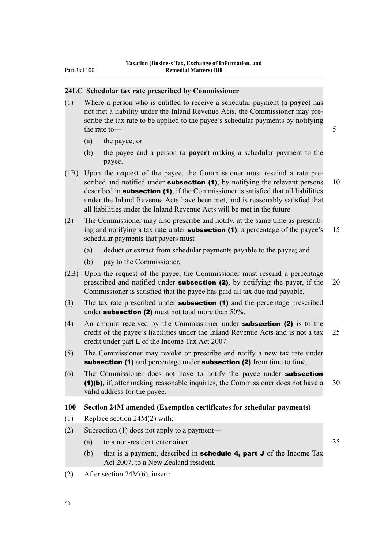### **24LC Schedular tax rate prescribed by Commissioner**

- (1) Where a person who is entitled to receive a schedular payment (a **payee**) has not met a liability under the Inland Revenue Acts, the Commissioner may prescribe the tax rate to be applied to the payee's schedular payments by notifying the rate to — 5
	- (a) the payee; or
	- (b) the payee and a person (a **payer**) making a schedular payment to the payee.
- (1B) Upon the request of the payee, the Commissioner must rescind a rate prescribed and notified under **subsection (1)**, by notifying the relevant persons  $10$ described in **subsection (1)**, if the Commissioner is satisfied that all liabilities under the Inland Revenue Acts have been met, and is reasonably satisfied that all liabilities under the Inland Revenue Acts will be met in the future.
- (2) The Commissioner may also prescribe and notify, at the same time as prescribing and notifying a tax rate under **subsection (1)**, a percentage of the payee's  $15$ schedular payments that payers must—
	- (a) deduct or extract from schedular payments payable to the payee; and
	- (b) pay to the Commissioner.
- (2B) Upon the request of the payee, the Commissioner must rescind a percentage prescribed and notified under **subsection (2)**, by notifying the payer, if the 20 Commissioner is satisfied that the payee has paid all tax due and payable.
- (3) The tax rate prescribed under **subsection (1)** and the percentage prescribed under subsection  $(2)$  must not total more than  $50\%$ .
- (4) An amount received by the Commissioner under subsection (2) is to the credit of the payee's liabilities under the Inland Revenue Acts and is not a tax 25 credit under part L of the Income Tax Act 2007.
- (5) The Commissioner may revoke or prescribe and notify a new tax rate under subsection (1) and percentage under subsection (2) from time to time.
- (6) The Commissioner does not have to notify the payee under subsection (1)(b), if, after making reasonable inquiries, the Commissioner does not have a 30 valid address for the payee.

# **100 Section 24M amended (Exemption certificates for schedular payments)**

- (1) Replace section 24M(2) with:
- (2) Subsection (1) does not apply to a payment—
	- (a) to a non-resident entertainer: 35
	- (b) that is a payment, described in **schedule 4, part J** of the Income Tax Act 2007, to a New Zealand resident.
- (2) After section 24M(6), insert: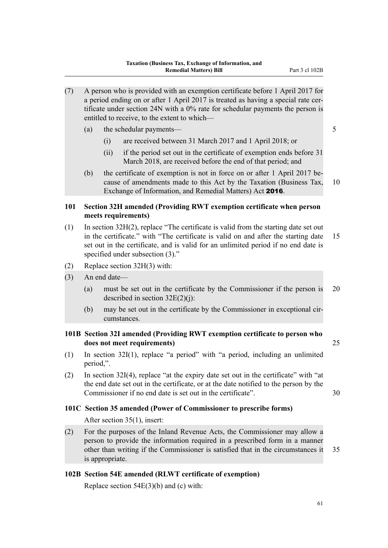- (7) A person who is provided with an exemption certificate before 1 April 2017 for a period ending on or after 1 April 2017 is treated as having a special rate certificate under section 24N with a 0% rate for schedular payments the person is entitled to receive, to the extent to which—
	- (a) the schedular payments— 5
		- (i) are received between 31 March 2017 and 1 April 2018; or
		- (ii) if the period set out in the certificate of exemption ends before 31 March 2018, are received before the end of that period; and
	- (b) the certificate of exemption is not in force on or after 1 April 2017 because of amendments made to this Act by the Taxation (Business Tax, 10 Exchange of Information, and Remedial Matters) Act 2016.

# **101 Section 32H amended (Providing RWT exemption certificate when person meets requirements)**

- (1) In section 32H(2), replace "The certificate is valid from the starting date set out in the certificate." with "The certificate is valid on and after the starting date 15 set out in the certificate, and is valid for an unlimited period if no end date is specified under subsection (3)."
- (2) Replace section 32H(3) with:
- (3) An end date—
	- (a) must be set out in the certificate by the Commissioner if the person is 20 described in section  $32E(2)(i)$ :
	- (b) may be set out in the certificate by the Commissioner in exceptional circumstances.

# **101B Section 32I amended (Providing RWT exemption certificate to person who does not meet requirements)** 25

- (1) In section 32I(1), replace "a period" with "a period, including an unlimited period,".
- (2) In section 32I(4), replace "at the expiry date set out in the certificate" with "at the end date set out in the certificate, or at the date notified to the person by the Commissioner if no end date is set out in the certificate". 30

### **101C Section 35 amended (Power of Commissioner to prescribe forms)**

After section 35(1), insert:

(2) For the purposes of the Inland Revenue Acts, the Commissioner may allow a person to provide the information required in a prescribed form in a manner other than writing if the Commissioner is satisfied that in the circumstances it 35 is appropriate.

# **102B Section 54E amended (RLWT certificate of exemption)**

Replace section  $54E(3)(b)$  and (c) with: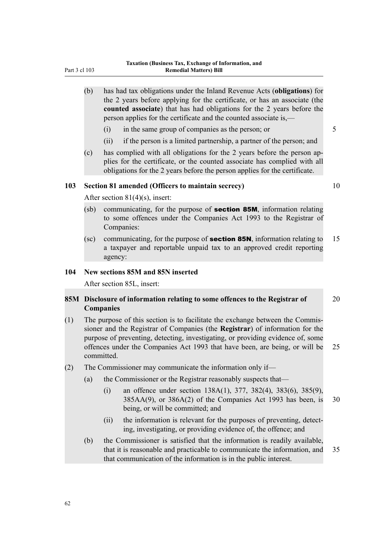- (b) has had tax obligations under the Inland Revenue Acts (**obligations**) for the 2 years before applying for the certificate, or has an associate (the **counted associate**) that has had obligations for the 2 years before the person applies for the certificate and the counted associate is,—
	- $(i)$  in the same group of companies as the person; or  $5$
	- (ii) if the person is a limited partnership, a partner of the person; and
- (c) has complied with all obligations for the 2 years before the person applies for the certificate, or the counted associate has complied with all obligations for the 2 years before the person applies for the certificate.

# **103 Section 81 amended (Officers to maintain secrecy)** 10

After section 81(4)(s), insert:

- (sb) communicating, for the purpose of **section 85M**, information relating to some offences under the Companies Act 1993 to the Registrar of Companies:
- (sc) communicating, for the purpose of **section 85N**, information relating to 15 a taxpayer and reportable unpaid tax to an approved credit reporting agency:

#### **104 New sections 85M and 85N inserted**

After section 85L, insert:

# **85M Disclosure of information relating to some offences to the Registrar of** 20 **Companies**

- (1) The purpose of this section is to facilitate the exchange between the Commissioner and the Registrar of Companies (the **Registrar**) of information for the purpose of preventing, detecting, investigating, or providing evidence of, some offences under the Companies Act 1993 that have been, are being, or will be 25 committed.
- (2) The Commissioner may communicate the information only if—
	- (a) the Commissioner or the Registrar reasonably suspects that—
		- (i) an offence under section 138A(1), 377, 382(4), 383(6), 385(9), 385AA(9), or 386A(2) of the Companies Act 1993 has been, is 30 being, or will be committed; and
		- (ii) the information is relevant for the purposes of preventing, detecting, investigating, or providing evidence of, the offence; and
	- (b) the Commissioner is satisfied that the information is readily available, that it is reasonable and practicable to communicate the information, and 35 that communication of the information is in the public interest.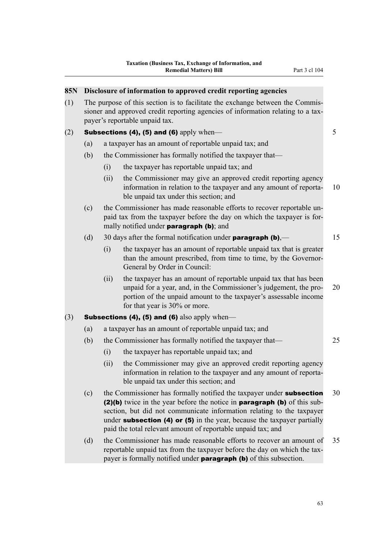| 85N |     |      | Disclosure of information to approved credit reporting agencies                                                                                                                                                                                                                                                                                                                 |    |
|-----|-----|------|---------------------------------------------------------------------------------------------------------------------------------------------------------------------------------------------------------------------------------------------------------------------------------------------------------------------------------------------------------------------------------|----|
| (1) |     |      | The purpose of this section is to facilitate the exchange between the Commis-<br>sioner and approved credit reporting agencies of information relating to a tax-<br>payer's reportable unpaid tax.                                                                                                                                                                              |    |
| (2) |     |      | Subsections (4), (5) and (6) apply when-                                                                                                                                                                                                                                                                                                                                        | 5  |
|     | (a) |      | a taxpayer has an amount of reportable unpaid tax; and                                                                                                                                                                                                                                                                                                                          |    |
|     | (b) |      | the Commissioner has formally notified the taxpayer that—                                                                                                                                                                                                                                                                                                                       |    |
|     |     | (i)  | the taxpayer has reportable unpaid tax; and                                                                                                                                                                                                                                                                                                                                     |    |
|     |     | (ii) | the Commissioner may give an approved credit reporting agency<br>information in relation to the taxpayer and any amount of reporta-<br>ble unpaid tax under this section; and                                                                                                                                                                                                   | 10 |
|     | (c) |      | the Commissioner has made reasonable efforts to recover reportable un-<br>paid tax from the taxpayer before the day on which the taxpayer is for-<br>mally notified under <b>paragraph (b)</b> ; and                                                                                                                                                                            |    |
|     | (d) |      | 30 days after the formal notification under <b>paragraph (b)</b> ,—                                                                                                                                                                                                                                                                                                             | 15 |
|     |     | (i)  | the taxpayer has an amount of reportable unpaid tax that is greater<br>than the amount prescribed, from time to time, by the Governor-<br>General by Order in Council:                                                                                                                                                                                                          |    |
|     |     | (ii) | the taxpayer has an amount of reportable unpaid tax that has been<br>unpaid for a year, and, in the Commissioner's judgement, the pro-<br>portion of the unpaid amount to the taxpayer's assessable income<br>for that year is 30% or more.                                                                                                                                     | 20 |
| (3) |     |      | <b>Subsections (4), (5) and (6)</b> also apply when—                                                                                                                                                                                                                                                                                                                            |    |
|     | (a) |      | a taxpayer has an amount of reportable unpaid tax; and                                                                                                                                                                                                                                                                                                                          |    |
|     | (b) |      | the Commissioner has formally notified the taxpayer that—                                                                                                                                                                                                                                                                                                                       | 25 |
|     |     | (i)  | the taxpayer has reportable unpaid tax; and                                                                                                                                                                                                                                                                                                                                     |    |
|     |     | (ii) | the Commissioner may give an approved credit reporting agency<br>information in relation to the taxpayer and any amount of reporta-<br>ble unpaid tax under this section; and                                                                                                                                                                                                   |    |
|     | (c) |      | the Commissioner has formally notified the taxpayer under <b>subsection</b><br>(2)(b) twice in the year before the notice in paragraph (b) of this sub-<br>section, but did not communicate information relating to the taxpayer<br>under subsection $(4)$ or $(5)$ in the year, because the taxpayer partially<br>paid the total relevant amount of reportable unpaid tax; and | 30 |
|     | (d) |      | the Commissioner has made reasonable efforts to recover an amount of<br>reportable unpaid tax from the taxpayer before the day on which the tax-<br>payer is formally notified under paragraph (b) of this subsection.                                                                                                                                                          | 35 |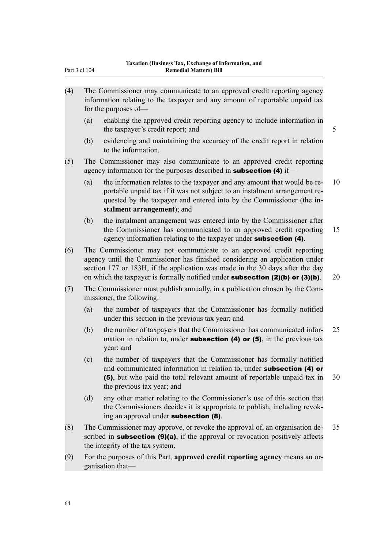| (4) |     | The Commissioner may communicate to an approved credit reporting agency<br>information relating to the taxpayer and any amount of reportable unpaid tax<br>for the purposes of—                                                                                                                                            |    |
|-----|-----|----------------------------------------------------------------------------------------------------------------------------------------------------------------------------------------------------------------------------------------------------------------------------------------------------------------------------|----|
|     | (a) | enabling the approved credit reporting agency to include information in<br>the taxpayer's credit report; and                                                                                                                                                                                                               | 5  |
|     | (b) | evidencing and maintaining the accuracy of the credit report in relation<br>to the information.                                                                                                                                                                                                                            |    |
| (5) |     | The Commissioner may also communicate to an approved credit reporting<br>agency information for the purposes described in <b>subsection</b> (4) if-                                                                                                                                                                        |    |
|     | (a) | the information relates to the taxpayer and any amount that would be re-<br>portable unpaid tax if it was not subject to an instalment arrangement re-<br>quested by the taxpayer and entered into by the Commissioner (the in-<br>stalment arrangement); and                                                              | 10 |
|     | (b) | the instalment arrangement was entered into by the Commissioner after<br>the Commissioner has communicated to an approved credit reporting<br>agency information relating to the taxpayer under <b>subsection</b> (4).                                                                                                     | 15 |
| (6) |     | The Commissioner may not communicate to an approved credit reporting<br>agency until the Commissioner has finished considering an application under<br>section 177 or 183H, if the application was made in the 30 days after the day<br>on which the taxpayer is formally notified under subsection $(2)(b)$ or $(3)(b)$ . | 20 |
| (7) |     | The Commissioner must publish annually, in a publication chosen by the Com-<br>missioner, the following:                                                                                                                                                                                                                   |    |
|     | (a) | the number of taxpayers that the Commissioner has formally notified<br>under this section in the previous tax year; and                                                                                                                                                                                                    |    |
|     | (b) | the number of taxpayers that the Commissioner has communicated infor-<br>mation in relation to, under <b>subsection (4) or (5)</b> , in the previous tax<br>year; and                                                                                                                                                      | 25 |
|     | (c) | the number of taxpayers that the Commissioner has formally notified<br>and communicated information in relation to, under subsection (4) or<br>(5), but who paid the total relevant amount of reportable unpaid tax in<br>the previous tax year; and                                                                       | 30 |
|     | (d) | any other matter relating to the Commissioner's use of this section that<br>the Commissioners decides it is appropriate to publish, including revok-<br>ing an approval under subsection (8).                                                                                                                              |    |
| (8) |     | The Commissioner may approve, or revoke the approval of, an organisation de-<br>scribed in <b>subsection (9)(a)</b> , if the approval or revocation positively affects<br>the integrity of the tax system.                                                                                                                 | 35 |
| (9) |     | For the purposes of this Part, approved credit reporting agency means an or-<br>ganisation that-                                                                                                                                                                                                                           |    |

Part 3 cl 104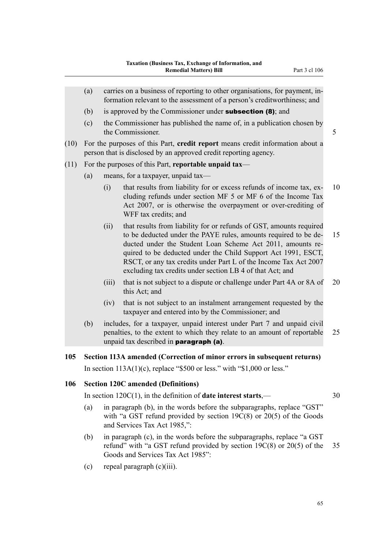- (a) carries on a business of reporting to other organisations, for payment, information relevant to the assessment of a person's creditworthiness; and (b) is approved by the Commissioner under **subsection (8)**; and (c) the Commissioner has published the name of, in a publication chosen by the Commissioner. 5 (10) For the purposes of this Part, **credit report** means credit information about a person that is disclosed by an approved credit reporting agency. (11) For the purposes of this Part, **reportable unpaid tax**— (a) means, for a taxpayer, unpaid tax— (i) that results from liability for or excess refunds of income tax, ex- 10 cluding refunds under section MF 5 or MF 6 of the Income Tax Act 2007, or is otherwise the overpayment or over-crediting of WFF tax credits; and (ii) that results from liability for or refunds of GST, amounts required to be deducted under the PAYE rules, amounts required to be de- 15 ducted under the Student Loan Scheme Act 2011, amounts required to be deducted under the Child Support Act 1991, ESCT, RSCT, or any tax credits under Part L of the Income Tax Act 2007 excluding tax credits under section LB 4 of that Act; and (iii) that is not subject to a dispute or challenge under Part 4A or 8A of 20 this Act; and (iv) that is not subject to an instalment arrangement requested by the taxpayer and entered into by the Commissioner; and (b) includes, for a taxpayer, unpaid interest under Part 7 and unpaid civil penalties, to the extent to which they relate to an amount of reportable 25 unpaid tax described in paragraph (a). **105 Section 113A amended (Correction of minor errors in subsequent returns)** In section  $113A(1)(c)$ , replace "\$500 or less." with "\$1,000 or less." **106 Section 120C amended (Definitions)** In section 120C(1), in the definition of **date interest starts**,— 30
	- (a) in paragraph (b), in the words before the subparagraphs, replace "GST" with "a GST refund provided by section 19C(8) or 20(5) of the Goods and Services Tax Act 1985,":
	- (b) in paragraph (c), in the words before the subparagraphs, replace "a GST refund" with "a GST refund provided by section 19C(8) or 20(5) of the 35 Goods and Services Tax Act 1985":
	- (c) repeal paragraph (c)(iii).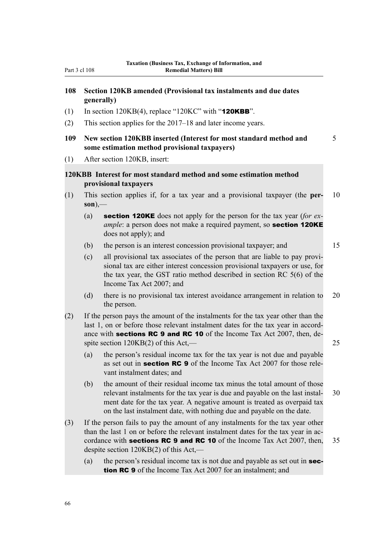# **108 Section 120KB amended (Provisional tax instalments and due dates generally)**

- (1) In section 120KB(4), replace "120KC" with " $120KBB$ ".
- (2) This section applies for the 2017–18 and later income years.
- **109 New section 120KBB inserted (Interest for most standard method and** 5 **some estimation method provisional taxpayers)**
- (1) After section 120KB, insert:

# **120KBB Interest for most standard method and some estimation method provisional taxpayers**

- (1) This section applies if, for a tax year and a provisional taxpayer (the **per-** 10 **son**),—
	- (a) section 120KE does not apply for the person for the tax year (*for example*: a person does not make a required payment, so **section 120KE** does not apply); and
	- (b) the person is an interest concession provisional taxpayer; and 15

(c) all provisional tax associates of the person that are liable to pay provisional tax are either interest concession provisional taxpayers or use, for the tax year, the GST ratio method described in section RC 5(6) of the Income Tax Act 2007; and

- (d) there is no provisional tax interest avoidance arrangement in relation to 20 the person.
- (2) If the person pays the amount of the instalments for the tax year other than the last 1, on or before those relevant instalment dates for the tax year in accordance with **sections RC 9 and RC 10** of the Income Tax Act 2007, then, despite section 120KB(2) of this Act,— 25
	- (a) the person's residual income tax for the tax year is not due and payable as set out in **section RC 9** of the Income Tax Act 2007 for those relevant instalment dates; and
	- (b) the amount of their residual income tax minus the total amount of those relevant instalments for the tax year is due and payable on the last instal- 30 ment date for the tax year. A negative amount is treated as overpaid tax on the last instalment date, with nothing due and payable on the date.
- (3) If the person fails to pay the amount of any instalments for the tax year other than the last 1 on or before the relevant instalment dates for the tax year in accordance with **sections RC 9 and RC 10** of the Income Tax Act 2007, then,  $35$ despite section 120KB(2) of this Act,—
	- (a) the person's residual income tax is not due and payable as set out in **sec**tion RC 9 of the Income Tax Act 2007 for an instalment; and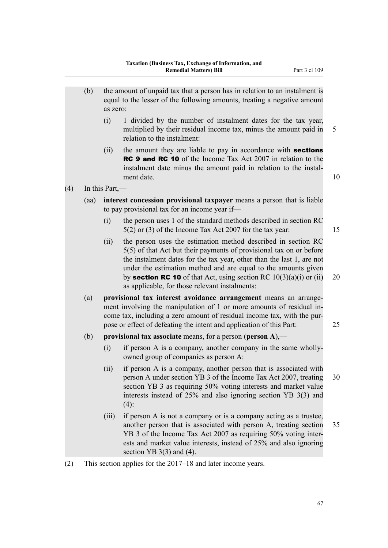|     | (b)  | the amount of unpaid tax that a person has in relation to an instalment is<br>equal to the lesser of the following amounts, treating a negative amount<br>as zero:                                                                                                                          |                                                                                                                                                                                                                                                                                                                                                                                                                  |    |
|-----|------|---------------------------------------------------------------------------------------------------------------------------------------------------------------------------------------------------------------------------------------------------------------------------------------------|------------------------------------------------------------------------------------------------------------------------------------------------------------------------------------------------------------------------------------------------------------------------------------------------------------------------------------------------------------------------------------------------------------------|----|
|     |      | (i)                                                                                                                                                                                                                                                                                         | 1 divided by the number of instalment dates for the tax year,<br>multiplied by their residual income tax, minus the amount paid in<br>relation to the instalment:                                                                                                                                                                                                                                                | 5  |
|     |      | (ii)                                                                                                                                                                                                                                                                                        | the amount they are liable to pay in accordance with <b>sections</b><br><b>RC 9 and RC 10</b> of the Income Tax Act 2007 in relation to the<br>instalment date minus the amount paid in relation to the instal-<br>ment date.                                                                                                                                                                                    | 10 |
| (4) |      | In this Part,—                                                                                                                                                                                                                                                                              |                                                                                                                                                                                                                                                                                                                                                                                                                  |    |
|     | (aa) | interest concession provisional taxpayer means a person that is liable<br>to pay provisional tax for an income year if—                                                                                                                                                                     |                                                                                                                                                                                                                                                                                                                                                                                                                  |    |
|     |      | (i)                                                                                                                                                                                                                                                                                         | the person uses 1 of the standard methods described in section RC<br>$5(2)$ or (3) of the Income Tax Act 2007 for the tax year:                                                                                                                                                                                                                                                                                  | 15 |
|     |      | (ii)                                                                                                                                                                                                                                                                                        | the person uses the estimation method described in section RC<br>5(5) of that Act but their payments of provisional tax on or before<br>the instalment dates for the tax year, other than the last 1, are not<br>under the estimation method and are equal to the amounts given<br>by <b>section RC 10</b> of that Act, using section RC $10(3)(a)(i)$ or (ii)<br>as applicable, for those relevant instalments: | 20 |
|     | (a)  | provisional tax interest avoidance arrangement means an arrange-<br>ment involving the manipulation of 1 or more amounts of residual in-<br>come tax, including a zero amount of residual income tax, with the pur-<br>pose or effect of defeating the intent and application of this Part: |                                                                                                                                                                                                                                                                                                                                                                                                                  |    |
|     | (b)  | provisional tax associate means, for a person (person $A$ ),—                                                                                                                                                                                                                               |                                                                                                                                                                                                                                                                                                                                                                                                                  |    |
|     |      | (i)                                                                                                                                                                                                                                                                                         | if person A is a company, another company in the same wholly-<br>owned group of companies as person A:                                                                                                                                                                                                                                                                                                           |    |
|     |      | (ii)                                                                                                                                                                                                                                                                                        | if person A is a company, another person that is associated with<br>person A under section YB 3 of the Income Tax Act 2007, treating<br>section YB 3 as requiring 50% voting interests and market value<br>interests instead of 25% and also ignoring section YB 3(3) and<br>$(4)$ :                                                                                                                             | 30 |
|     |      | (iii)                                                                                                                                                                                                                                                                                       | if person A is not a company or is a company acting as a trustee,<br>another person that is associated with person A, treating section<br>YB 3 of the Income Tax Act 2007 as requiring 50% voting inter-<br>ests and market value interests, instead of 25% and also ignoring<br>section $YB$ 3(3) and (4).                                                                                                      | 35 |
| (2) |      |                                                                                                                                                                                                                                                                                             | This section applies for the 2017 18 and later income years                                                                                                                                                                                                                                                                                                                                                      |    |

(2) This section applies for the 2017–18 and later income years.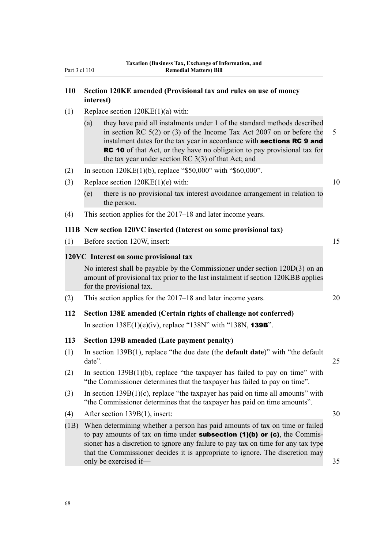# **110 Section 120KE amended (Provisional tax and rules on use of money interest)**

- (1) Replace section  $120KE(1)(a)$  with:
	- (a) they have paid all instalments under 1 of the standard methods described in section RC 5(2) or (3) of the Income Tax Act 2007 on or before the 5 instalment dates for the tax year in accordance with **sections RC 9 and** RC 10 of that Act, or they have no obligation to pay provisional tax for the tax year under section RC 3(3) of that Act; and
- (2) In section 120KE(1)(b), replace "\$50,000" with "\$60,000".
- (3) Replace section 120KE(1)(e) with: 10
	- (e) there is no provisional tax interest avoidance arrangement in relation to the person.
- (4) This section applies for the 2017–18 and later income years.

### **111B New section 120VC inserted (Interest on some provisional tax)**

|     | $\mathbf{1}$ . The $\mathbf{1}$ section $\mathbf{1}$ is a conserved three cases on some provisional cases                                                                                      |    |  |  |
|-----|------------------------------------------------------------------------------------------------------------------------------------------------------------------------------------------------|----|--|--|
| (1) | Before section 120W, insert:                                                                                                                                                                   |    |  |  |
|     | 120VC Interest on some provisional tax                                                                                                                                                         |    |  |  |
|     | No interest shall be payable by the Commissioner under section $120D(3)$ on an<br>amount of provisional tax prior to the last instalment if section 120KBB applies<br>for the provisional tax. |    |  |  |
| (2) | This section applies for the 2017–18 and later income years.                                                                                                                                   | 20 |  |  |
| 112 | Section 138E amended (Certain rights of challenge not conferred)                                                                                                                               |    |  |  |
|     | In section $138E(1)(e)(iv)$ , replace "138N" with "138N, <b>139B</b> ".                                                                                                                        |    |  |  |
| 113 | <b>Section 139B amended (Late payment penalty)</b>                                                                                                                                             |    |  |  |
| (1) | In section $139B(1)$ , replace "the due date (the <b>default date</b> )" with "the default"<br>date".                                                                                          | 25 |  |  |
| (2) | In section $139B(1)(b)$ , replace "the taxpayer has failed to pay on time" with                                                                                                                |    |  |  |

- "the Commissioner determines that the taxpayer has failed to pay on time". (3) In section 139B(1)(c), replace "the taxpayer has paid on time all amounts" with "the Commissioner determines that the taxpayer has paid on time amounts".
- (4) After section 139B(1), insert: 30
- (1B) When determining whether a person has paid amounts of tax on time or failed to pay amounts of tax on time under **subsection (1)(b) or (c)**, the Commissioner has a discretion to ignore any failure to pay tax on time for any tax type that the Commissioner decides it is appropriate to ignore. The discretion may only be exercised if— 35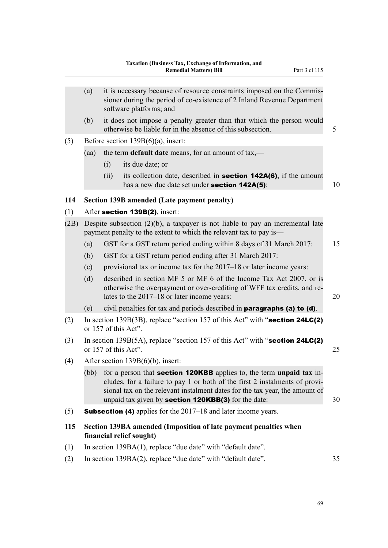|      | it is necessary because of resource constraints imposed on the Commis-<br>(a)<br>sioner during the period of co-existence of 2 Inland Revenue Department<br>software platforms; and |                                             |                                                                                                                                                                                                                                                                                                         |    |  |
|------|-------------------------------------------------------------------------------------------------------------------------------------------------------------------------------------|---------------------------------------------|---------------------------------------------------------------------------------------------------------------------------------------------------------------------------------------------------------------------------------------------------------------------------------------------------------|----|--|
|      | (b)                                                                                                                                                                                 |                                             | it does not impose a penalty greater than that which the person would<br>otherwise be liable for in the absence of this subsection.                                                                                                                                                                     | 5  |  |
| (5)  | Before section $139B(6)(a)$ , insert:                                                                                                                                               |                                             |                                                                                                                                                                                                                                                                                                         |    |  |
|      | (aa)                                                                                                                                                                                |                                             | the term default date means, for an amount of tax,—                                                                                                                                                                                                                                                     |    |  |
|      |                                                                                                                                                                                     | its due date; or<br>(i)                     |                                                                                                                                                                                                                                                                                                         |    |  |
|      |                                                                                                                                                                                     | (ii)                                        | its collection date, described in <b>section 142A(6)</b> , if the amount<br>has a new due date set under section 142A(5):                                                                                                                                                                               | 10 |  |
| 114  | <b>Section 139B amended (Late payment penalty)</b>                                                                                                                                  |                                             |                                                                                                                                                                                                                                                                                                         |    |  |
| (1)  |                                                                                                                                                                                     | After section 139B(2), insert:              |                                                                                                                                                                                                                                                                                                         |    |  |
| (2B) | Despite subsection $(2)(b)$ , a taxpayer is not liable to pay an incremental late<br>payment penalty to the extent to which the relevant tax to pay is-                             |                                             |                                                                                                                                                                                                                                                                                                         |    |  |
|      | (a)                                                                                                                                                                                 |                                             | GST for a GST return period ending within 8 days of 31 March 2017:                                                                                                                                                                                                                                      | 15 |  |
|      | (b)                                                                                                                                                                                 |                                             | GST for a GST return period ending after 31 March 2017:                                                                                                                                                                                                                                                 |    |  |
|      | (c)                                                                                                                                                                                 |                                             | provisional tax or income tax for the 2017–18 or later income years:                                                                                                                                                                                                                                    |    |  |
|      | (d)                                                                                                                                                                                 | lates to the 2017–18 or later income years: | described in section MF 5 or MF 6 of the Income Tax Act 2007, or is<br>otherwise the overpayment or over-crediting of WFF tax credits, and re-                                                                                                                                                          | 20 |  |
|      | (e)                                                                                                                                                                                 |                                             | civil penalties for tax and periods described in paragraphs (a) to (d).                                                                                                                                                                                                                                 |    |  |
| (2)  |                                                                                                                                                                                     | or 157 of this Act".                        | In section 139B(3B), replace "section 157 of this Act" with "section 24LC(2)                                                                                                                                                                                                                            |    |  |
| (3)  | In section $139B(5A)$ , replace "section 157 of this Act" with "section 24LC(2)<br>or 157 of this Act".                                                                             |                                             | 25                                                                                                                                                                                                                                                                                                      |    |  |
| (4)  | After section $139B(6)(b)$ , insert:                                                                                                                                                |                                             |                                                                                                                                                                                                                                                                                                         |    |  |
|      | (bb)                                                                                                                                                                                |                                             | for a person that <b>section 120KBB</b> applies to, the term unpaid tax in-<br>cludes, for a failure to pay 1 or both of the first 2 instalments of provi-<br>sional tax on the relevant instalment dates for the tax year, the amount of<br>unpaid tax given by <b>section 120KBB(3)</b> for the date: | 30 |  |
| (5)  |                                                                                                                                                                                     |                                             | <b>Subsection (4)</b> applies for the 2017–18 and later income years.                                                                                                                                                                                                                                   |    |  |
| 115  | Section 139BA amended (Imposition of late payment penalties when<br>financial relief sought)                                                                                        |                                             |                                                                                                                                                                                                                                                                                                         |    |  |
| (1)  | In section 139BA(1), replace "due date" with "default date".                                                                                                                        |                                             |                                                                                                                                                                                                                                                                                                         |    |  |
| (2)  |                                                                                                                                                                                     |                                             | In section 139BA(2), replace "due date" with "default date".                                                                                                                                                                                                                                            | 35 |  |
|      |                                                                                                                                                                                     |                                             |                                                                                                                                                                                                                                                                                                         |    |  |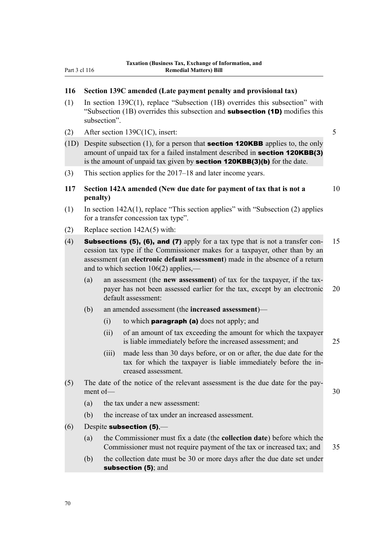## **116 Section 139C amended (Late payment penalty and provisional tax)**

- (1) In section 139C(1), replace "Subsection (1B) overrides this subsection" with "Subsection  $(1B)$  overrides this subsection and **subsection**  $(1D)$  modifies this subsection".
- (2) After section 139C(1C), insert: 5
- (1D) Despite subsection (1), for a person that **section 120KBB** applies to, the only amount of unpaid tax for a failed instalment described in **section 120KBB(3)** is the amount of unpaid tax given by **section 120KBB(3)(b)** for the date.
- (3) This section applies for the 2017–18 and later income years.

**117 Section 142A amended (New due date for payment of tax that is not a** 10 **penalty)**

- (1) In section 142A(1), replace "This section applies" with "Subsection (2) applies for a transfer concession tax type".
- (2) Replace section 142A(5) with:
- (4) **Subsections (5), (6), and (7)** apply for a tax type that is not a transfer con-  $15$ cession tax type if the Commissioner makes for a taxpayer, other than by an assessment (an **electronic default assessment**) made in the absence of a return and to which section 106(2) applies,—
	- (a) an assessment (the **new assessment**) of tax for the taxpayer, if the taxpayer has not been assessed earlier for the tax, except by an electronic 20 default assessment:
	- (b) an amended assessment (the **increased assessment**)—
		- (i) to which **paragraph (a)** does not apply; and
		- (ii) of an amount of tax exceeding the amount for which the taxpayer is liable immediately before the increased assessment; and 25
		- (iii) made less than 30 days before, or on or after, the due date for the tax for which the taxpayer is liable immediately before the increased assessment.
- (5) The date of the notice of the relevant assessment is the due date for the payment of — 30
	- (a) the tax under a new assessment:
	- (b) the increase of tax under an increased assessment.
- $(6)$  Despite subsection (5),—
	- (a) the Commissioner must fix a date (the **collection date**) before which the Commissioner must not require payment of the tax or increased tax; and 35
	- (b) the collection date must be 30 or more days after the due date set under subsection (5); and

70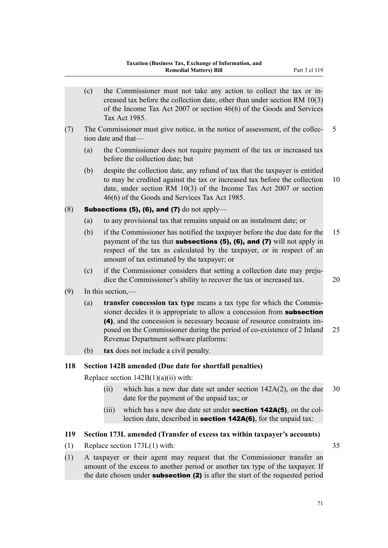|     | (c)                                   |                   | the Commissioner must not take any action to collect the tax or in-<br>creased tax before the collection date, other than under section RM $10(3)$<br>of the Income Tax Act 2007 or section $46(6)$ of the Goods and Services<br>Tax Act 1985.                                                                                                 |    |
|-----|---------------------------------------|-------------------|------------------------------------------------------------------------------------------------------------------------------------------------------------------------------------------------------------------------------------------------------------------------------------------------------------------------------------------------|----|
| (7) |                                       |                   | The Commissioner must give notice, in the notice of assessment, of the collec-<br>tion date and that—                                                                                                                                                                                                                                          | 5  |
|     | (a)                                   |                   | the Commissioner does not require payment of the tax or increased tax<br>before the collection date; but                                                                                                                                                                                                                                       |    |
|     | (b)                                   |                   | despite the collection date, any refund of tax that the taxpayer is entitled<br>to may be credited against the tax or increased tax before the collection<br>date, under section RM 10(3) of the Income Tax Act 2007 or section<br>46(6) of the Goods and Services Tax Act 1985.                                                               | 10 |
| (8) |                                       |                   | <b>Subsections (5), (6), and (7)</b> do not apply—                                                                                                                                                                                                                                                                                             |    |
|     | (a)                                   |                   | to any provisional tax that remains unpaid on an instalment date; or                                                                                                                                                                                                                                                                           |    |
|     | (b)                                   |                   | if the Commissioner has notified the taxpayer before the due date for the<br>payment of the tax that subsections $(5)$ , $(6)$ , and $(7)$ will not apply in<br>respect of the tax as calculated by the taxpayer, or in respect of an<br>amount of tax estimated by the taxpayer; or                                                           | 15 |
|     | (c)                                   |                   | if the Commissioner considers that setting a collection date may preju-<br>dice the Commissioner's ability to recover the tax or increased tax.                                                                                                                                                                                                | 20 |
| (9) |                                       | In this section,— |                                                                                                                                                                                                                                                                                                                                                |    |
|     | (a)                                   |                   | transfer concession tax type means a tax type for which the Commis-<br>sioner decides it is appropriate to allow a concession from subsection<br>(4), and the concession is necessary because of resource constraints im-<br>posed on the Commissioner during the period of co-existence of 2 Inland<br>Revenue Department software platforms: | 25 |
|     | (b)                                   |                   | tax does not include a civil penalty.                                                                                                                                                                                                                                                                                                          |    |
| 118 |                                       |                   | Section 142B amended (Due date for shortfall penalties)                                                                                                                                                                                                                                                                                        |    |
|     |                                       |                   | Replace section $142B(1)(a)(ii)$ with:                                                                                                                                                                                                                                                                                                         |    |
|     |                                       | (ii)              | which has a new due date set under section $142A(2)$ , on the due<br>date for the payment of the unpaid tax; or                                                                                                                                                                                                                                | 30 |
|     |                                       | (iii)             | which has a new due date set under <b>section 142A(5)</b> , on the col-<br>lection date, described in <b>section 142A(6)</b> , for the unpaid tax:                                                                                                                                                                                             |    |
| 119 |                                       |                   | Section 173L amended (Transfer of excess tax within taxpayer's accounts)                                                                                                                                                                                                                                                                       |    |
| (1) | Replace section $173L(1)$ with:<br>35 |                   |                                                                                                                                                                                                                                                                                                                                                |    |
| (1) |                                       |                   | A taxpayer or their agent may request that the Commissioner transfer an                                                                                                                                                                                                                                                                        |    |

amount of the excess to another period or another tax type of the taxpayer. If the date chosen under **subsection** (2) is after the start of the requested period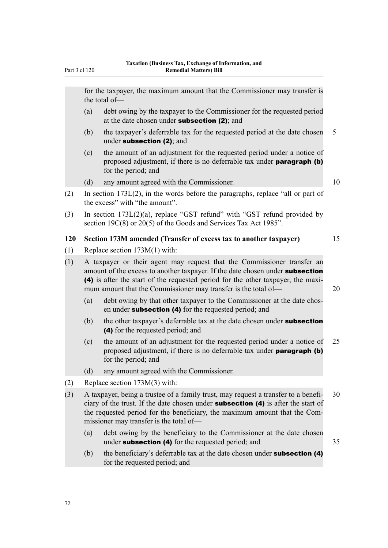for the taxpayer, the maximum amount that the Commissioner may transfer is the total of—

- (a) debt owing by the taxpayer to the Commissioner for the requested period at the date chosen under **subsection (2)**: and
- (b) the taxpayer's deferrable tax for the requested period at the date chosen 5 under subsection (2); and
- (c) the amount of an adjustment for the requested period under a notice of proposed adjustment, if there is no deferrable tax under paragraph (b) for the period; and
- (d) any amount agreed with the Commissioner.  $10$
- (2) In section 173L(2), in the words before the paragraphs, replace "all or part of the excess" with "the amount".
- (3) In section 173L(2)(a), replace "GST refund" with "GST refund provided by section 19C(8) or 20(5) of the Goods and Services Tax Act 1985".

## **120 Section 173M amended (Transfer of excess tax to another taxpayer)** 15

- (1) Replace section 173M(1) with:
- (1) A taxpayer or their agent may request that the Commissioner transfer an amount of the excess to another taxpayer. If the date chosen under **subsection** (4) is after the start of the requested period for the other taxpayer, the maximum amount that the Commissioner may transfer is the total of— 20
	- (a) debt owing by that other taxpayer to the Commissioner at the date chosen under subsection (4) for the requested period; and
	- (b) the other taxpayer's deferrable tax at the date chosen under **subsection** (4) for the requested period; and
	- (c) the amount of an adjustment for the requested period under a notice of 25 proposed adjustment, if there is no deferrable tax under paragraph (b) for the period; and
	- (d) any amount agreed with the Commissioner.
- (2) Replace section 173M(3) with:
- (3) A taxpayer, being a trustee of a family trust, may request a transfer to a benefi- 30 ciary of the trust. If the date chosen under subsection (4) is after the start of the requested period for the beneficiary, the maximum amount that the Commissioner may transfer is the total of—
	- (a) debt owing by the beneficiary to the Commissioner at the date chosen under **subsection (4)** for the requested period; and 35
	- (b) the beneficiary's deferrable tax at the date chosen under **subsection (4)** for the requested period; and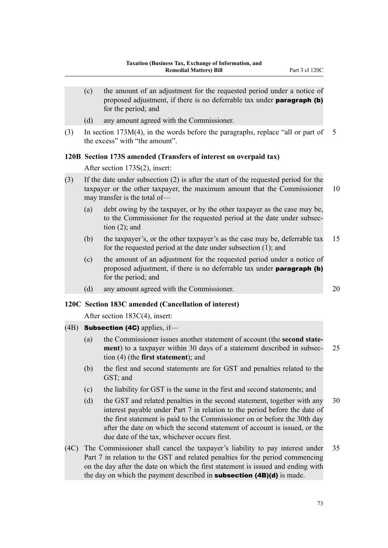(c) the amount of an adjustment for the requested period under a notice of proposed adjustment, if there is no deferrable tax under **paragraph** (b) for the period; and (d) any amount agreed with the Commissioner. (3) In section 173M(4), in the words before the paragraphs, replace "all or part of 5 the excess" with "the amount". **120B Section 173S amended (Transfers of interest on overpaid tax)** After section 173S(2), insert: (3) If the date under subsection (2) is after the start of the requested period for the taxpayer or the other taxpayer, the maximum amount that the Commissioner 10 may transfer is the total of— (a) debt owing by the taxpayer, or by the other taxpayer as the case may be, to the Commissioner for the requested period at the date under subsection  $(2)$ ; and (b) the taxpayer's, or the other taxpayer's as the case may be, deferrable tax 15 for the requested period at the date under subsection (1); and (c) the amount of an adjustment for the requested period under a notice of proposed adjustment, if there is no deferrable tax under paragraph (b) for the period; and (d) any amount agreed with the Commissioner. 20

#### **120C Section 183C amended (Cancellation of interest)**

After section 183C(4), insert:

- (4B) **Subsection (4C)** applies, if-
	- (a) the Commissioner issues another statement of account (the **second statement**) to a taxpayer within 30 days of a statement described in subsec- 25 tion (4) (the **first statement**); and
	- (b) the first and second statements are for GST and penalties related to the GST; and
	- (c) the liability for GST is the same in the first and second statements; and
	- (d) the GST and related penalties in the second statement, together with any 30 interest payable under Part 7 in relation to the period before the date of the first statement is paid to the Commissioner on or before the 30th day after the date on which the second statement of account is issued, or the due date of the tax, whichever occurs first.
- (4C) The Commissioner shall cancel the taxpayer's liability to pay interest under 35 Part 7 in relation to the GST and related penalties for the period commencing on the day after the date on which the first statement is issued and ending with the day on which the payment described in **subsection (4B)(d)** is made.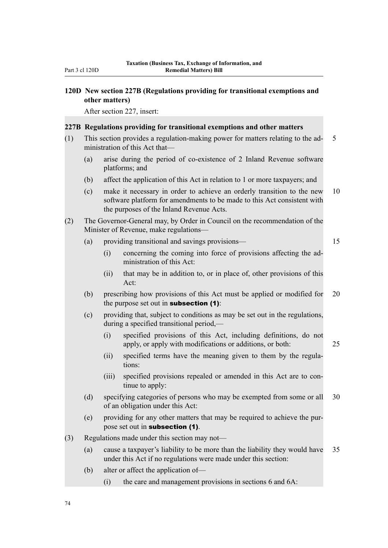## **120D New section 227B (Regulations providing for transitional exemptions and other matters)**

After section 227, insert:

#### **227B Regulations providing for transitional exemptions and other matters**

- (1) This section provides a regulation-making power for matters relating to the ad- 5 ministration of this Act that—
	- (a) arise during the period of co-existence of 2 Inland Revenue software platforms; and
	- (b) affect the application of this Act in relation to 1 or more taxpayers; and
	- (c) make it necessary in order to achieve an orderly transition to the new 10 software platform for amendments to be made to this Act consistent with the purposes of the Inland Revenue Acts.
- (2) The Governor-General may, by Order in Council on the recommendation of the Minister of Revenue, make regulations—
	- (a) providing transitional and savings provisions— 15

- (i) concerning the coming into force of provisions affecting the administration of this Act:
- (ii) that may be in addition to, or in place of, other provisions of this Act:
- (b) prescribing how provisions of this Act must be applied or modified for 20 the purpose set out in **subsection**  $(1)$ :
- (c) providing that, subject to conditions as may be set out in the regulations, during a specified transitional period,—
	- (i) specified provisions of this Act, including definitions, do not apply, or apply with modifications or additions, or both: 25
	- (ii) specified terms have the meaning given to them by the regulations:
	- (iii) specified provisions repealed or amended in this Act are to continue to apply:
- (d) specifying categories of persons who may be exempted from some or all 30 of an obligation under this Act:
- (e) providing for any other matters that may be required to achieve the purpose set out in subsection (1).
- (3) Regulations made under this section may not—
	- (a) cause a taxpayer's liability to be more than the liability they would have 35 under this Act if no regulations were made under this section:
	- (b) alter or affect the application of—
		- (i) the care and management provisions in sections 6 and 6A: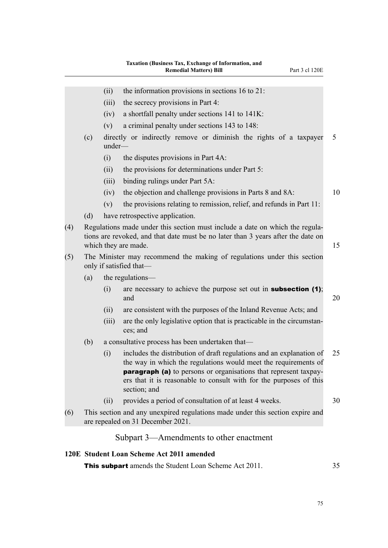- (ii) the information provisions in sections  $16$  to  $21$ :
- (iii) the secrecy provisions in Part 4:
- (iv) a shortfall penalty under sections 141 to 141K:
- (v) a criminal penalty under sections 143 to 148:
- (c) directly or indirectly remove or diminish the rights of a taxpayer 5 under—
	- (i) the disputes provisions in Part 4A:
	- (ii) the provisions for determinations under Part 5:
	- (iii) binding rulings under Part 5A:
	- (iv) the objection and challenge provisions in Parts 8 and 8A: 10
	- (v) the provisions relating to remission, relief, and refunds in Part 11:
- (d) have retrospective application.
- (4) Regulations made under this section must include a date on which the regulations are revoked, and that date must be no later than 3 years after the date on which they are made. 15
- (5) The Minister may recommend the making of regulations under this section only if satisfied that—
	- (a) the regulations—
		- (i) are necessary to achieve the purpose set out in **subsection (1)**: and  $20$
		- (ii) are consistent with the purposes of the Inland Revenue Acts; and
		- (iii) are the only legislative option that is practicable in the circumstances; and
	- (b) a consultative process has been undertaken that—
		- (i) includes the distribution of draft regulations and an explanation of 25 the way in which the regulations would meet the requirements of **paragraph (a)** to persons or organisations that represent taxpayers that it is reasonable to consult with for the purposes of this section; and
		- (ii) provides a period of consultation of at least 4 weeks. 30
	- (6) This section and any unexpired regulations made under this section expire and are repealed on 31 December 2021.

# Subpart 3—Amendments to other enactment

#### **120E Student Loan Scheme Act 2011 amended**

**This subpart** amends the Student Loan Scheme Act 2011. 35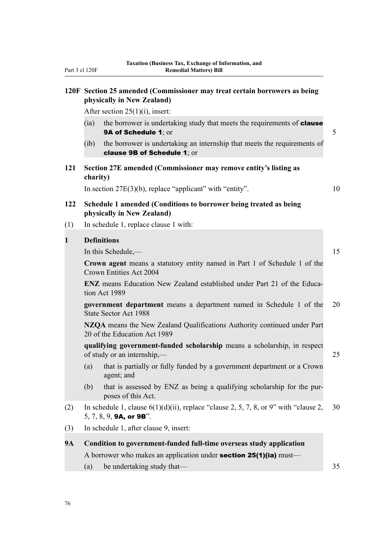|              | 120F Section 25 amended (Commissioner may treat certain borrowers as being<br>physically in New Zealand)                   |                                                                                                        |    |  |  |
|--------------|----------------------------------------------------------------------------------------------------------------------------|--------------------------------------------------------------------------------------------------------|----|--|--|
|              | After section $25(1)(i)$ , insert:                                                                                         |                                                                                                        |    |  |  |
|              | (ia)                                                                                                                       | the borrower is undertaking study that meets the requirements of <b>clause</b><br>9A of Schedule 1; or | 5  |  |  |
|              | the borrower is undertaking an internship that meets the requirements of<br>$(ib)$<br>clause 9B of Schedule 1; or          |                                                                                                        |    |  |  |
| 121          | charity)                                                                                                                   | Section 27E amended (Commissioner may remove entity's listing as                                       |    |  |  |
|              |                                                                                                                            | In section $27E(3)(b)$ , replace "applicant" with "entity".                                            | 10 |  |  |
| 122          | Schedule 1 amended (Conditions to borrower being treated as being<br>physically in New Zealand)                            |                                                                                                        |    |  |  |
| (1)          |                                                                                                                            | In schedule 1, replace clause 1 with:                                                                  |    |  |  |
| $\mathbf{1}$ |                                                                                                                            | <b>Definitions</b>                                                                                     |    |  |  |
|              |                                                                                                                            | In this Schedule,—                                                                                     | 15 |  |  |
|              | Crown agent means a statutory entity named in Part 1 of Schedule 1 of the<br>Crown Entities Act 2004                       |                                                                                                        |    |  |  |
|              | <b>ENZ</b> means Education New Zealand established under Part 21 of the Educa-<br>tion Act 1989                            |                                                                                                        |    |  |  |
|              | government department means a department named in Schedule 1 of the<br><b>State Sector Act 1988</b>                        |                                                                                                        |    |  |  |
|              | NZQA means the New Zealand Qualifications Authority continued under Part<br>20 of the Education Act 1989                   |                                                                                                        |    |  |  |
|              | qualifying government-funded scholarship means a scholarship, in respect<br>of study or an internship,—                    |                                                                                                        |    |  |  |
|              |                                                                                                                            | (a) that is partially or fully funded by a government department or a Crown<br>agent; and              |    |  |  |
|              | (b)                                                                                                                        | that is assessed by ENZ as being a qualifying scholarship for the pur-<br>poses of this Act.           |    |  |  |
| (2)          | In schedule 1, clause $6(1)(d)(ii)$ , replace "clause 2, 5, 7, 8, or 9" with "clause 2,<br>5, 7, 8, 9, <b>9A, or 9B</b> ". |                                                                                                        |    |  |  |
| (3)          | In schedule 1, after clause 9, insert:                                                                                     |                                                                                                        |    |  |  |
| <b>9A</b>    | Condition to government-funded full-time overseas study application                                                        |                                                                                                        |    |  |  |
|              | A borrower who makes an application under <b>section 25(1)(ia)</b> must—                                                   |                                                                                                        |    |  |  |
|              | (a)                                                                                                                        | be undertaking study that—                                                                             | 35 |  |  |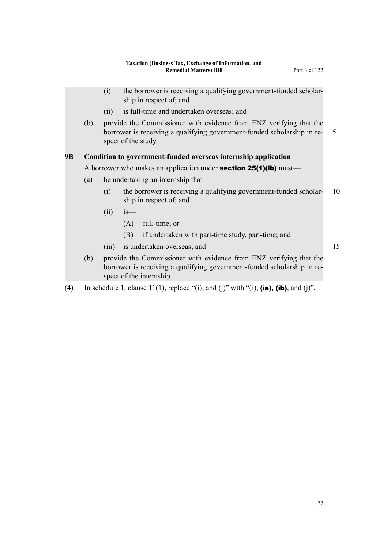- (i) the borrower is receiving a qualifying government-funded scholarship in respect of; and (ii) is full-time and undertaken overseas; and (b) provide the Commissioner with evidence from ENZ verifying that the borrower is receiving a qualifying government-funded scholarship in re- 5 spect of the study. **9B Condition to government-funded overseas internship application** A borrower who makes an application under **section 25(1)(ib)** must— (a) be undertaking an internship that— (i) the borrower is receiving a qualifying government-funded scholar- 10 ship in respect of; and  $(ii)$  is— (A) full-time; or (B) if undertaken with part-time study, part-time; and (iii) is undertaken overseas; and 15 (b) provide the Commissioner with evidence from ENZ verifying that the borrower is receiving a qualifying government-funded scholarship in re-
- (4) In schedule 1, clause 11(1), replace "(i), and (j)" with "(i), (ia), (ib), and (j)".

spect of the internship.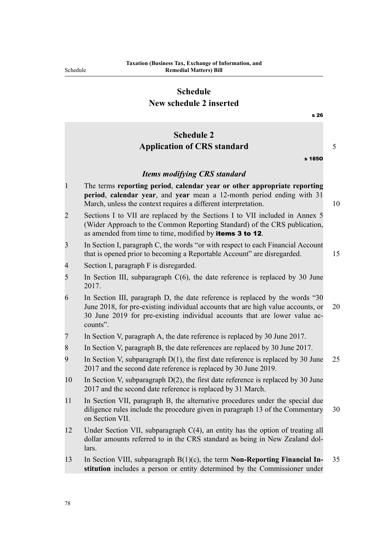# **Schedule New schedule 2 inserted**

|                | s 26                                                                                                                                                                                                                                                       |    |
|----------------|------------------------------------------------------------------------------------------------------------------------------------------------------------------------------------------------------------------------------------------------------------|----|
|                | <b>Schedule 2</b>                                                                                                                                                                                                                                          |    |
|                | <b>Application of CRS standard</b>                                                                                                                                                                                                                         | 5  |
|                | s 1850                                                                                                                                                                                                                                                     |    |
|                | <b>Items modifying CRS standard</b>                                                                                                                                                                                                                        |    |
| $\mathbf{1}$   | The terms reporting period, calendar year or other appropriate reporting<br>period, calendar year, and year mean a 12-month period ending with 31<br>March, unless the context requires a different interpretation.                                        | 10 |
| $\overline{2}$ | Sections I to VII are replaced by the Sections I to VII included in Annex 5<br>(Wider Approach to the Common Reporting Standard) of the CRS publication,<br>as amended from time to time, modified by items 3 to 12.                                       |    |
| 3              | In Section I, paragraph C, the words "or with respect to each Financial Account<br>that is opened prior to becoming a Reportable Account" are disregarded.                                                                                                 | 15 |
| 4              | Section I, paragraph F is disregarded.                                                                                                                                                                                                                     |    |
| 5              | In Section III, subparagraph $C(6)$ , the date reference is replaced by 30 June<br>2017.                                                                                                                                                                   |    |
| 6              | In Section III, paragraph D, the date reference is replaced by the words "30<br>June 2018, for pre-existing individual accounts that are high value accounts, or<br>30 June 2019 for pre-existing individual accounts that are lower value ac-<br>counts". | 20 |
| 7              | In Section V, paragraph A, the date reference is replaced by 30 June 2017.                                                                                                                                                                                 |    |
| 8              | In Section V, paragraph B, the date references are replaced by 30 June 2017.                                                                                                                                                                               |    |
| 9              | In Section V, subparagraph $D(1)$ , the first date reference is replaced by 30 June<br>2017 and the second date reference is replaced by 30 June 2019.                                                                                                     | 25 |
| 10             | In Section V, subparagraph $D(2)$ , the first date reference is replaced by 30 June<br>2017 and the second date reference is replaced by 31 March.                                                                                                         |    |
| 11             | In Section VII, paragraph B, the alternative procedures under the special due<br>diligence rules include the procedure given in paragraph 13 of the Commentary<br>on Section VII.                                                                          | 30 |
| 12             | Under Section VII, subparagraph $C(4)$ , an entity has the option of treating all<br>dollar amounts referred to in the CRS standard as being in New Zealand dol-<br>lars.                                                                                  |    |
| 13             | In Section VIII, subparagraph $B(1)(c)$ , the term <b>Non-Reporting Financial In-</b><br>stitution includes a person or entity determined by the Commissioner under                                                                                        | 35 |
|                |                                                                                                                                                                                                                                                            |    |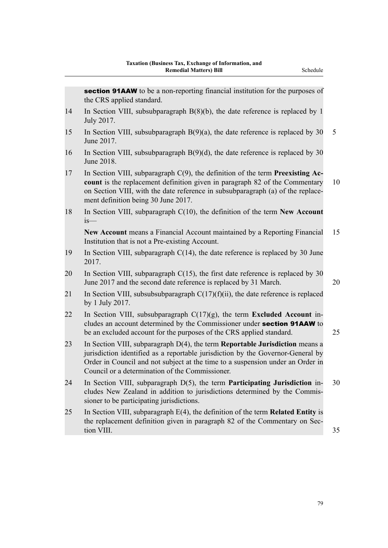|    | <b>section 91AAW</b> to be a non-reporting financial institution for the purposes of<br>the CRS applied standard.                                                                                                                                                                                    |    |
|----|------------------------------------------------------------------------------------------------------------------------------------------------------------------------------------------------------------------------------------------------------------------------------------------------------|----|
| 14 | In Section VIII, subsubparagraph $B(8)(b)$ , the date reference is replaced by 1<br>July 2017.                                                                                                                                                                                                       |    |
| 15 | In Section VIII, subsubparagraph $B(9)(a)$ , the date reference is replaced by 30<br>June 2017.                                                                                                                                                                                                      | 5  |
| 16 | In Section VIII, subsubparagraph $B(9)(d)$ , the date reference is replaced by 30<br>June 2018.                                                                                                                                                                                                      |    |
| 17 | In Section VIII, subparagraph $C(9)$ , the definition of the term <b>Preexisting Ac-</b><br>count is the replacement definition given in paragraph 82 of the Commentary<br>on Section VIII, with the date reference in subsubparagraph (a) of the replace-<br>ment definition being 30 June 2017.    | 10 |
| 18 | In Section VIII, subparagraph $C(10)$ , the definition of the term New Account<br>$is$ —                                                                                                                                                                                                             |    |
|    | New Account means a Financial Account maintained by a Reporting Financial<br>Institution that is not a Pre-existing Account.                                                                                                                                                                         | 15 |
| 19 | In Section VIII, subparagraph $C(14)$ , the date reference is replaced by 30 June<br>2017.                                                                                                                                                                                                           |    |
| 20 | In Section VIII, subparagraph $C(15)$ , the first date reference is replaced by 30<br>June 2017 and the second date reference is replaced by 31 March.                                                                                                                                               | 20 |
| 21 | In Section VIII, subsubsubparagraph $C(17)(f)(ii)$ , the date reference is replaced<br>by 1 July 2017.                                                                                                                                                                                               |    |
| 22 | In Section VIII, subsubparagraph $C(17)(g)$ , the term <b>Excluded Account</b> in-<br>cludes an account determined by the Commissioner under section 91AAW to<br>be an excluded account for the purposes of the CRS applied standard.                                                                | 25 |
| 23 | In Section VIII, subparagraph D(4), the term Reportable Jurisdiction means a<br>jurisdiction identified as a reportable jurisdiction by the Governor-General by<br>Order in Council and not subject at the time to a suspension under an Order in<br>Council or a determination of the Commissioner. |    |
| 24 | In Section VIII, subparagraph D(5), the term Participating Jurisdiction in-<br>cludes New Zealand in addition to jurisdictions determined by the Commis-<br>sioner to be participating jurisdictions.                                                                                                | 30 |
| 25 | In Section VIII, subparagraph $E(4)$ , the definition of the term <b>Related Entity</b> is<br>the replacement definition given in paragraph 82 of the Commentary on Sec-<br>tion VIII.                                                                                                               | 35 |